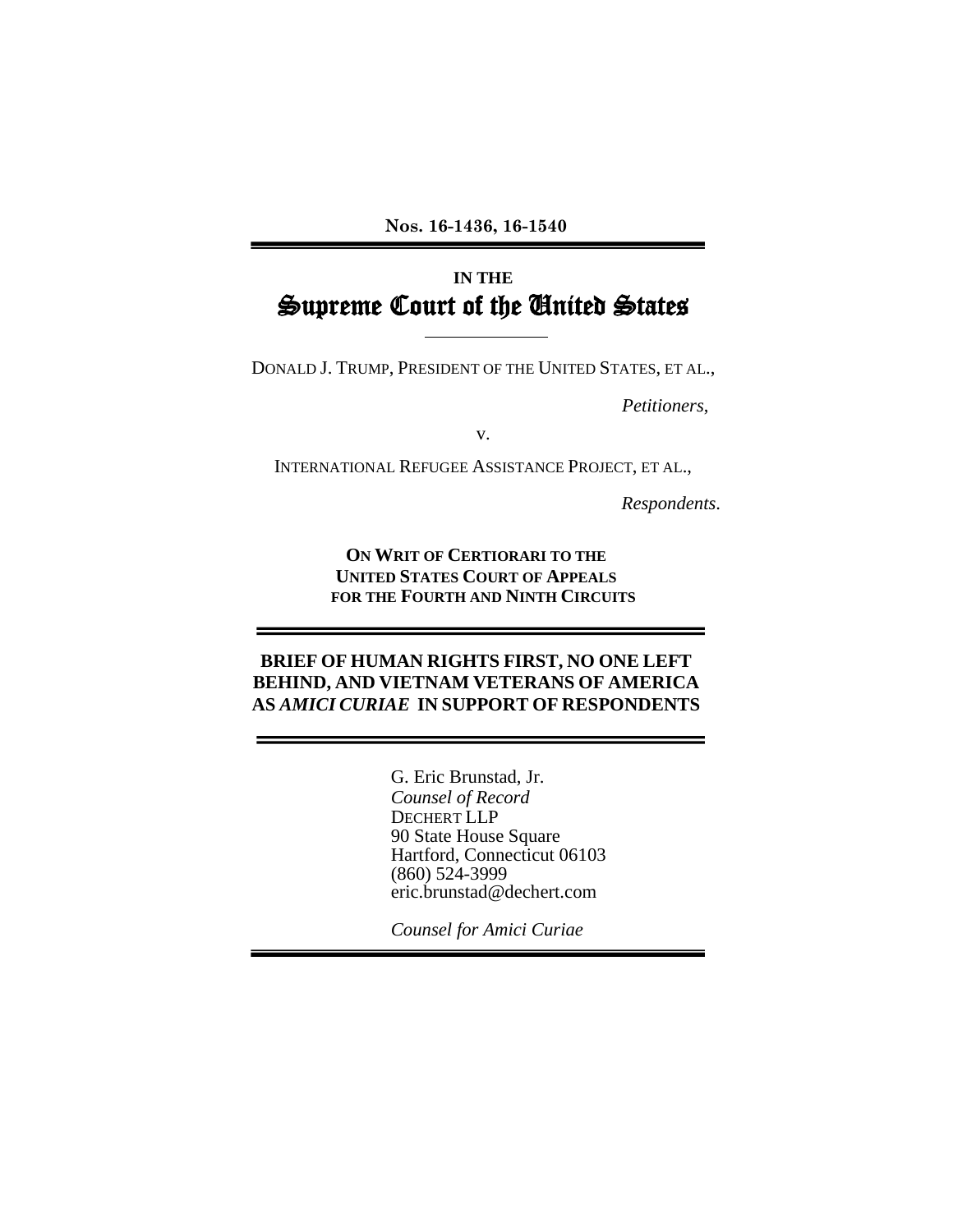**Nos. 16-1436, 16-1540** 

## **IN THE** Supreme Court of the United States

DONALD J. TRUMP, PRESIDENT OF THE UNITED STATES, ET AL.,

*Petitioners*,

v.

INTERNATIONAL REFUGEE ASSISTANCE PROJECT, ET AL.,

*Respondents*.

**ON WRIT OF CERTIORARI TO THE UNITED STATES COURT OF APPEALS FOR THE FOURTH AND NINTH CIRCUITS**

#### **BRIEF OF HUMAN RIGHTS FIRST, NO ONE LEFT BEHIND, AND VIETNAM VETERANS OF AMERICA AS** *AMICI CURIAE* **IN SUPPORT OF RESPONDENTS**

G. Eric Brunstad, Jr. *Counsel of Record* DECHERT LLP 90 State House Square Hartford, Connecticut 06103 (860) 524-3999 eric.brunstad@dechert.com

*Counsel for Amici Curiae*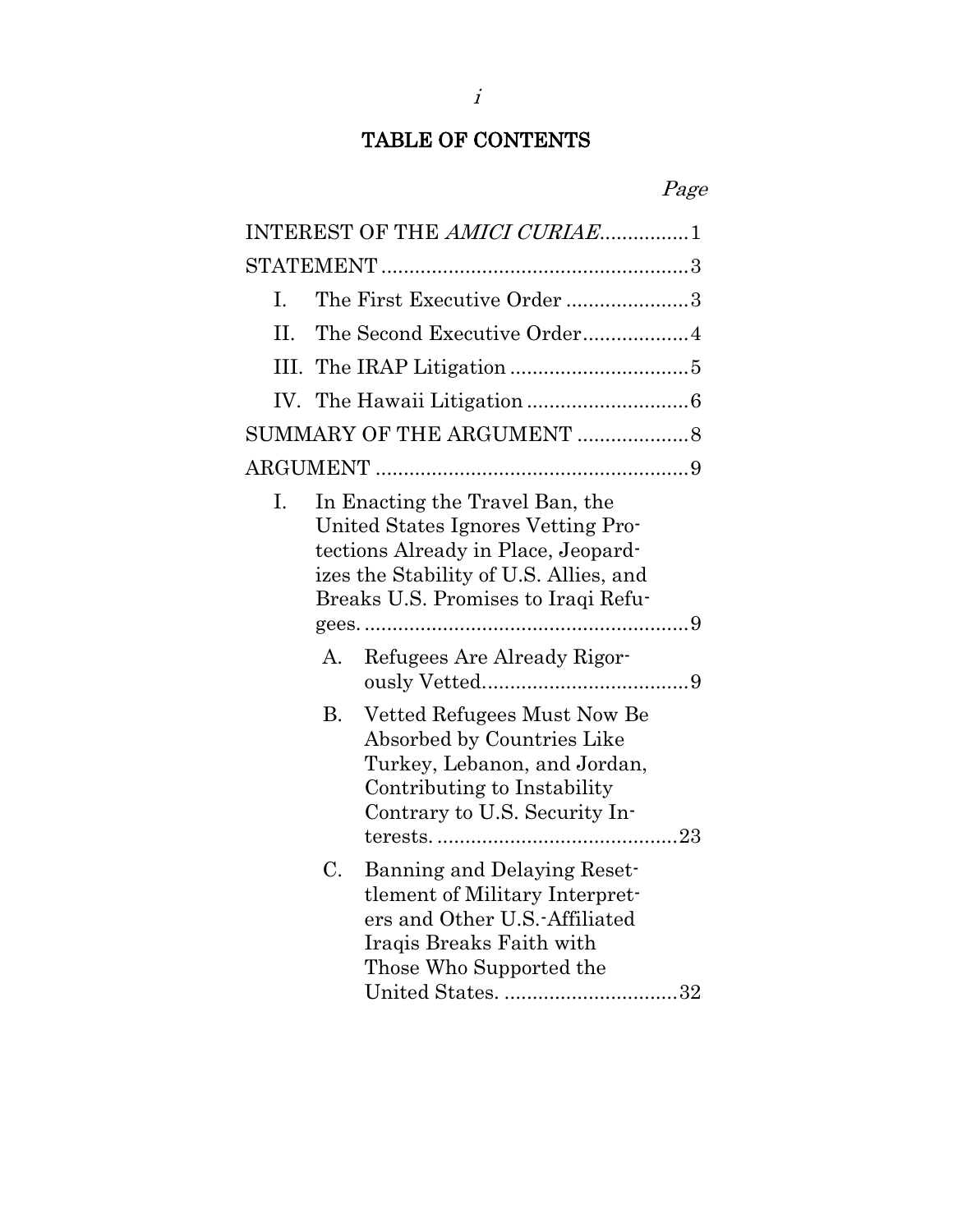## TABLE OF CONTENTS

## Page

|      | INTEREST OF THE AMICI CURIAE1                                                                                                                                                                 |  |
|------|-----------------------------------------------------------------------------------------------------------------------------------------------------------------------------------------------|--|
|      |                                                                                                                                                                                               |  |
| L.   | The First Executive Order 3                                                                                                                                                                   |  |
| H.   | The Second Executive Order4                                                                                                                                                                   |  |
| III. |                                                                                                                                                                                               |  |
|      |                                                                                                                                                                                               |  |
|      | SUMMARY OF THE ARGUMENT 8                                                                                                                                                                     |  |
|      |                                                                                                                                                                                               |  |
| Ι.   | In Enacting the Travel Ban, the<br>United States Ignores Vetting Pro-<br>tections Already in Place, Jeopard-<br>izes the Stability of U.S. Allies, and<br>Breaks U.S. Promises to Iraqi Refu- |  |
|      | Refugees Are Already Rigor-<br>A.                                                                                                                                                             |  |
|      | <b>B.</b><br>Vetted Refugees Must Now Be<br>Absorbed by Countries Like<br>Turkey, Lebanon, and Jordan,<br>Contributing to Instability<br>Contrary to U.S. Security In-                        |  |
|      | Banning and Delaying Reset-<br>C.<br>tlement of Military Interpret-<br>ers and Other U.S.-Affiliated<br>Iraqis Breaks Faith with<br>Those Who Supported the<br>United States. 32              |  |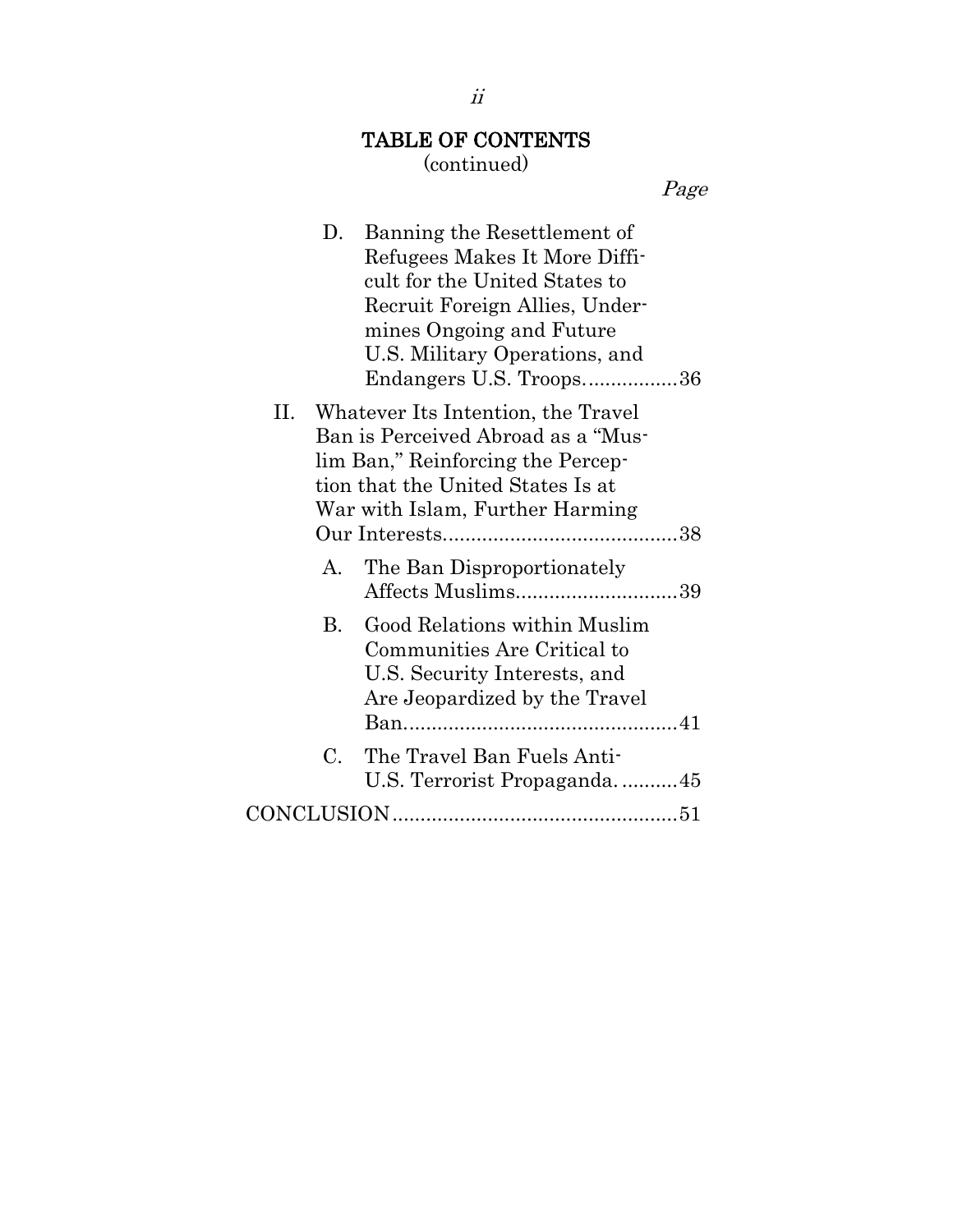# TABLE OF CONTENTS

## (continued)

Page

| D.             | Banning the Resettlement of<br>Refugees Makes It More Diffi-<br>cult for the United States to<br>Recruit Foreign Allies, Under-<br>mines Ongoing and Future<br>U.S. Military Operations, and<br>Endangers U.S. Troops36 |  |
|----------------|-------------------------------------------------------------------------------------------------------------------------------------------------------------------------------------------------------------------------|--|
| П.             | Whatever Its Intention, the Travel<br>Ban is Perceived Abroad as a "Mus-<br>lim Ban," Reinforcing the Percep-<br>tion that the United States Is at<br>War with Islam, Further Harming                                   |  |
|                |                                                                                                                                                                                                                         |  |
| A.             | The Ban Disproportionately<br>Affects Muslims39                                                                                                                                                                         |  |
| $\mathbf{B}$ . | Good Relations within Muslim<br>Communities Are Critical to<br>U.S. Security Interests, and<br>Are Jeopardized by the Travel                                                                                            |  |
| C.             | The Travel Ban Fuels Anti-<br>U.S. Terrorist Propaganda45                                                                                                                                                               |  |
|                |                                                                                                                                                                                                                         |  |

ii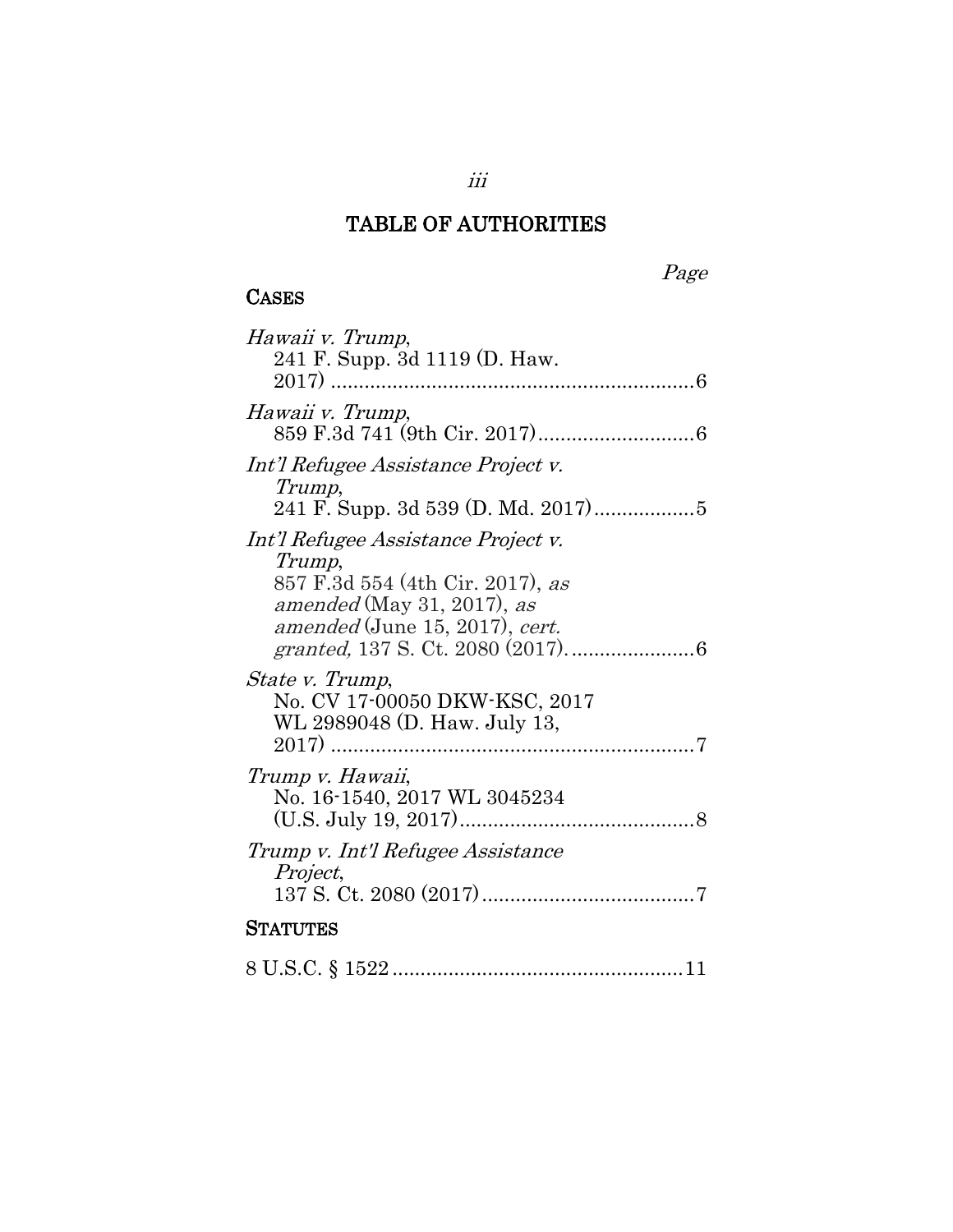#### **CASES**

Page

| Hawaii v. Trump,                                                                                                                                  |
|---------------------------------------------------------------------------------------------------------------------------------------------------|
| 241 F. Supp. 3d 1119 (D. Haw.                                                                                                                     |
| Hawaii v. Trump,                                                                                                                                  |
| Int'l Refugee Assistance Project v.<br>Trump,                                                                                                     |
| Int'l Refugee Assistance Project v.<br>Trump,<br>857 F.3d 554 (4th Cir. 2017), as<br>amended (May 31, 2017), as<br>amended (June 15, 2017), cert. |
| <i>State v. Trump,</i><br>No. CV 17-00050 DKW-KSC, 2017<br>WL 2989048 (D. Haw. July 13,                                                           |
| Trump v. Hawaii,<br>No. 16-1540, 2017 WL 3045234                                                                                                  |
| Trump v. Int'l Refugee Assistance<br>Project,                                                                                                     |
| STATUTES                                                                                                                                          |
|                                                                                                                                                   |

iii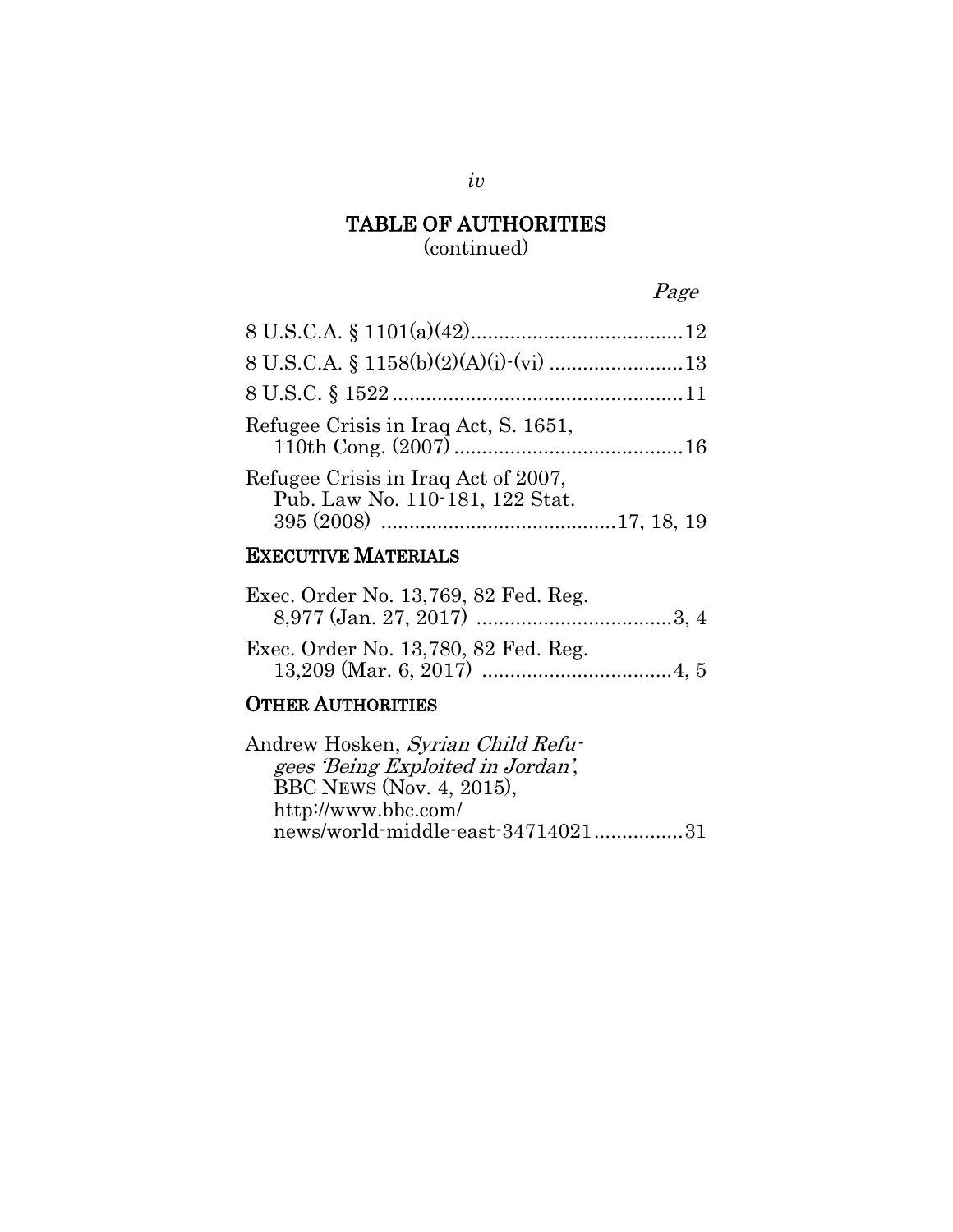### Page

| Refugee Crisis in Iraq Act, S. 1651,                                   |  |
|------------------------------------------------------------------------|--|
| Refugee Crisis in Iraq Act of 2007,<br>Pub. Law No. 110-181, 122 Stat. |  |
|                                                                        |  |

### EXECUTIVE MATERIALS

| Exec. Order No. 13,769, 82 Fed. Reg. |  |
|--------------------------------------|--|
| Exec. Order No. 13,780, 82 Fed. Reg. |  |

#### OTHER AUTHORITIES

| news/world-middle-east-3471402131 |
|-----------------------------------|
|                                   |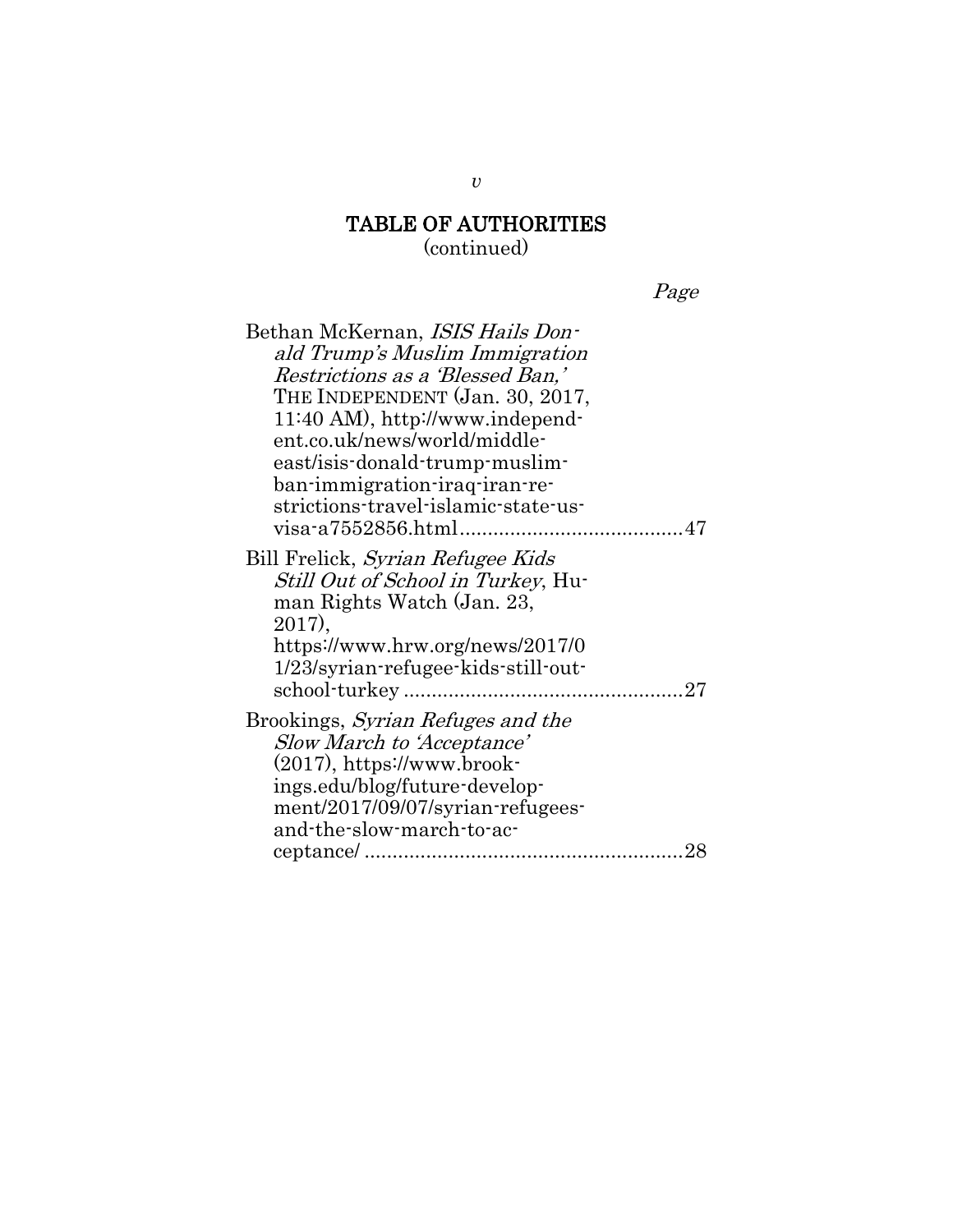Page

| Bethan McKernan, ISIS Hails Don-<br>ald Trump's Muslim Immigration<br>Restrictions as a 'Blessed Ban,'<br>THE INDEPENDENT (Jan. 30, 2017,<br>11:40 AM), http://www.independ-<br>ent.co.uk/news/world/middle-<br>east/isis-donald-trump-muslim-<br>ban-immigration-iraq-iran-re-<br>strictions-travel-islamic-state-us- |  |
|------------------------------------------------------------------------------------------------------------------------------------------------------------------------------------------------------------------------------------------------------------------------------------------------------------------------|--|
| Bill Frelick, Syrian Refugee Kids<br><i>Still Out of School in Turkey</i> , Hu-<br>man Rights Watch (Jan. 23,<br>2017),<br>https://www.hrw.org/news/2017/0<br>1/23/syrian-refugee-kids-still-out-                                                                                                                      |  |
| Brookings, <i>Syrian Refuges and the</i><br><b>Slow March to 'Acceptance'</b><br>$(2017)$ , https://www.brook-<br>ings.edu/blog/future-develop-<br>ment/2017/09/07/syrian-refugees-<br>and-the-slow-march-to-ac-                                                                                                       |  |

*v*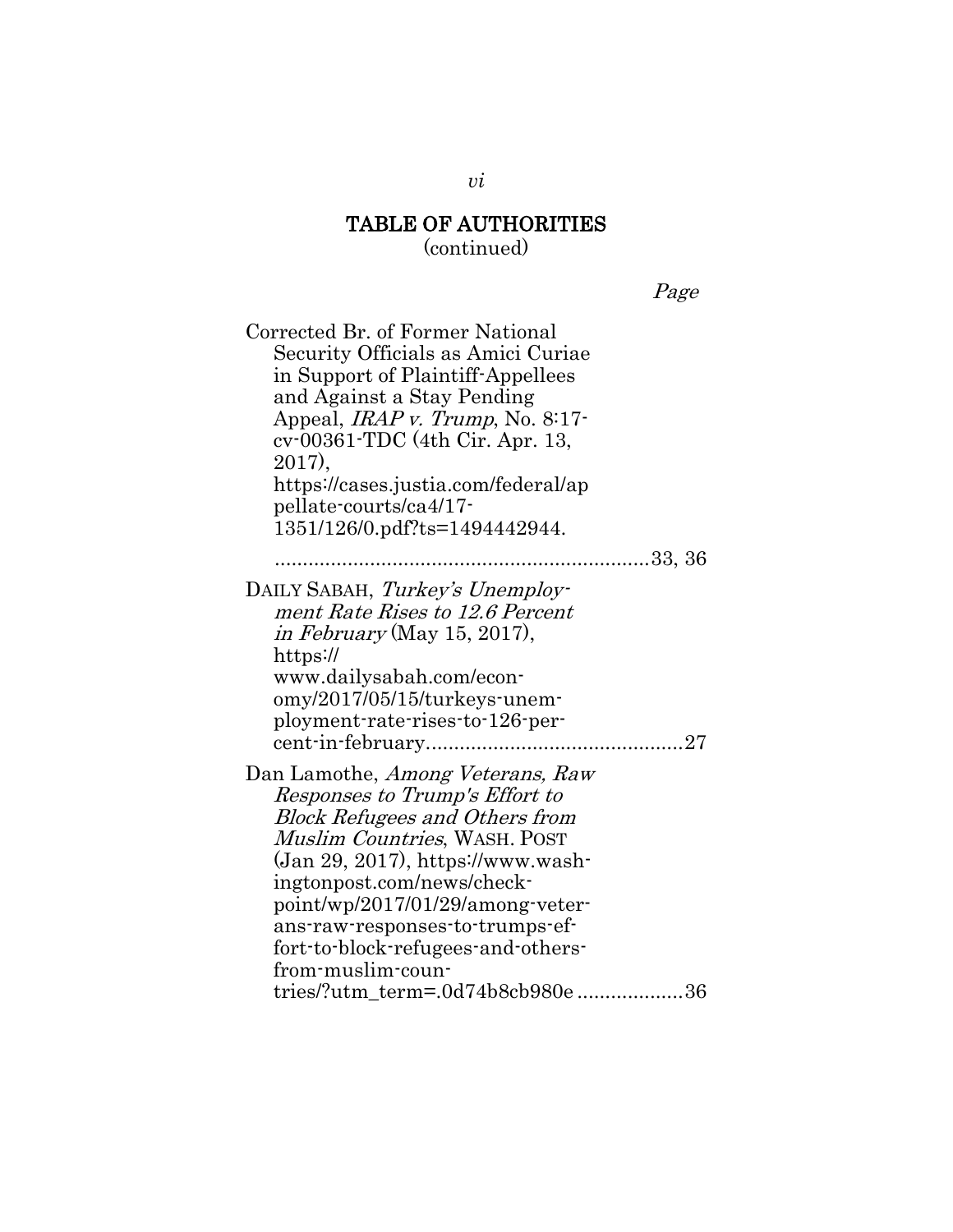(continued)

Page

| Corrected Br. of Former National<br>Security Officials as Amici Curiae<br>in Support of Plaintiff-Appellees<br>and Against a Stay Pending<br>Appeal, <i>IRAP v. Trump</i> , No. 8:17-<br>cv-00361-TDC (4th Cir. Apr. 13,<br>2017),<br>https://cases.justia.com/federal/ap<br>pellate-courts/ca4/17-<br>1351/126/0.pdf?ts=1494442944.                                                |  |
|-------------------------------------------------------------------------------------------------------------------------------------------------------------------------------------------------------------------------------------------------------------------------------------------------------------------------------------------------------------------------------------|--|
| 33, 36                                                                                                                                                                                                                                                                                                                                                                              |  |
| DAILY SABAH, Turkey's Unemploy-<br>ment Rate Rises to 12.6 Percent<br><i>in February</i> (May 15, 2017),<br>https://<br>www.dailysabah.com/econ-<br>omy/2017/05/15/turkeys-unem-<br>ployment-rate-rises-to-126-per-<br>cent-in-february                                                                                                                                             |  |
| Dan Lamothe, Among Veterans, Raw<br>Responses to Trump's Effort to<br><b>Block Refugees and Others from</b><br>Muslim Countries, WASH. POST<br>(Jan 29, 2017), https://www.wash-<br>ingtonpost.com/news/check-<br>point/wp/2017/01/29/among-veter-<br>ans-raw-responses-to-trumps-ef-<br>fort-to-block-refugees-and-others-<br>from-muslim-coun-<br>tries/?utm_term=.0d74b8cb980e36 |  |

*vi*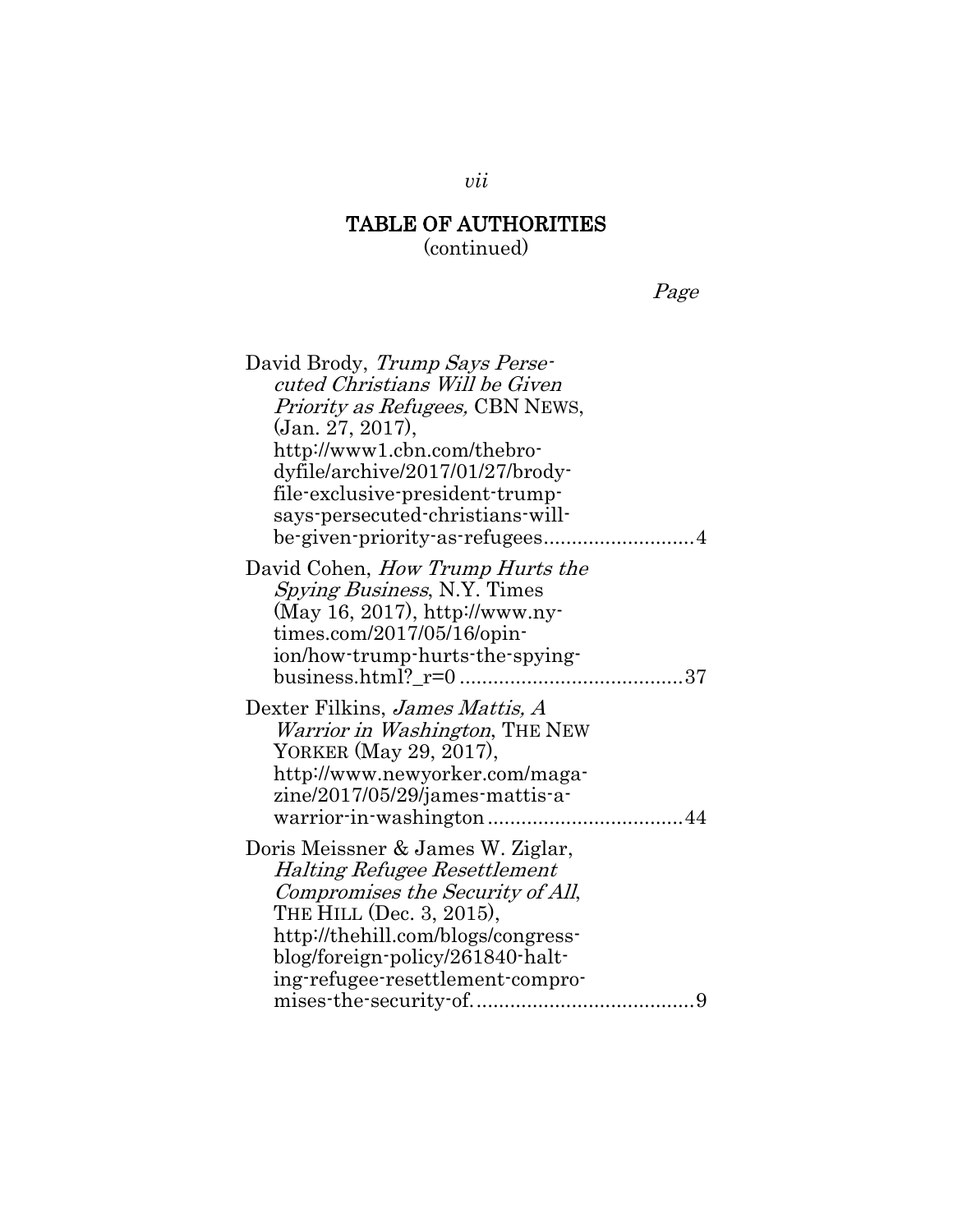(continued)

Page

| David Brody, Trump Says Perse-<br>cuted Christians Will be Given<br><i>Priority as Refugees, CBN NEWS,</i><br>(Jan. 27, 2017),<br>http://www1.cbn.com/thebro-<br>dyfile/archive/2017/01/27/brody-<br>file-exclusive-president-trump-                   |
|--------------------------------------------------------------------------------------------------------------------------------------------------------------------------------------------------------------------------------------------------------|
| says-persecuted-christians-will-<br>be-given-priority-as-refugees4                                                                                                                                                                                     |
| David Cohen, <i>How Trump Hurts the</i><br><i>Spying Business, N.Y. Times</i><br>(May 16, 2017), http://www.ny-<br>times.com/2017/05/16/opin-<br>ion/how-trump-hurts-the-spying-                                                                       |
| Dexter Filkins, James Mattis, A<br><i>Warrior in Washington</i> , THE NEW<br>YORKER (May 29, 2017),<br>http://www.newyorker.com/maga-<br>zine/2017/05/29/james-mattis-a-                                                                               |
| Doris Meissner & James W. Ziglar,<br><b>Halting Refugee Resettlement</b><br>Compromises the Security of All,<br>THE HILL (Dec. 3, 2015),<br>http://thehill.com/blogs/congress-<br>blog/foreign-policy/261840-halt-<br>ing-refugee-resettlement-compro- |

*vii*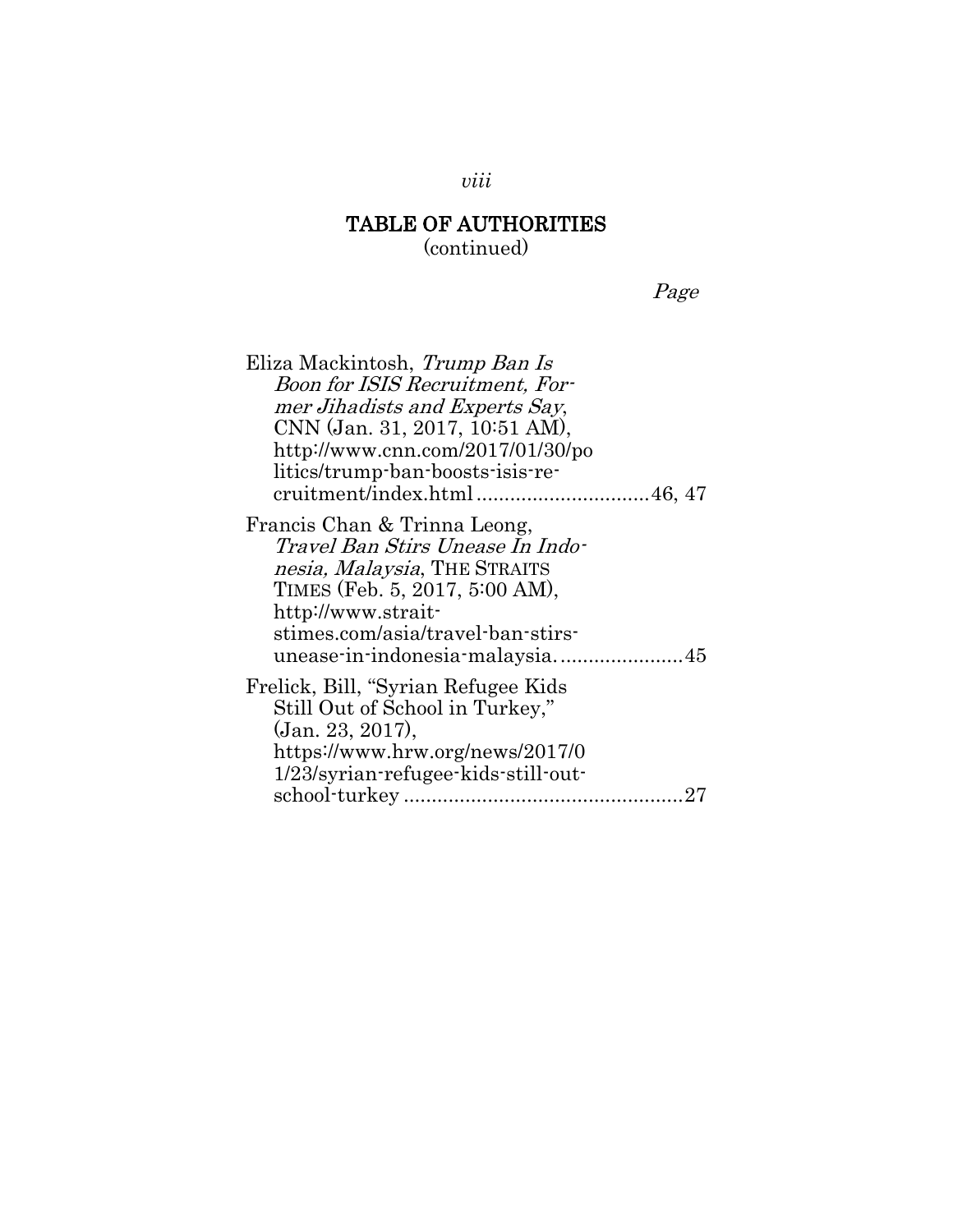Page

| Eliza Mackintosh, Trump Ban Is                                                                                                                                                                                                  |
|---------------------------------------------------------------------------------------------------------------------------------------------------------------------------------------------------------------------------------|
| Boon for ISIS Recruitment, For-                                                                                                                                                                                                 |
| mer Jihadists and Experts Say,                                                                                                                                                                                                  |
| CNN (Jan. 31, 2017, 10:51 AM),                                                                                                                                                                                                  |
| http://www.cnn.com/2017/01/30/po                                                                                                                                                                                                |
| litics/trump-ban-boosts-isis-re-                                                                                                                                                                                                |
|                                                                                                                                                                                                                                 |
| Francis Chan & Trinna Leong,<br>Travel Ban Stirs Unease In Indo-<br>nesia, Malaysia, THE STRAITS<br>TIMES (Feb. 5, 2017, 5:00 AM),<br>http://www.strait-<br>stimes.com/asia/travel-ban-stirs-<br>unease-in-indonesia-malaysia45 |
| Frelick, Bill, "Syrian Refugee Kids"<br>Still Out of School in Turkey,"<br>(Jan. 23, 2017),                                                                                                                                     |
| https://www.hrw.org/news/2017/0                                                                                                                                                                                                 |
| 1/23/syrian-refugee-kids-still-out-                                                                                                                                                                                             |
| 27                                                                                                                                                                                                                              |

*viii*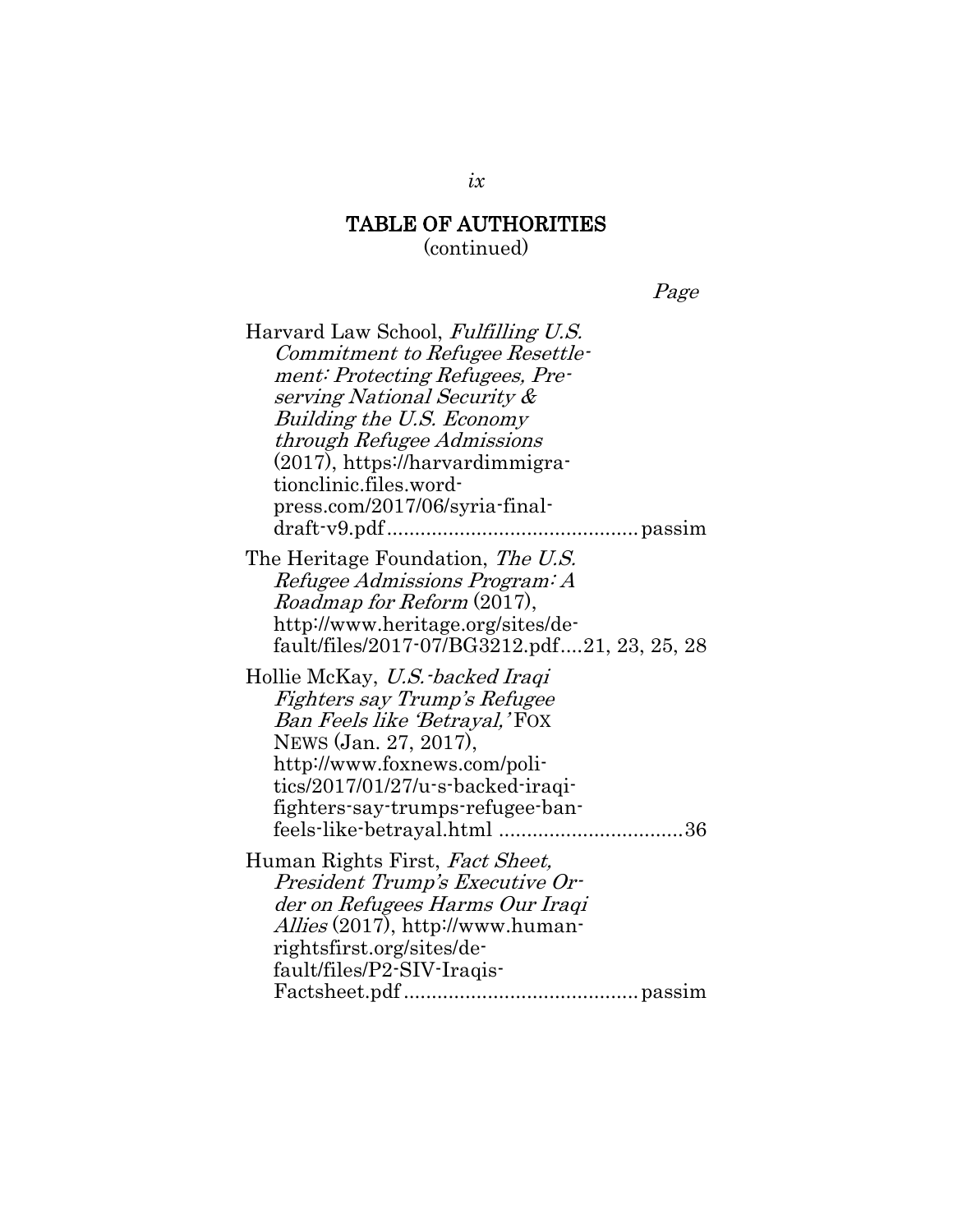Page

| Harvard Law School, Fulfilling U.S.          |
|----------------------------------------------|
| Commitment to Refugee Resettle-              |
| ment: Protecting Refugees, Pre-              |
| serving National Security &                  |
| Building the U.S. Economy                    |
| through Refugee Admissions                   |
| (2017), https://harvardimmigra-              |
| tionclinic.files.word-                       |
| press.com/2017/06/syria-final-               |
|                                              |
| The Heritage Foundation, The U.S.            |
| Refugee Admissions Program: A                |
| Roadmap for Reform (2017),                   |
| http://www.heritage.org/sites/de-            |
| fault/files/2017-07/BG3212.pdf21, 23, 25, 28 |
| Hollie McKay, U.S. backed Iraqi              |
| Fighters say Trump's Refugee                 |
| Ban Feels like 'Betrayal,'FOX                |
| NEWS (Jan. 27, 2017),                        |
| http://www.foxnews.com/poli-                 |
| tics/2017/01/27/u-s-backed-iraqi-            |
| fighters-say-trumps-refugee-ban-             |
|                                              |
| Human Rights First, Fact Sheet,              |
| President Trump's Executive Or-              |
| der on Refugees Harms Our Iraqi              |
| <i>Allies</i> (2017), http://www.human-      |
| rightsfirst.org/sites/de-                    |
| fault/files/P2-SIV-Iraqis-                   |
|                                              |

*ix*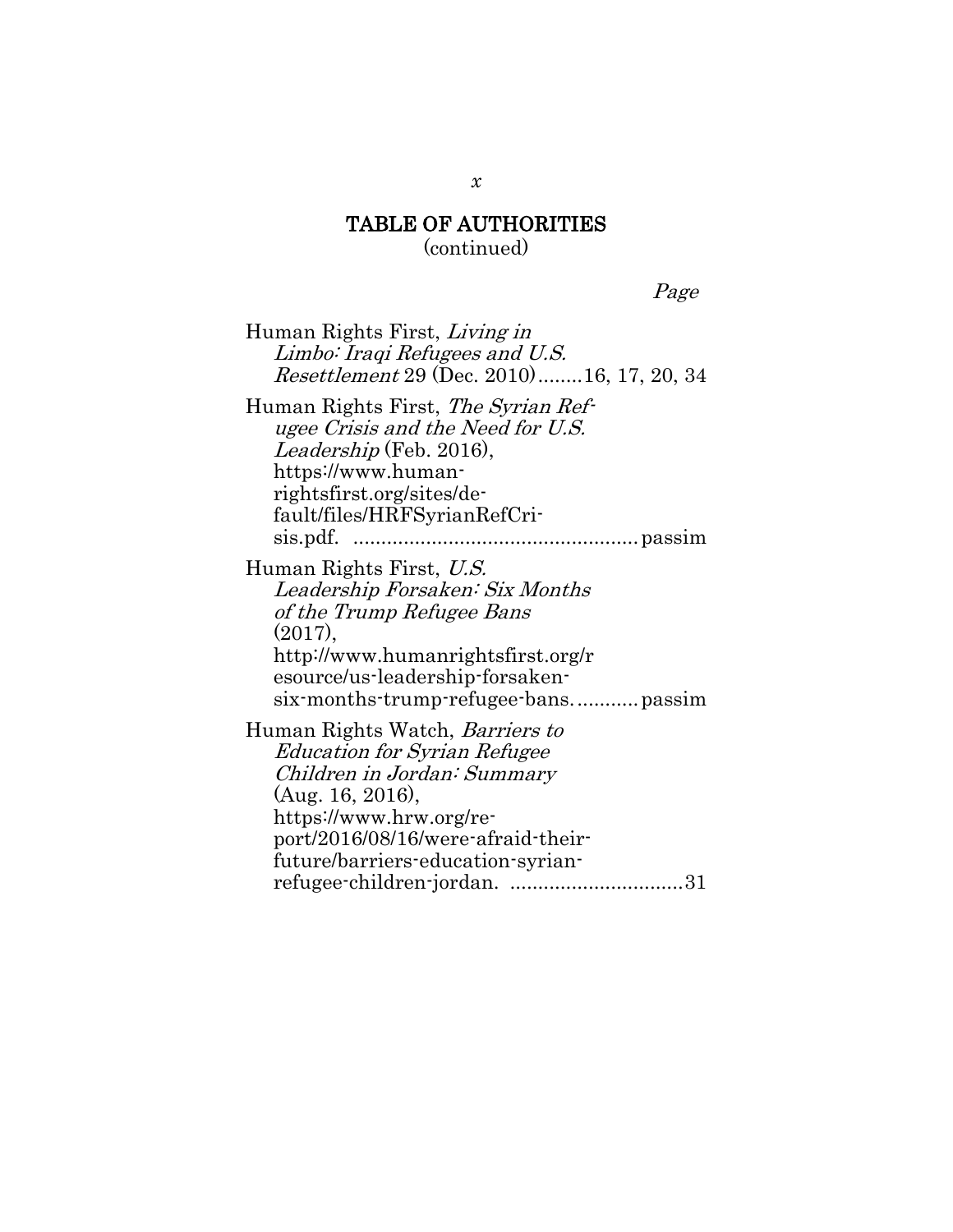Page

Human Rights First, Living in Limbo: Iraqi Refugees and U.S. Resettlement 29 (Dec. 2010).......[.16,](#page-37-1) 17, 20, 34 Human Rights First, The Syrian Refugee Crisis and the Need for U.S. Leadership (Feb. 2016), https://www.humanrightsfirst.org/sites/default/files/HRFSyrianRefCrisis.pdf. ...................................................passim Human Rights First, U.S. Leadership Forsaken: Six Months of the Trump Refugee Bans (2017), http://www.humanrightsfirst.org/r esource/us-leadership-forsakensix-months-trump-refugee-bans............passim Human Rights Watch, Barriers to Education for Syrian Refugee Children in Jordan: Summary (Aug. 16, 2016), https://www.hrw.org/report/2016/08/16/were-afraid-theirfuture/barriers-education-syrianrefugee-children-jordan. ...............................31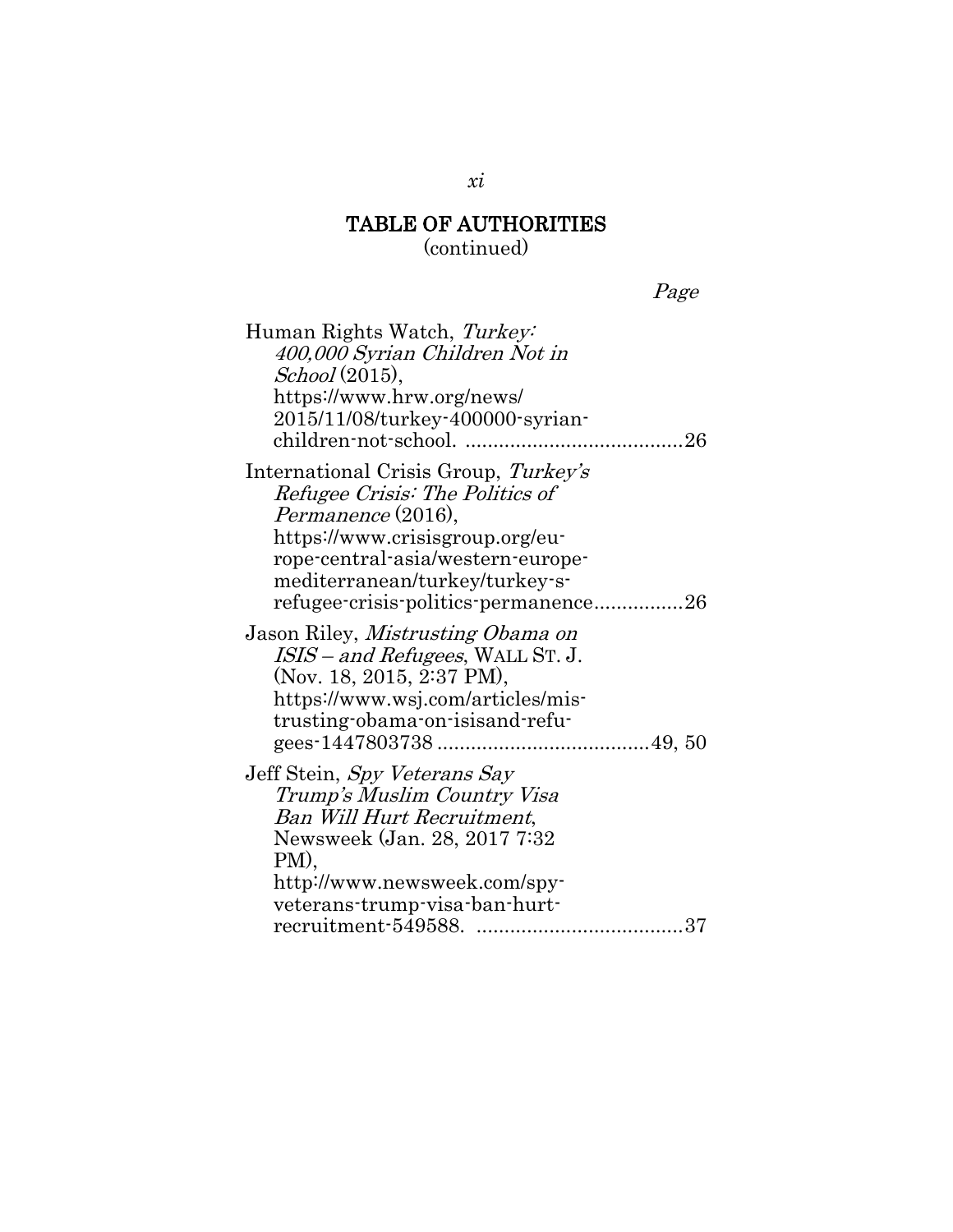(continued)

Page

| Human Rights Watch, Turkey:<br>400,000 Syrian Children Not in<br>School(2015),<br>https://www.hrw.org/news/<br>2015/11/08/turkey-400000-syrian-                                                                                                 |
|-------------------------------------------------------------------------------------------------------------------------------------------------------------------------------------------------------------------------------------------------|
| International Crisis Group, Turkey's<br>Refugee Crisis: The Politics of<br>Permanence (2016),<br>https://www.crisisgroup.org/eu-<br>rope-central-asia/western-europe-<br>mediterranean/turkey/turkey-s-<br>refugee-crisis-politics-permanence26 |
| Jason Riley, Mistrusting Obama on<br><i>ISIS – and Refugees</i> , WALL ST. J.<br>(Nov. 18, 2015, 2:37 PM),<br>https://www.wsj.com/articles/mis-<br>trusting-obama-on-isisand-refu-                                                              |
| Jeff Stein, Spy Veterans Say<br>Trump's Muslim Country Visa<br>Ban Will Hurt Recruitment,<br>Newsweek (Jan. 28, 2017 7:32<br>PM),<br>http://www.newsweek.com/spy-<br>veterans-trump-visa-ban-hurt-                                              |

#### *xi*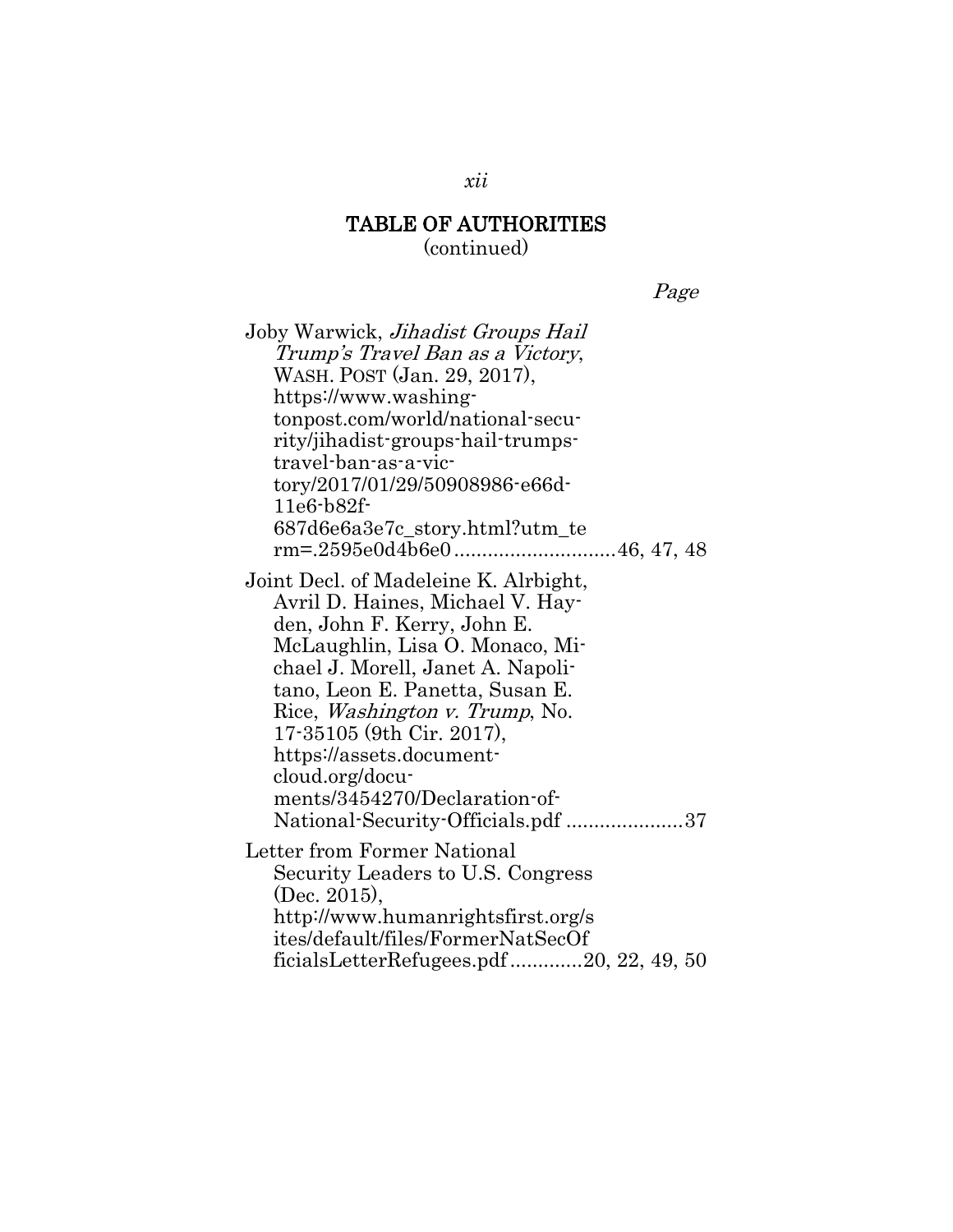(continued)

Page

| Joby Warwick, <i>Jihadist Groups Hail</i>                                                                                                                                                                                                                                                                                                                                  |
|----------------------------------------------------------------------------------------------------------------------------------------------------------------------------------------------------------------------------------------------------------------------------------------------------------------------------------------------------------------------------|
| Trump's Travel Ban as a Victory,                                                                                                                                                                                                                                                                                                                                           |
| WASH. POST (Jan. 29, 2017),                                                                                                                                                                                                                                                                                                                                                |
| https://www.washing-                                                                                                                                                                                                                                                                                                                                                       |
| tonpost.com/world/national-secu-                                                                                                                                                                                                                                                                                                                                           |
| rity/jihadist-groups-hail-trumps-                                                                                                                                                                                                                                                                                                                                          |
| travel-ban-as-a-vic-                                                                                                                                                                                                                                                                                                                                                       |
| tory/2017/01/29/50908986-e66d-<br>$11e6-b82f$                                                                                                                                                                                                                                                                                                                              |
| 687d6e6a3e7c_story.html?utm_te                                                                                                                                                                                                                                                                                                                                             |
|                                                                                                                                                                                                                                                                                                                                                                            |
| Joint Decl. of Madeleine K. Alrbight,<br>Avril D. Haines, Michael V. Hay-<br>den, John F. Kerry, John E.<br>McLaughlin, Lisa O. Monaco, Mi-<br>chael J. Morell, Janet A. Napoli-<br>tano, Leon E. Panetta, Susan E.<br>Rice, <i>Washington v. Trump</i> , No.<br>17-35105 (9th Cir. 2017),<br>https://assets.document-<br>cloud.org/docu-<br>ments/3454270/Declaration-of- |
| National-Security-Officials.pdf 37                                                                                                                                                                                                                                                                                                                                         |
| Letter from Former National                                                                                                                                                                                                                                                                                                                                                |
| Security Leaders to U.S. Congress                                                                                                                                                                                                                                                                                                                                          |
| (Dec. 2015),<br>http://www.humanrightsfirst.org/s                                                                                                                                                                                                                                                                                                                          |
| ites/default/files/FormerNatSecOf                                                                                                                                                                                                                                                                                                                                          |
| ficialsLetterRefugees.pdf20, 22, 49, 50                                                                                                                                                                                                                                                                                                                                    |
|                                                                                                                                                                                                                                                                                                                                                                            |

*xii*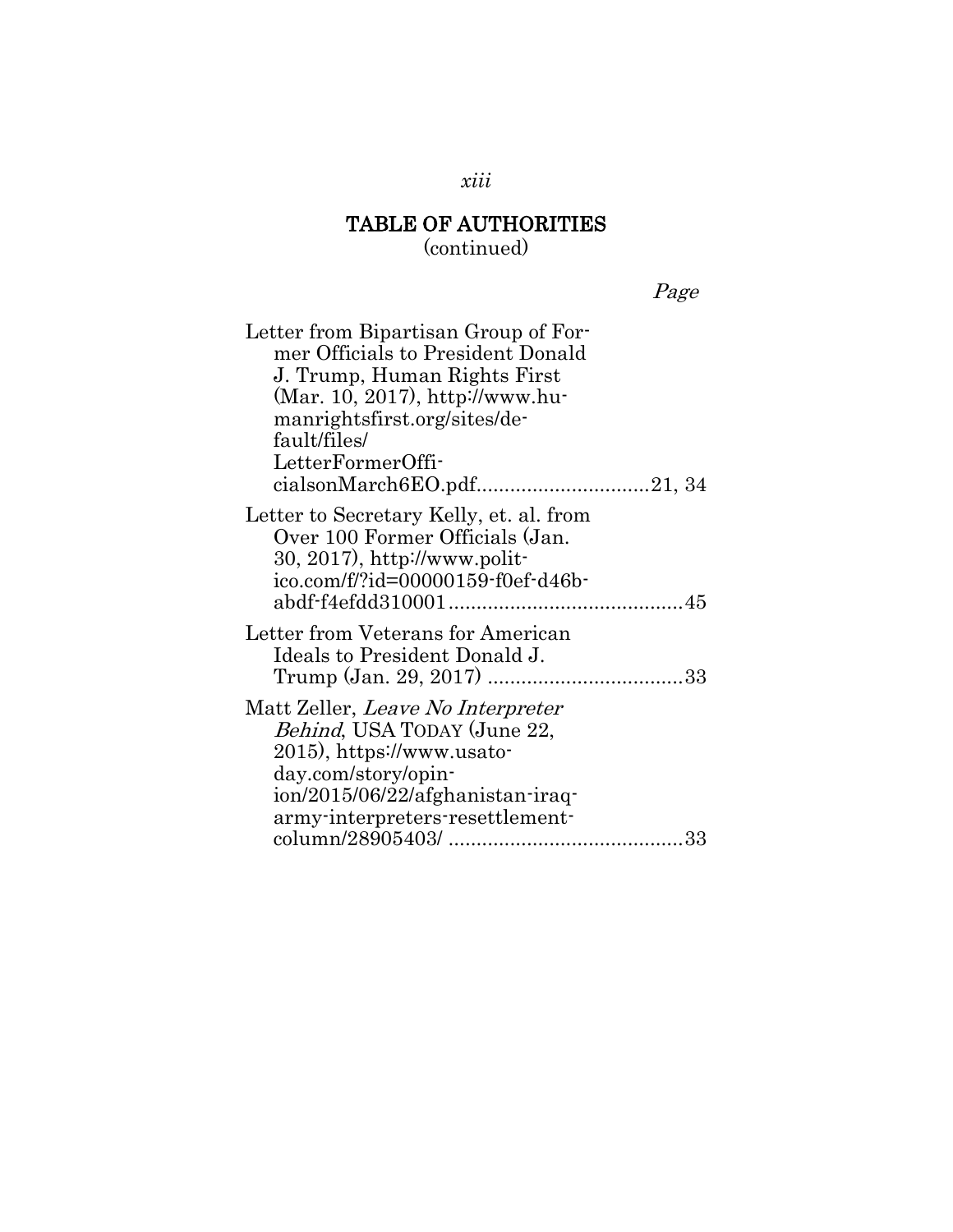(continued)

| $d^{g}$ |  |
|---------|--|
|         |  |

| Letter from Bipartisan Group of For-                                                                                                              |
|---------------------------------------------------------------------------------------------------------------------------------------------------|
| mer Officials to President Donald                                                                                                                 |
| J. Trump, Human Rights First                                                                                                                      |
| (Mar. 10, 2017), http://www.hu-                                                                                                                   |
| manrightsfirst.org/sites/de-                                                                                                                      |
| fault/files/                                                                                                                                      |
| LetterFormerOffi-                                                                                                                                 |
|                                                                                                                                                   |
| Letter to Secretary Kelly, et. al. from<br>Over 100 Former Officials (Jan.<br>$30, 2017$ , http://www.polit-<br>ico.com/f/?id=00000159-f0ef-d46b- |
|                                                                                                                                                   |
| Letter from Veterans for American<br>Ideals to President Donald J.                                                                                |
| Matt Zeller, Leave No Interpreter<br><i>Behind</i> , USA TODAY (June 22,<br>2015), https://www.usato-                                             |
| day.com/story/opin-                                                                                                                               |
| ion/2015/06/22/afghanistan-iraq-                                                                                                                  |
| army-interpreters-resettlement-                                                                                                                   |
|                                                                                                                                                   |

*xiii*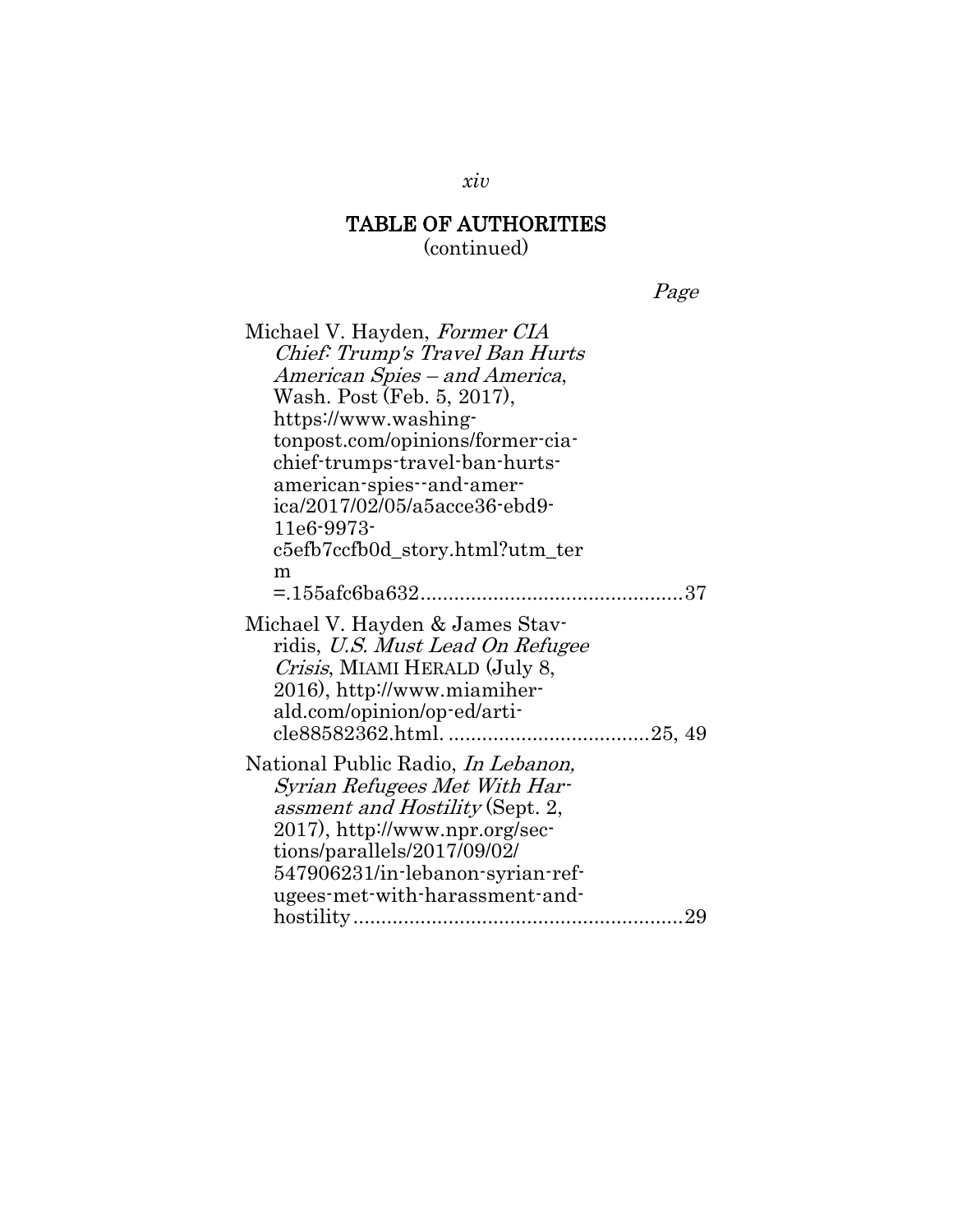Page

| Michael V. Hayden, Former CIA                                                                                                                                                                                                                         |
|-------------------------------------------------------------------------------------------------------------------------------------------------------------------------------------------------------------------------------------------------------|
| Chief: Trump's Travel Ban Hurts                                                                                                                                                                                                                       |
| American Spies – and America,                                                                                                                                                                                                                         |
| Wash. Post (Feb. 5, 2017),                                                                                                                                                                                                                            |
| https://www.washing-                                                                                                                                                                                                                                  |
| tonpost.com/opinions/former-cia-                                                                                                                                                                                                                      |
| chief-trumps-travel-ban-hurts-                                                                                                                                                                                                                        |
| american-spies-and-amer-                                                                                                                                                                                                                              |
| ica/2017/02/05/a5acce36-ebd9-                                                                                                                                                                                                                         |
| $11e6 - 9973$                                                                                                                                                                                                                                         |
| c5efb7ccfb0d_story.html?utm_ter                                                                                                                                                                                                                       |
| m                                                                                                                                                                                                                                                     |
|                                                                                                                                                                                                                                                       |
| Michael V. Hayden & James Stav-<br>ridis, U.S. Must Lead On Refugee<br>Crisis, MIAMI HERALD (July 8,<br>2016), http://www.miamiher-<br>ald.com/opinion/op-ed/arti-                                                                                    |
| National Public Radio, <i>In Lebanon</i> ,<br>Syrian Refugees Met With Har-<br>assment and Hostility (Sept. 2,<br>2017), http://www.npr.org/sec-<br>tions/parallels/2017/09/02/<br>547906231/in-lebanon-syrian-ref-<br>ugees-met-with-harassment-and- |
|                                                                                                                                                                                                                                                       |

*xiv*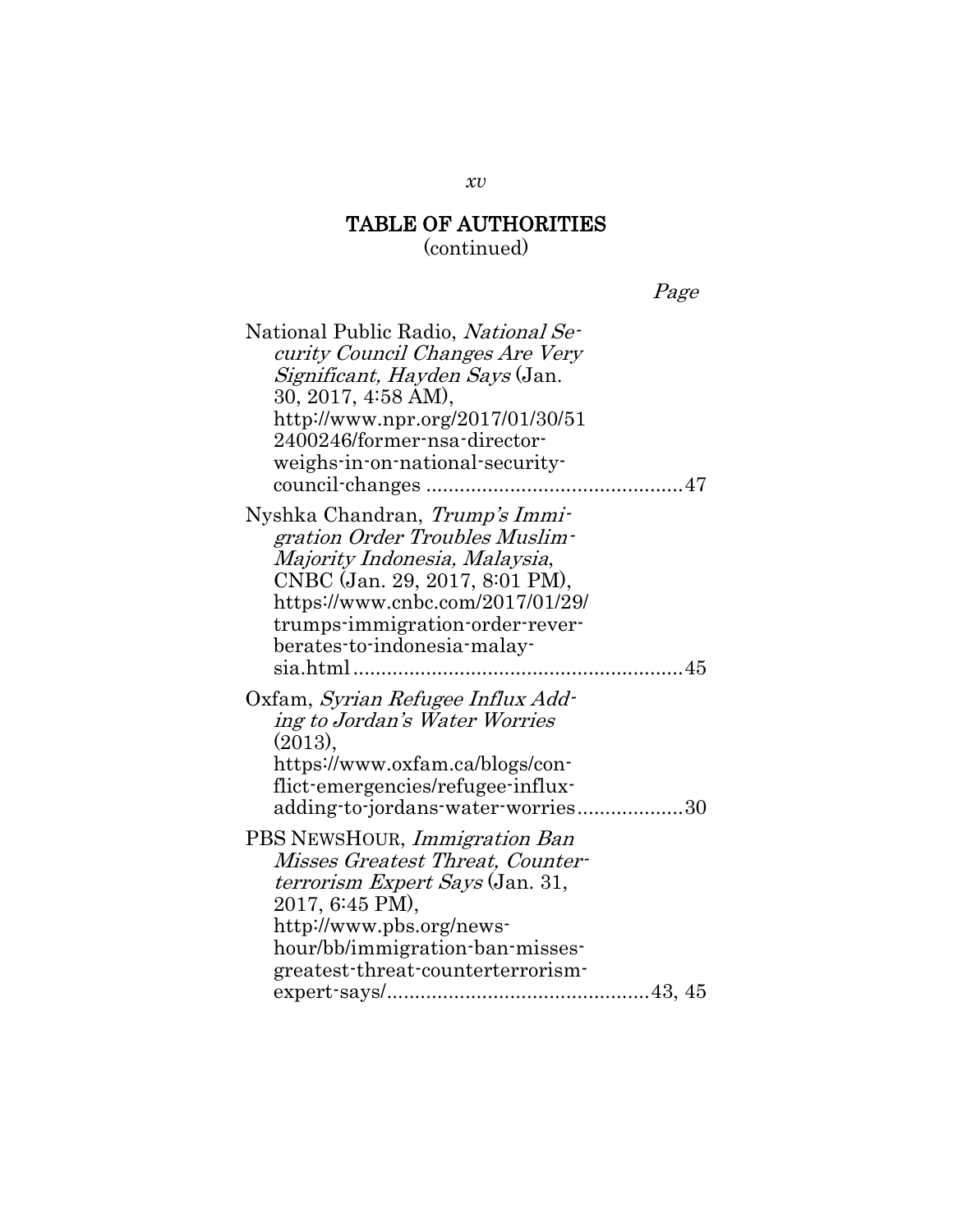Page

| National Public Radio, National Se-    |
|----------------------------------------|
| curity Council Changes Are Very        |
| <i>Significant, Hayden Says</i> (Jan.  |
| 30, 2017, 4:58 AM),                    |
| http://www.npr.org/2017/01/30/51       |
| 2400246/former-nsa-director-           |
| weighs-in-on-national-security-        |
|                                        |
| Nyshka Chandran, Trump's Immi-         |
| gration Order Troubles Muslim-         |
| Majority Indonesia, Malaysia,          |
| CNBC (Jan. 29, 2017, 8:01 PM),         |
| https://www.cnbc.com/2017/01/29/       |
| trumps-immigration-order-rever-        |
| berates-to-indonesia-malay-            |
|                                        |
| Oxfam, Syrian Refugee Influx Add-      |
| ing to Jordan's Water Worries          |
| $(2013)$ ,                             |
| https://www.oxfam.ca/blogs/con-        |
| flict-emergencies/refugee-influx-      |
| adding-to-jordans-water-worries30      |
| PBS NEWSHOUR, <i>Immigration Ban</i>   |
| Misses Greatest Threat, Counter-       |
| <i>terrorism Expert Says</i> (Jan. 31, |
| 2017, 6:45 PM),                        |
| http://www.pbs.org/news-               |
| hour/bb/immigration-ban-misses-        |
| greatest-threat-counterterrorism-      |
|                                        |
|                                        |

*xv*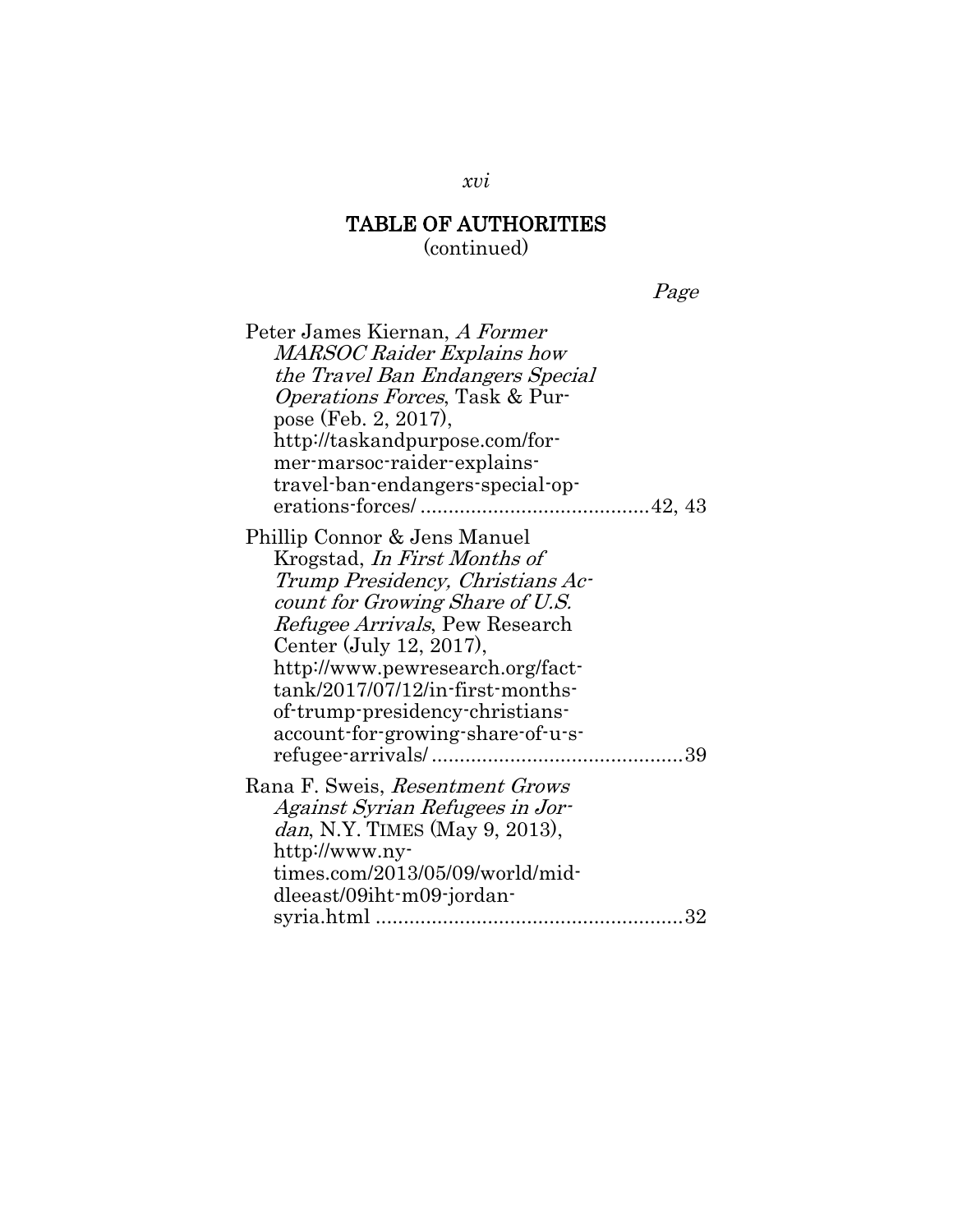Page

| Peter James Kiernan, A Former          |
|----------------------------------------|
| MARSOC Raider Explains how             |
| the Travel Ban Endangers Special       |
| <i>Operations Forces</i> , Task & Pur- |
| pose (Feb. 2, 2017),                   |
| http://taskandpurpose.com/for-         |
| mer-marsoc-raider-explains-            |
| travel-ban-endangers-special-op-       |
|                                        |
| Phillip Connor & Jens Manuel           |
| Krogstad, <i>In First Months of</i>    |
| Trump Presidency, Christians Ac-       |
| count for Growing Share of U.S.        |
| Refugee Arrivals, Pew Research         |
| Center (July 12, 2017),                |
| http://www.pewresearch.org/fact-       |
| $tank/2017/07/12/in$ -first-months-    |
| of-trump-presidency-christians-        |
| account-for-growing-share-of-u-s-      |
|                                        |
|                                        |
| Rana F. Sweis, Resentment Grows        |
| Against Syrian Refugees in Jor-        |
| <i>dan</i> , N.Y. TIMES (May 9, 2013), |
| http://www.ny-                         |
| times.com/2013/05/09/world/mid-        |
| dleeast/09iht-m09-jordan-              |
| 32                                     |

#### *xvi*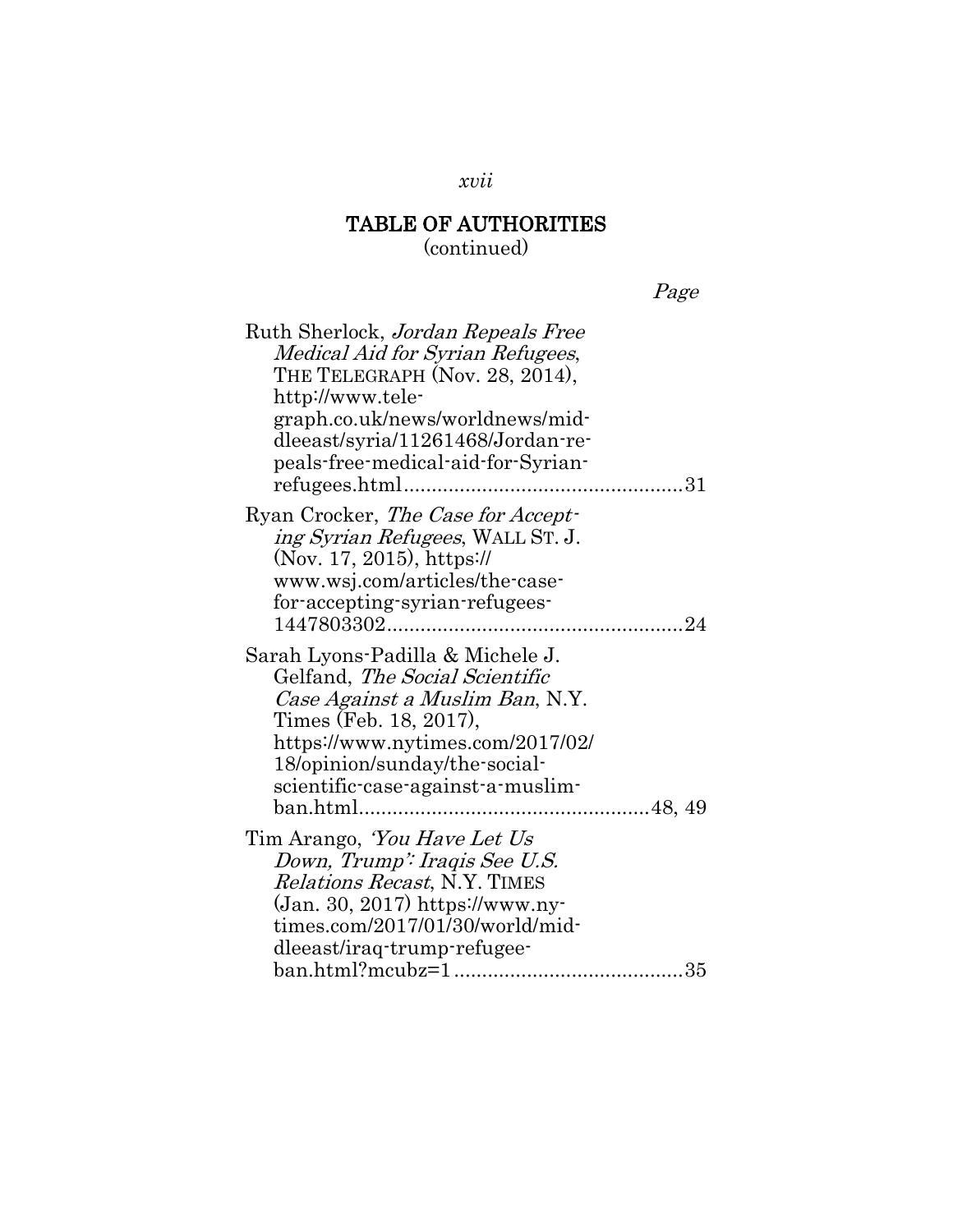(continued)

| r F.<br>71<br>. . |
|-------------------|
|-------------------|

| Ruth Sherlock, Jordan Repeals Free  |
|-------------------------------------|
| Medical Aid for Syrian Refugees,    |
| THE TELEGRAPH (Nov. 28, 2014),      |
| http://www.tele-                    |
| graph.co.uk/news/worldnews/mid-     |
| dleeast/syria/11261468/Jordan-re-   |
| peals-free-medical-aid-for-Syrian-  |
|                                     |
|                                     |
| Ryan Crocker, The Case for Accept-  |
| ing Syrian Refugees, WALL ST. J.    |
| (Nov. 17, 2015), https://           |
| www.wsj.com/articles/the-case-      |
| for-accepting-syrian-refugees-      |
|                                     |
|                                     |
| Sarah Lyons-Padilla & Michele J.    |
| Gelfand, The Social Scientific      |
| Case Against a Muslim Ban, N.Y.     |
| Times (Feb. 18, 2017),              |
| https://www.nytimes.com/2017/02/    |
| 18/opinion/sunday/the-social-       |
| scientific-case-against-a-muslim-   |
|                                     |
|                                     |
| Tim Arango, <i>'You Have Let Us</i> |
| Down, Trump': Iraqis See U.S.       |
| <i>Relations Recast, N.Y. TIMES</i> |
| $(Jan. 30, 2017)$ https://www.ny-   |
| times.com/2017/01/30/world/mid-     |
| dleeast/iraq-trump-refugee-         |
|                                     |
|                                     |

*xvii*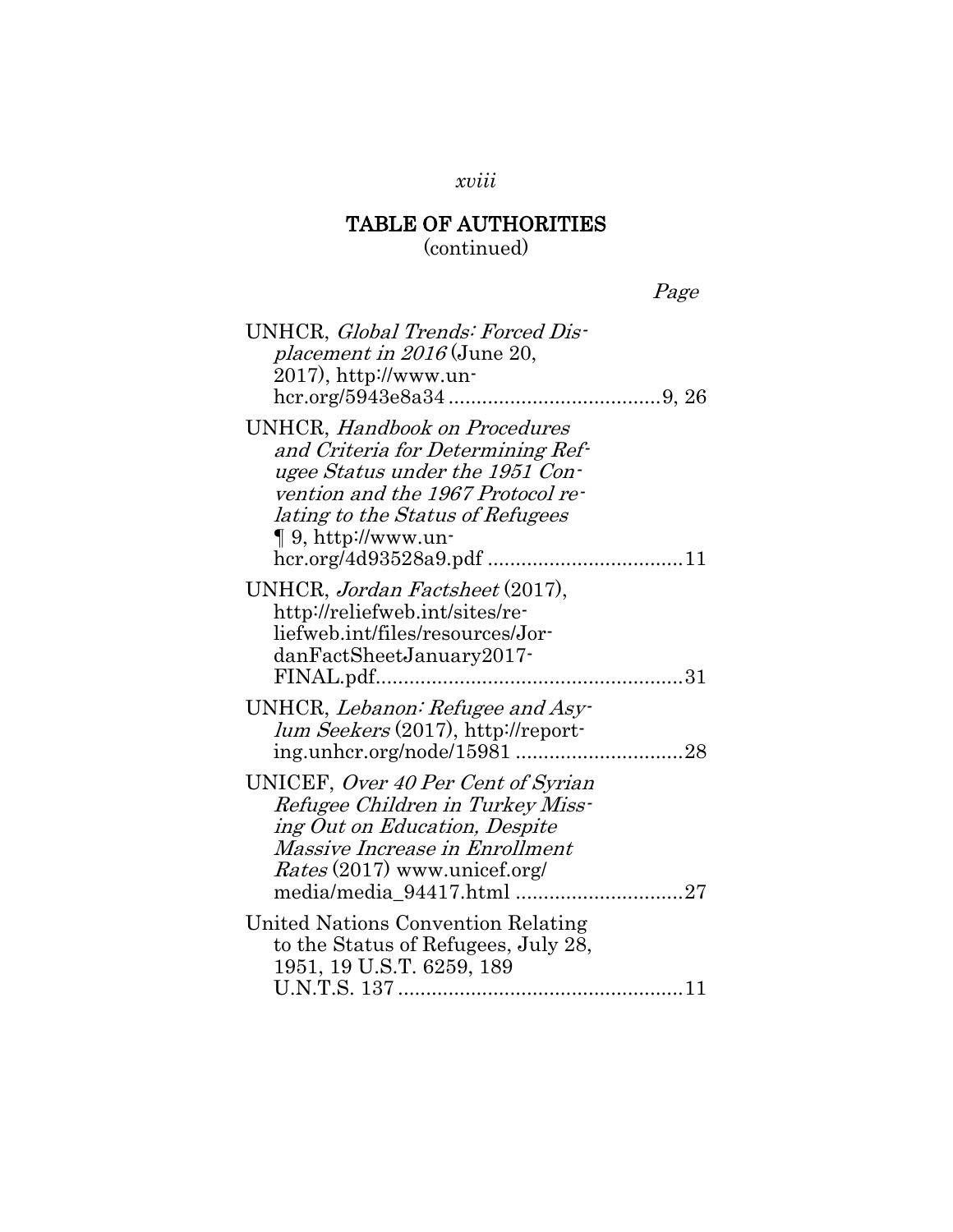### *xviii*

## TABLE OF AUTHORITIES

(continued)

| UNHCR, Global Trends: Forced Dis-<br>placement in $2016$ (June 20,<br>2017), http://www.un-                                                                                                                      |
|------------------------------------------------------------------------------------------------------------------------------------------------------------------------------------------------------------------|
| <b>UNHCR</b> , Handbook on Procedures<br>and Criteria for Determining Ref-<br>ugee Status under the 1951 Con-<br>vention and the 1967 Protocol re-<br>lating to the Status of Refugees<br>$\P$ 9, http://www.un- |
| UNHCR, Jordan Factsheet (2017),<br>http://reliefweb.int/sites/re-<br>liefweb.int/files/resources/Jor-<br>danFactSheetJanuary2017-                                                                                |
| UNHCR, Lebanon: Refugee and Asy-<br>lum Seekers (2017), http://report-                                                                                                                                           |
| UNICEF, Over 40 Per Cent of Syrian<br>Refugee Children in Turkey Miss-<br>ing Out on Education, Despite<br>Massive Increase in Enrollment<br><i>Rates</i> (2017) www.unicef.org/<br>media/media_94417.html 27    |
| United Nations Convention Relating<br>to the Status of Refugees, July 28,<br>1951, 19 U.S.T. 6259, 189                                                                                                           |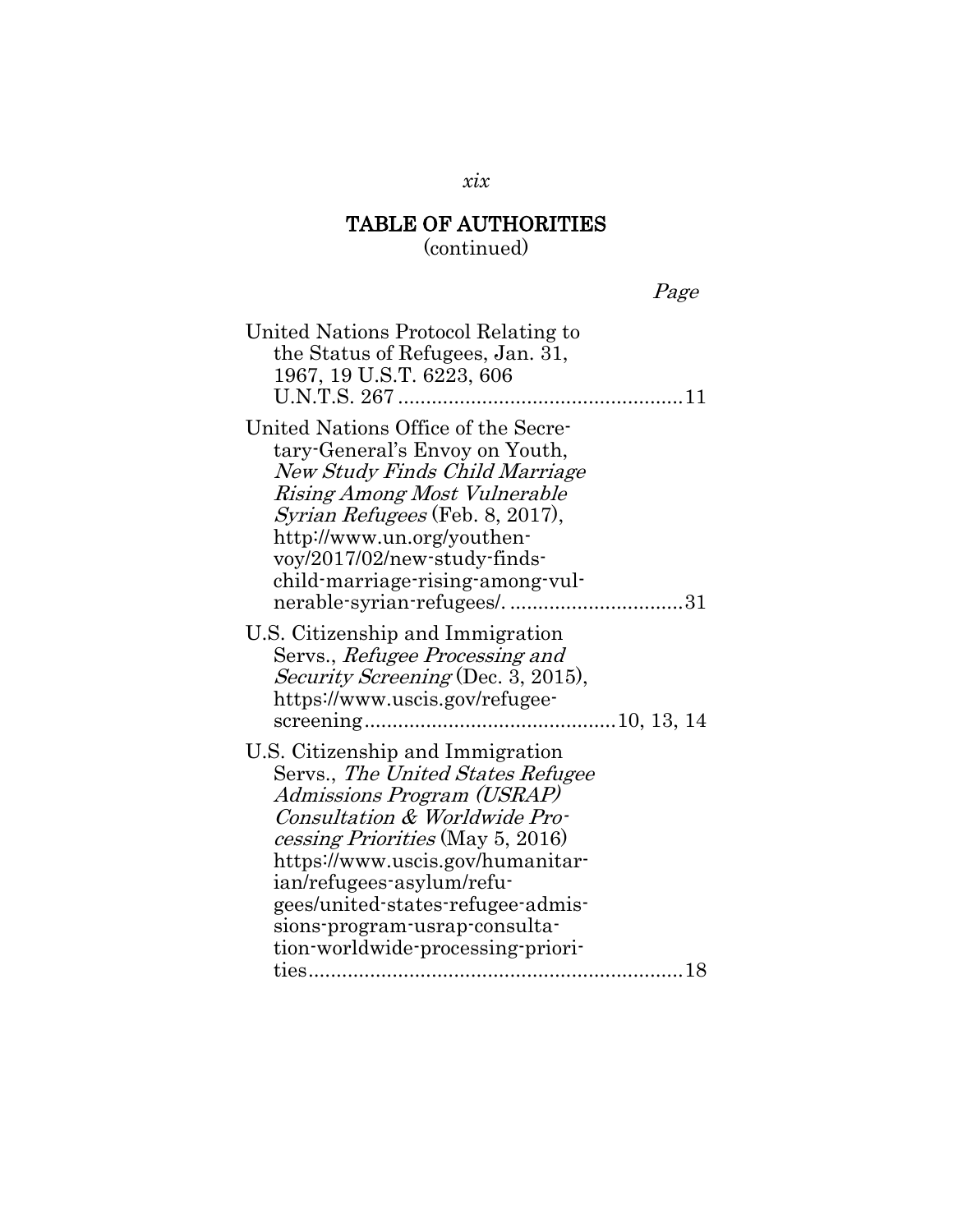(continued)

Page

| United Nations Protocol Relating to<br>the Status of Refugees, Jan. 31,<br>1967, 19 U.S.T. 6223, 606                                                                                                                                                                                                                                                 |
|------------------------------------------------------------------------------------------------------------------------------------------------------------------------------------------------------------------------------------------------------------------------------------------------------------------------------------------------------|
| United Nations Office of the Secre-<br>tary-General's Envoy on Youth,<br><b>New Study Finds Child Marriage</b><br>Rising Among Most Vulnerable<br><i>Syrian Refugees</i> (Feb. 8, 2017),<br>http://www.un.org/youthen-<br>voy/2017/02/new-study-finds-<br>child-marriage-rising-among-vul-<br>nerable-syrian-refugees/31                             |
| U.S. Citizenship and Immigration<br>Servs., Refugee Processing and<br><i>Security Screening</i> (Dec. 3, 2015),<br>https://www.uscis.gov/refugee-                                                                                                                                                                                                    |
| U.S. Citizenship and Immigration<br>Servs., The United States Refugee<br>Admissions Program (USRAP)<br>Consultation & Worldwide Pro-<br>cessing Priorities (May 5, 2016)<br>https://www.uscis.gov/humanitar-<br>ian/refugees-asylum/refu-<br>gees/united-states-refugee-admis-<br>sions-program-usrap-consulta-<br>tion-worldwide-processing-priori- |

*xix*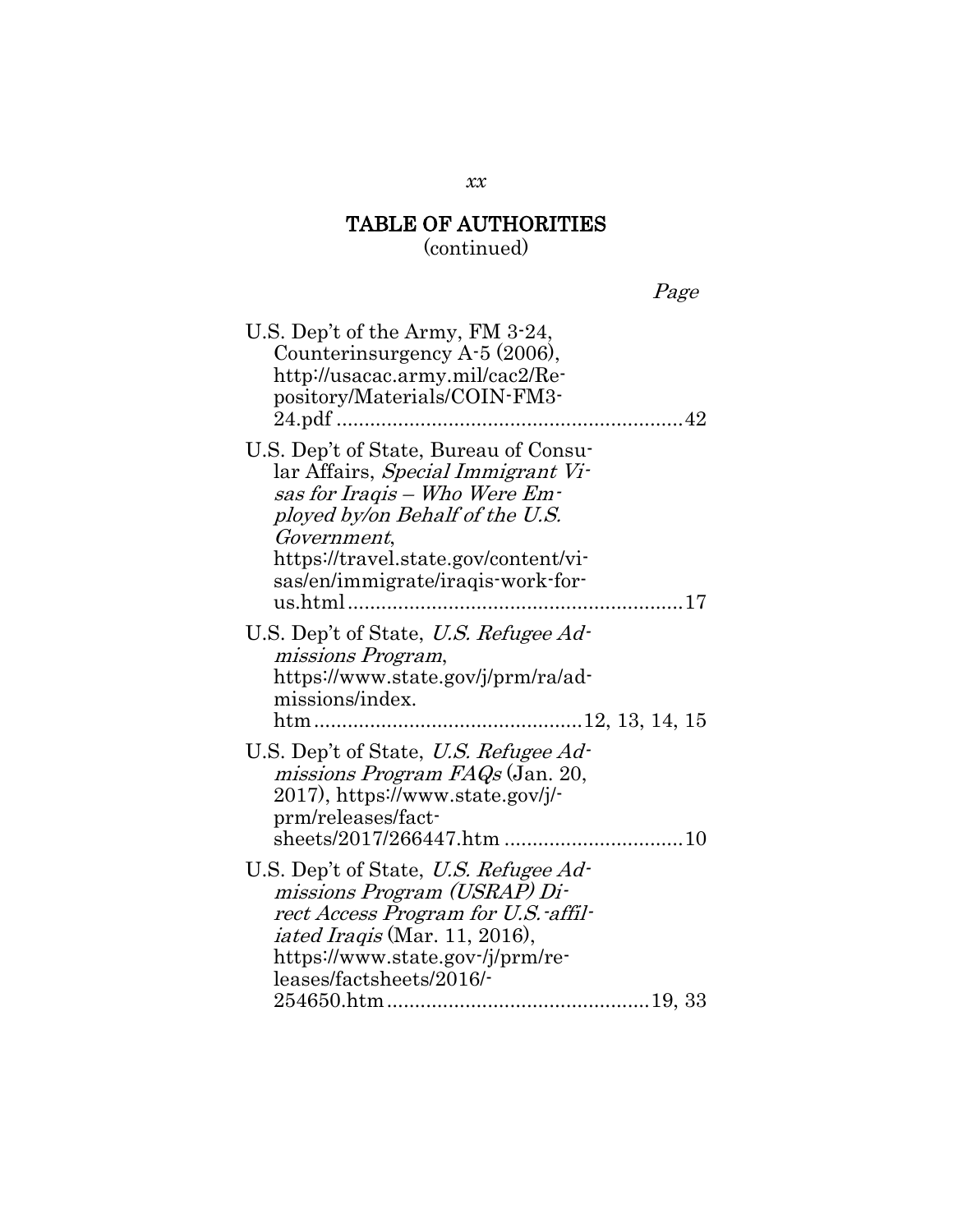(continued)

Page

| U.S. Dep't of the Army, FM 3-24,<br>Counterinsurgency A-5 (2006),<br>http://usacac.army.mil/cac2/Re-<br>pository/Materials/COIN-FM3-<br>24.pdf                                                                                                                        |
|-----------------------------------------------------------------------------------------------------------------------------------------------------------------------------------------------------------------------------------------------------------------------|
| U.S. Dep't of State, Bureau of Consu-<br>lar Affairs, Special Immigrant Vi-<br>sas for Iraqis – Who Were Em-<br>ployed by/on Behalf of the U.S.<br><i>Government,</i><br>https://travel.state.gov/content/vi-<br>sas/en/immigrate/iraqis-work-for-<br>us.html<br>. 17 |
| U.S. Dep't of State, U.S. Refugee Ad-<br>missions Program,<br>https://www.state.gov/j/prm/ra/ad-<br>missions/index.                                                                                                                                                   |
| U.S. Dep't of State, U.S. Refugee Ad-<br>missions Program FAQs (Jan. 20,<br>2017), https://www.state.gov/j/-<br>prm/releases/fact-                                                                                                                                    |
| U.S. Dep't of State, U.S. Refugee Ad-<br>missions Program (USRAP) Di-<br>rect Access Program for U.S.-affil-<br><i>iated Iraqis</i> (Mar. 11, 2016),<br>https://www.state.gov-/j/prm/re-<br>leases/factsheets/2016/-                                                  |

*xx*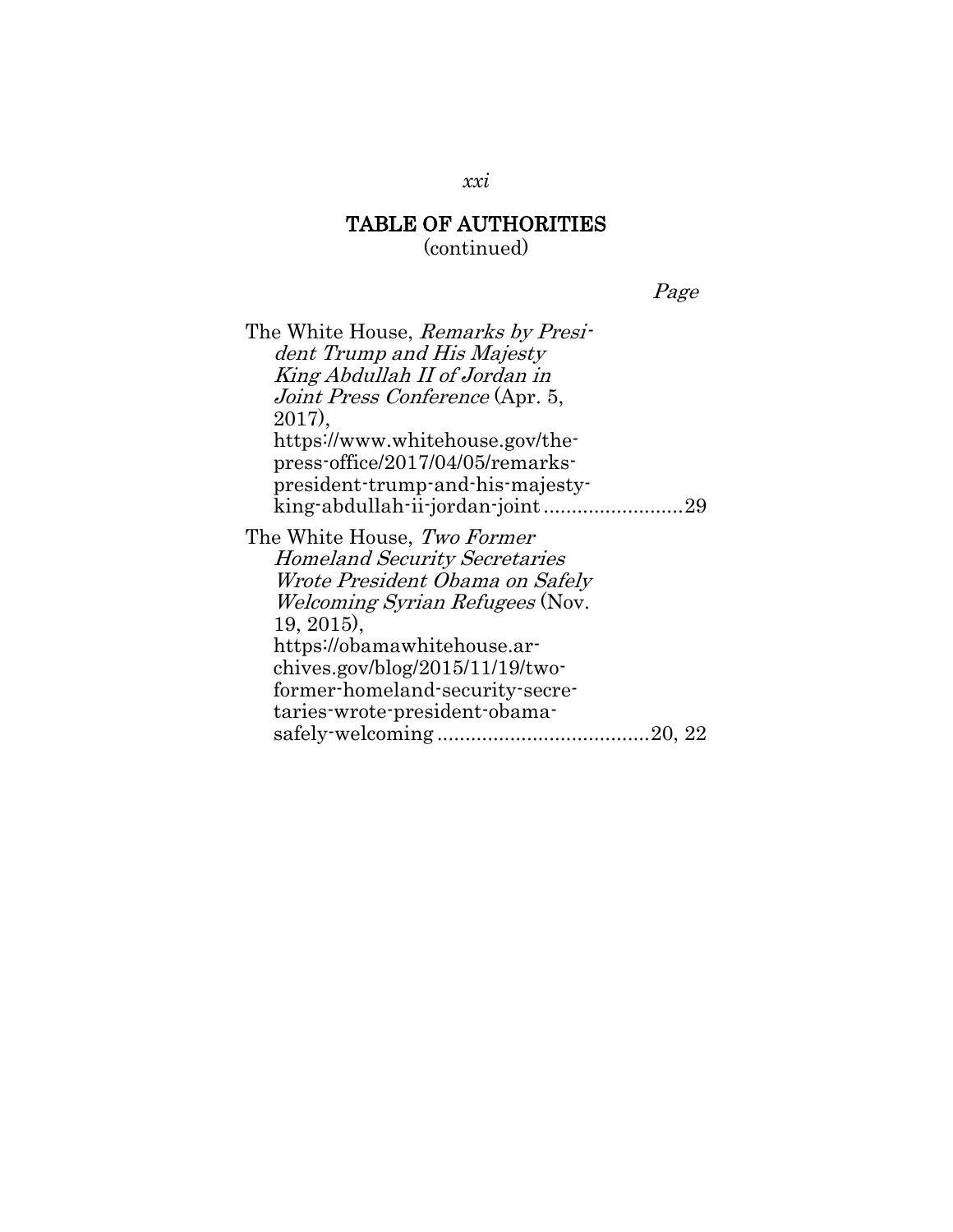Page

| The White House, Remarks by Presi-     |
|----------------------------------------|
| dent Trump and His Majesty             |
| King Abdullah II of Jordan in          |
| <i>Joint Press Conference</i> (Apr. 5, |
| $2017$ ,                               |
| https://www.whitehouse.gov/the-        |
| press-office/2017/04/05/remarks-       |
| president-trump-and-his-majesty-       |
|                                        |
| The White House, Two Former            |
| <b>Homeland Security Secretaries</b>   |
| Wrote President Obama on Safely        |
| <i>Welcoming Syrian Refugees</i> (Nov. |
| $19, 2015$ ,                           |
| https://obamawhitehouse.ar-            |
| chives.gov/blog/2015/11/19/two-        |
| former-homeland-security-secre-        |
| taries-wrote-president-obama-          |
|                                        |
|                                        |

*xxi*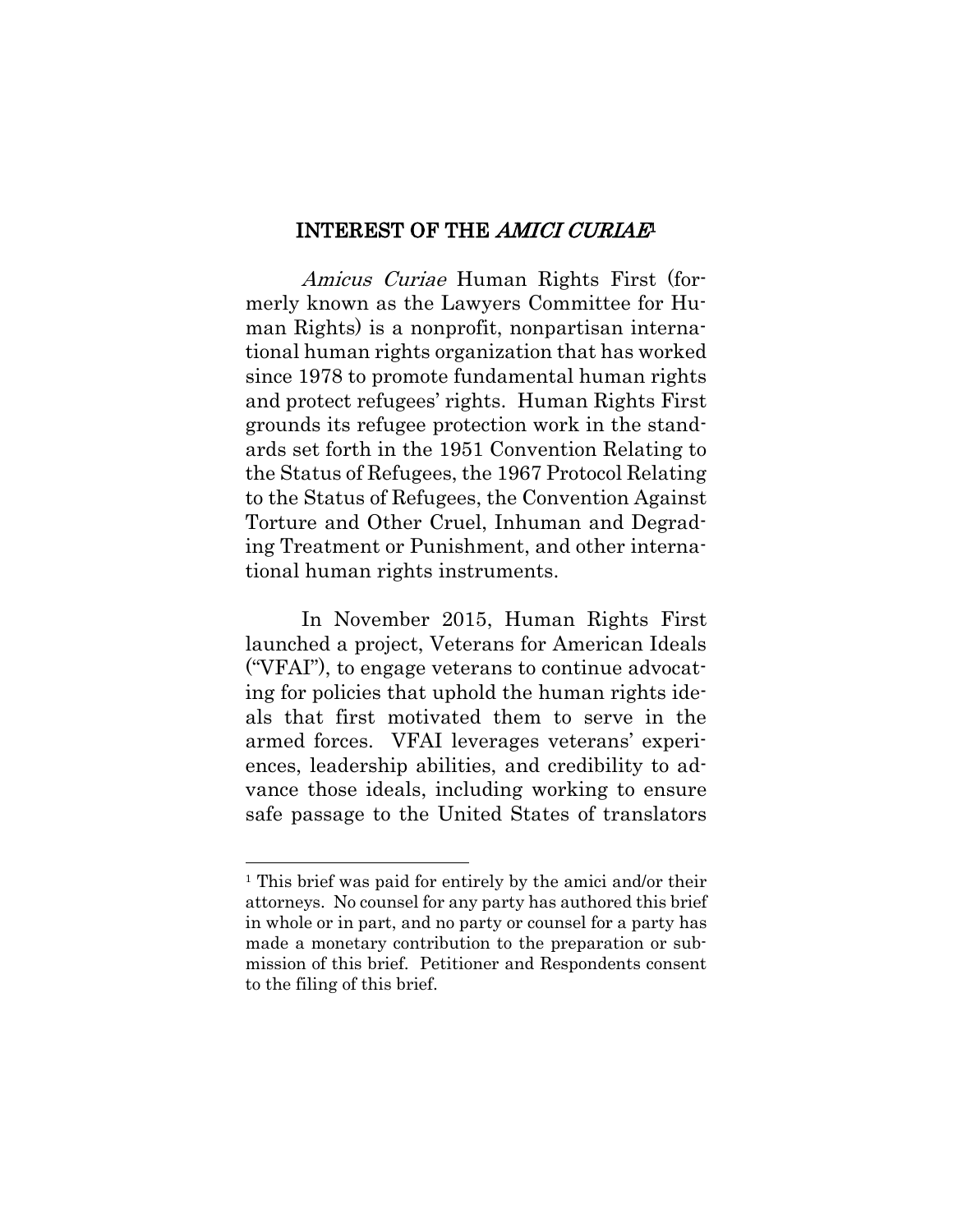#### <span id="page-22-0"></span>INTEREST OF THE AMICI CURIAE<sup>1</sup>

Amicus Curiae Human Rights First (formerly known as the Lawyers Committee for Human Rights) is a nonprofit, nonpartisan international human rights organization that has worked since 1978 to promote fundamental human rights and protect refugees' rights. Human Rights First grounds its refugee protection work in the standards set forth in the 1951 Convention Relating to the Status of Refugees, the 1967 Protocol Relating to the Status of Refugees, the Convention Against Torture and Other Cruel, Inhuman and Degrading Treatment or Punishment, and other international human rights instruments.

In November 2015, Human Rights First launched a project, Veterans for American Ideals ("VFAI"), to engage veterans to continue advocating for policies that uphold the human rights ideals that first motivated them to serve in the armed forces. VFAI leverages veterans' experiences, leadership abilities, and credibility to advance those ideals, including working to ensure safe passage to the United States of translators

 $\overline{\phantom{a}}$ 

<sup>1</sup> This brief was paid for entirely by the amici and/or their attorneys. No counsel for any party has authored this brief in whole or in part, and no party or counsel for a party has made a monetary contribution to the preparation or submission of this brief. Petitioner and Respondents consent to the filing of this brief.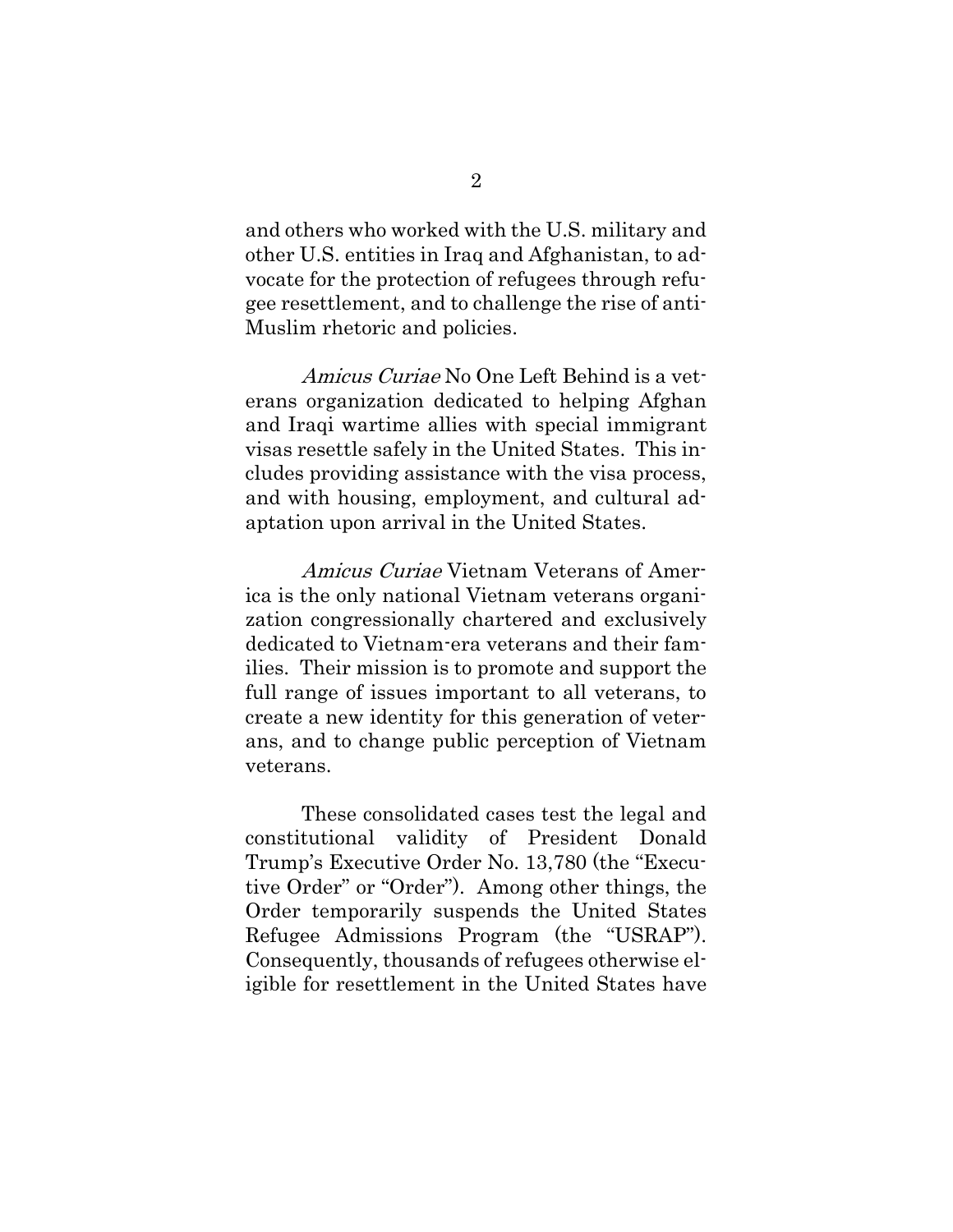and others who worked with the U.S. military and other U.S. entities in Iraq and Afghanistan, to advocate for the protection of refugees through refugee resettlement, and to challenge the rise of anti-Muslim rhetoric and policies.

Amicus Curiae No One Left Behind is a veterans organization dedicated to helping Afghan and Iraqi wartime allies with special immigrant visas resettle safely in the United States. This includes providing assistance with the visa process, and with housing, employment, and cultural adaptation upon arrival in the United States.

Amicus Curiae Vietnam Veterans of America is the only national Vietnam veterans organization congressionally chartered and exclusively dedicated to Vietnam-era veterans and their families. Their mission is to promote and support the full range of issues important to all veterans, to create a new identity for this generation of veterans, and to change public perception of Vietnam veterans.

These consolidated cases test the legal and constitutional validity of President Donald Trump's Executive Order No. 13,780 (the "Executive Order" or "Order"). Among other things, the Order temporarily suspends the United States Refugee Admissions Program (the "USRAP"). Consequently, thousands of refugees otherwise eligible for resettlement in the United States have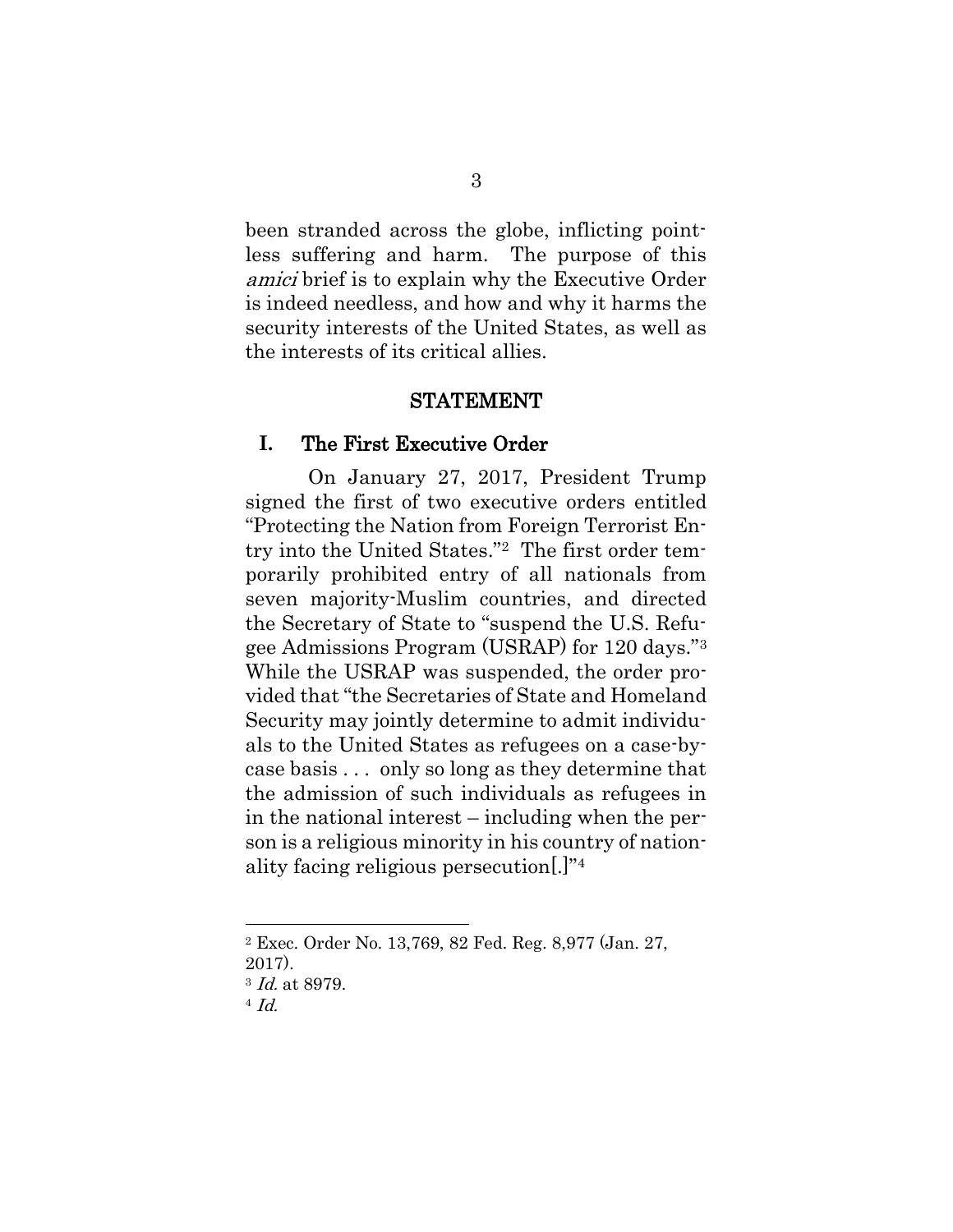been stranded across the globe, inflicting pointless suffering and harm. The purpose of this amici brief is to explain why the Executive Order is indeed needless, and how and why it harms the security interests of the United States, as well as the interests of its critical allies.

#### STATEMENT

#### <span id="page-24-1"></span><span id="page-24-0"></span>**I.** The First Executive Order

On January 27, 2017, President Trump signed the first of two executive orders entitled "Protecting the Nation from Foreign Terrorist Entry into the United States."<sup>2</sup> The first order temporarily prohibited entry of all nationals from seven majority-Muslim countries, and directed the Secretary of State to "suspend the U.S. Refugee Admissions Program (USRAP) for 120 days."<sup>3</sup> While the USRAP was suspended, the order provided that "the Secretaries of State and Homeland Security may jointly determine to admit individuals to the United States as refugees on a case-bycase basis . . . only so long as they determine that the admission of such individuals as refugees in in the national interest – including when the person is a religious minority in his country of nationality facing religious persecution[.]"<sup>4</sup>

 $\overline{\phantom{a}}$ 

<sup>2</sup> Exec. Order No. 13,769, 82 Fed. Reg. 8,977 (Jan. 27, 2017).

<sup>3</sup> Id. at 8979.

 $4$  Id.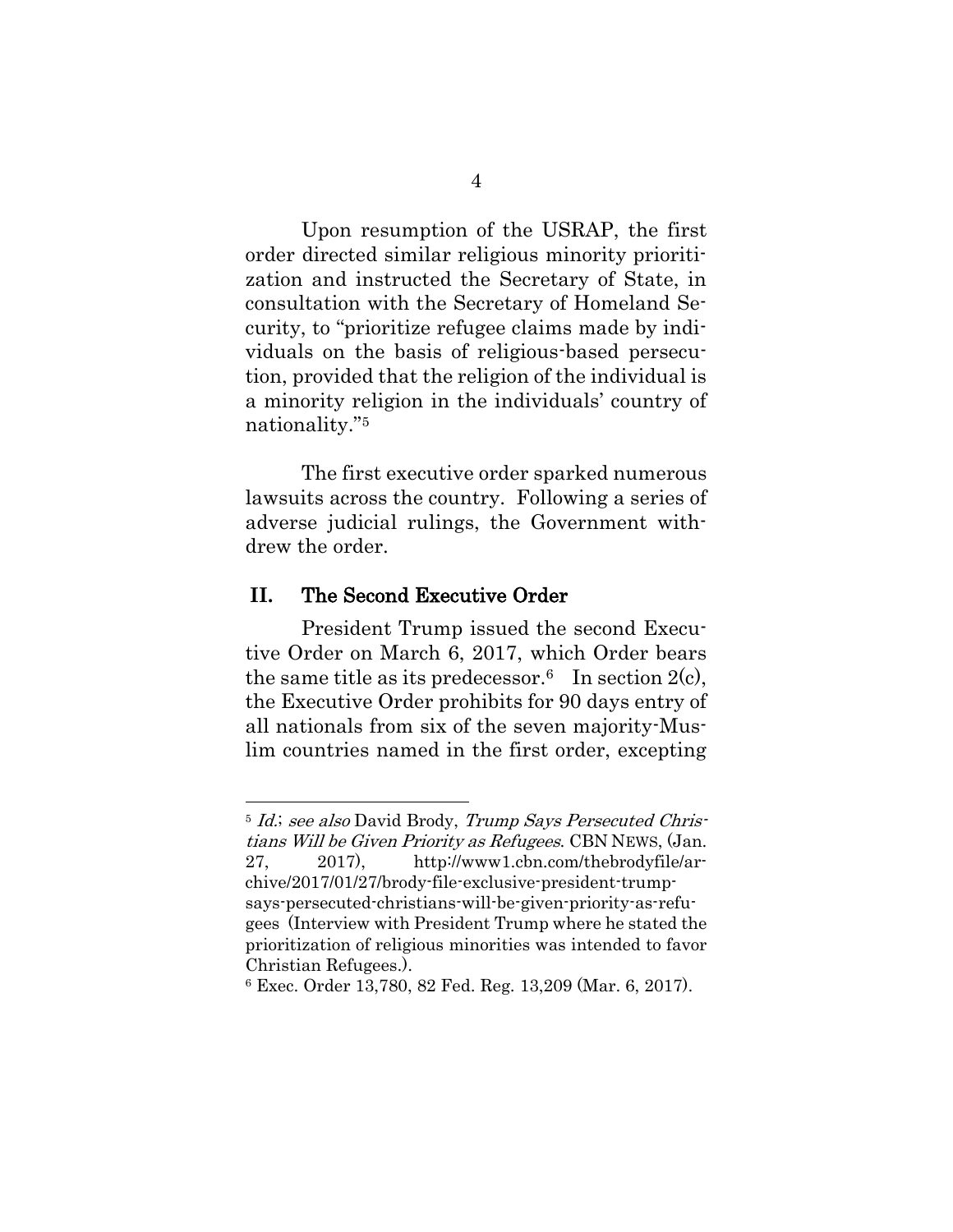Upon resumption of the USRAP, the first order directed similar religious minority prioritization and instructed the Secretary of State, in consultation with the Secretary of Homeland Security, to "prioritize refugee claims made by individuals on the basis of religious-based persecution, provided that the religion of the individual is a minority religion in the individuals' country of nationality."<sup>5</sup>

The first executive order sparked numerous lawsuits across the country. Following a series of adverse judicial rulings, the Government withdrew the order.

#### <span id="page-25-0"></span>**II.** The Second Executive Order

 $\overline{a}$ 

President Trump issued the second Executive Order on March 6, 2017, which Order bears the same title as its predecessor.<sup>6</sup> In section 2(c), the Executive Order prohibits for 90 days entry of all nationals from six of the seven majority-Muslim countries named in the first order, excepting

<sup>&</sup>lt;sup>5</sup> Id.; see also David Brody, Trump Says Persecuted Christians Will be Given Priority as Refugees. CBN NEWS, (Jan. 27, 2017), http://www1.cbn.com/thebrodyfile/archive/2017/01/27/brody-file-exclusive-president-trumpsays-persecuted-christians-will-be-given-priority-as-refugees (Interview with President Trump where he stated the prioritization of religious minorities was intended to favor Christian Refugees.).

<sup>6</sup> Exec. Order 13,780, 82 Fed. Reg. 13,209 (Mar. 6, 2017).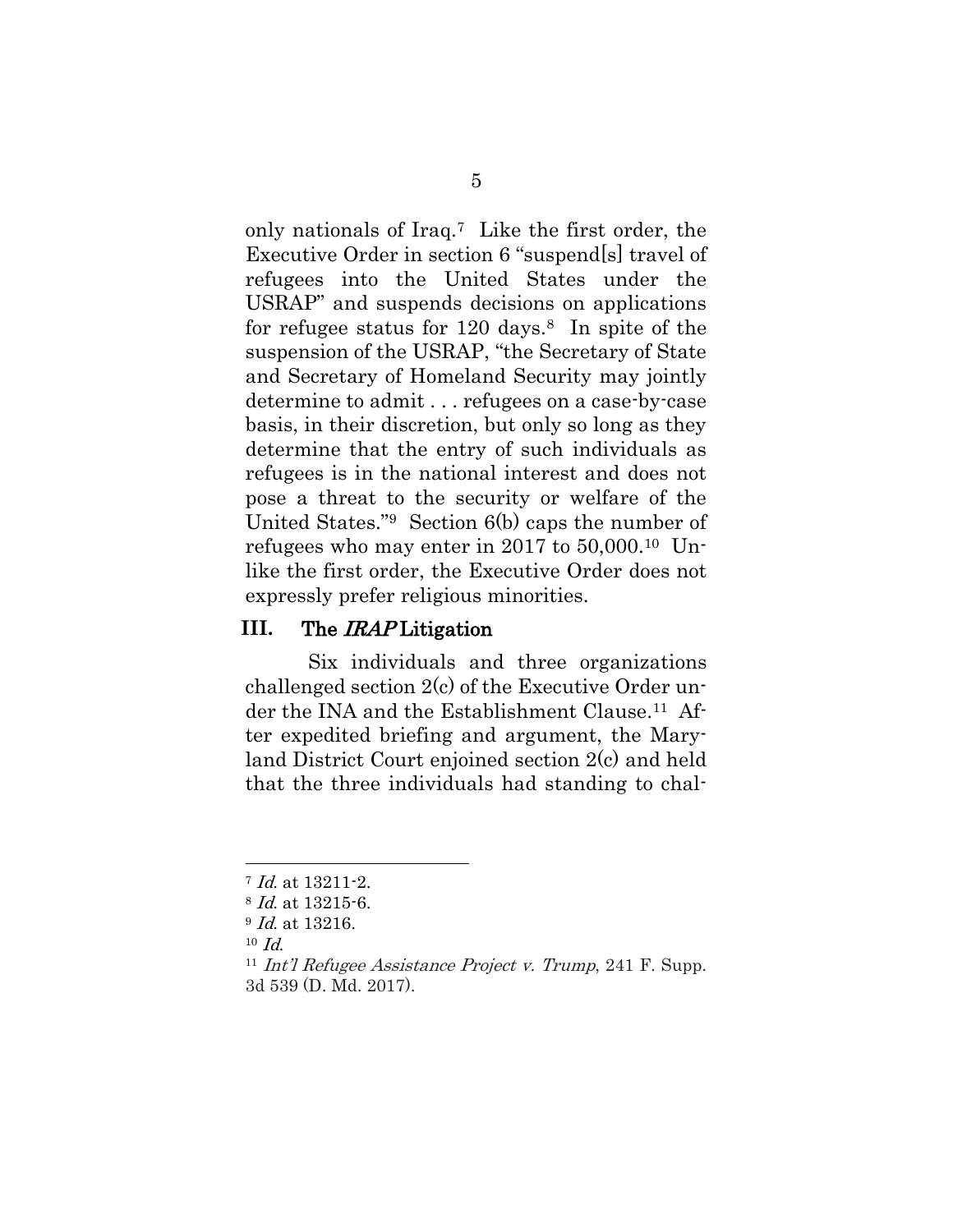only nationals of Iraq.7 Like the first order, the Executive Order in section 6 "suspend[s] travel of refugees into the United States under the USRAP" and suspends decisions on applications for refugee status for  $120 \text{ days.}$ <sup>8</sup> In spite of the suspension of the USRAP, "the Secretary of State and Secretary of Homeland Security may jointly determine to admit . . . refugees on a case-by-case basis, in their discretion, but only so long as they determine that the entry of such individuals as refugees is in the national interest and does not pose a threat to the security or welfare of the United States."9 Section 6(b) caps the number of refugees who may enter in 2017 to 50,000.10 Unlike the first order, the Executive Order does not expressly prefer religious minorities.

#### <span id="page-26-2"></span><span id="page-26-0"></span>**III.** The IRAP Litigation

Six individuals and three organizations challenged section 2(c) of the Executive Order under the INA and the Establishment Clause.<sup>11</sup> After expedited briefing and argument, the Maryland District Court enjoined section 2(c) and held that the three individuals had standing to chal-

<sup>7</sup> Id. at 13211-2.

<sup>8</sup> Id. at 13215-6.

<sup>&</sup>lt;sup>9</sup> *Id.* at 13216.

 $10$  *Id.* 

<span id="page-26-1"></span><sup>&</sup>lt;sup>11</sup> Int'l Refugee Assistance Project v. Trump, 241 F. Supp. 3d 539 (D. Md. 2017).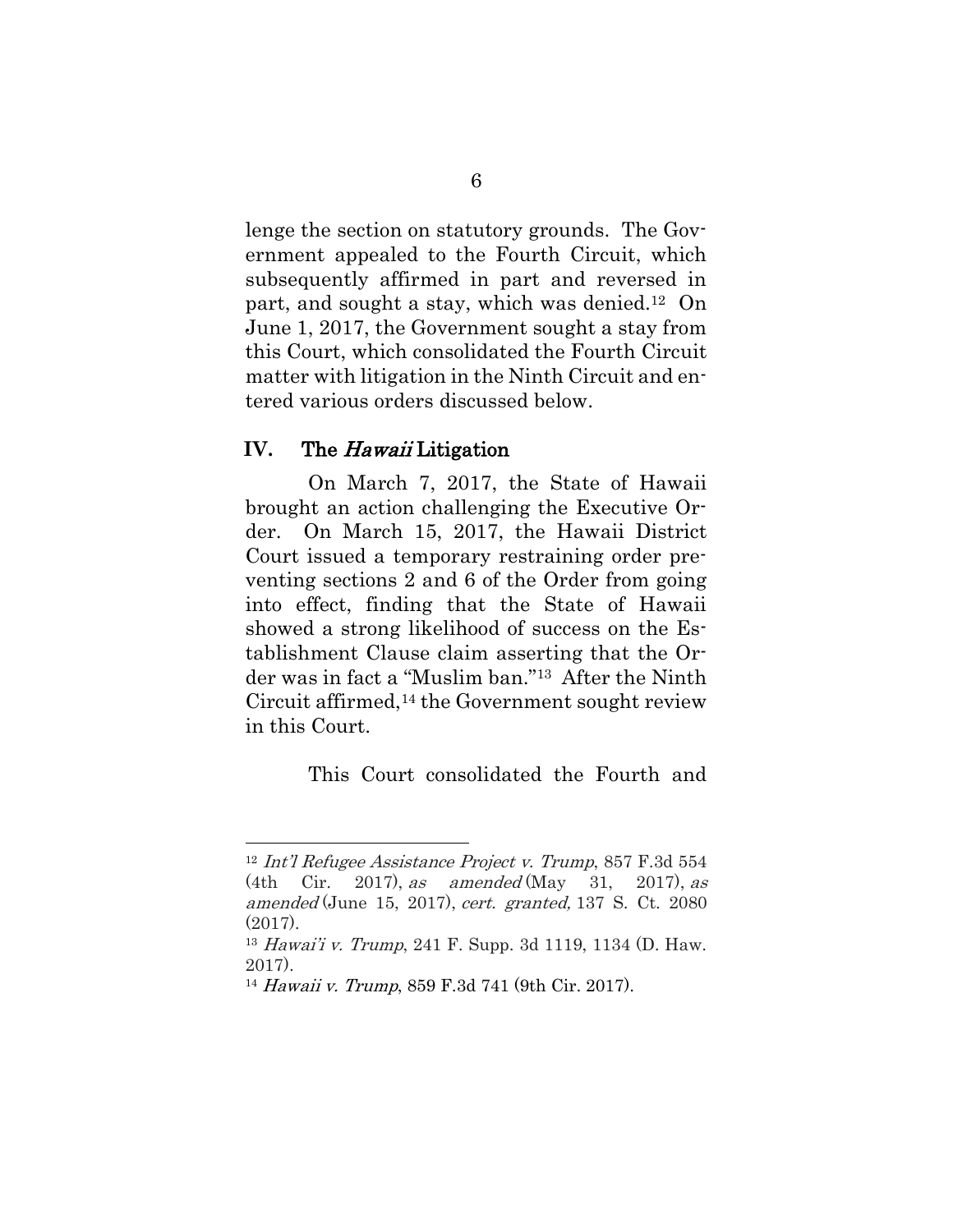lenge the section on statutory grounds. The Government appealed to the Fourth Circuit, which subsequently affirmed in part and reversed in part, and sought a stay, which was denied.12 On June 1, 2017, the Government sought a stay from this Court, which consolidated the Fourth Circuit matter with litigation in the Ninth Circuit and entered various orders discussed below.

#### <span id="page-27-0"></span>**IV.** The Hawaii Litigation

l

On March 7, 2017, the State of Hawaii brought an action challenging the Executive Order. On March 15, 2017, the Hawaii District Court issued a temporary restraining order preventing sections 2 and 6 of the Order from going into effect, finding that the State of Hawaii showed a strong likelihood of success on the Establishment Clause claim asserting that the Order was in fact a "Muslim ban."13 After the Ninth Circuit affirmed,<sup>14</sup> the Government sought review in this Court.

This Court consolidated the Fourth and

<sup>12</sup> Int'l Refugee Assistance Project v. Trump, 857 F.3d 554 (4th Cir. 2017), as amended (May 31, 2017), as amended (June 15, 2017), cert. granted, 137 S. Ct. 2080 (2017).

<span id="page-27-1"></span><sup>13</sup> Hawai'i v. Trump, 241 F. Supp. 3d 1119, 1134 (D. Haw. 2017).

<sup>14</sup> Hawaii v. Trump, 859 F.3d 741 (9th Cir. 2017).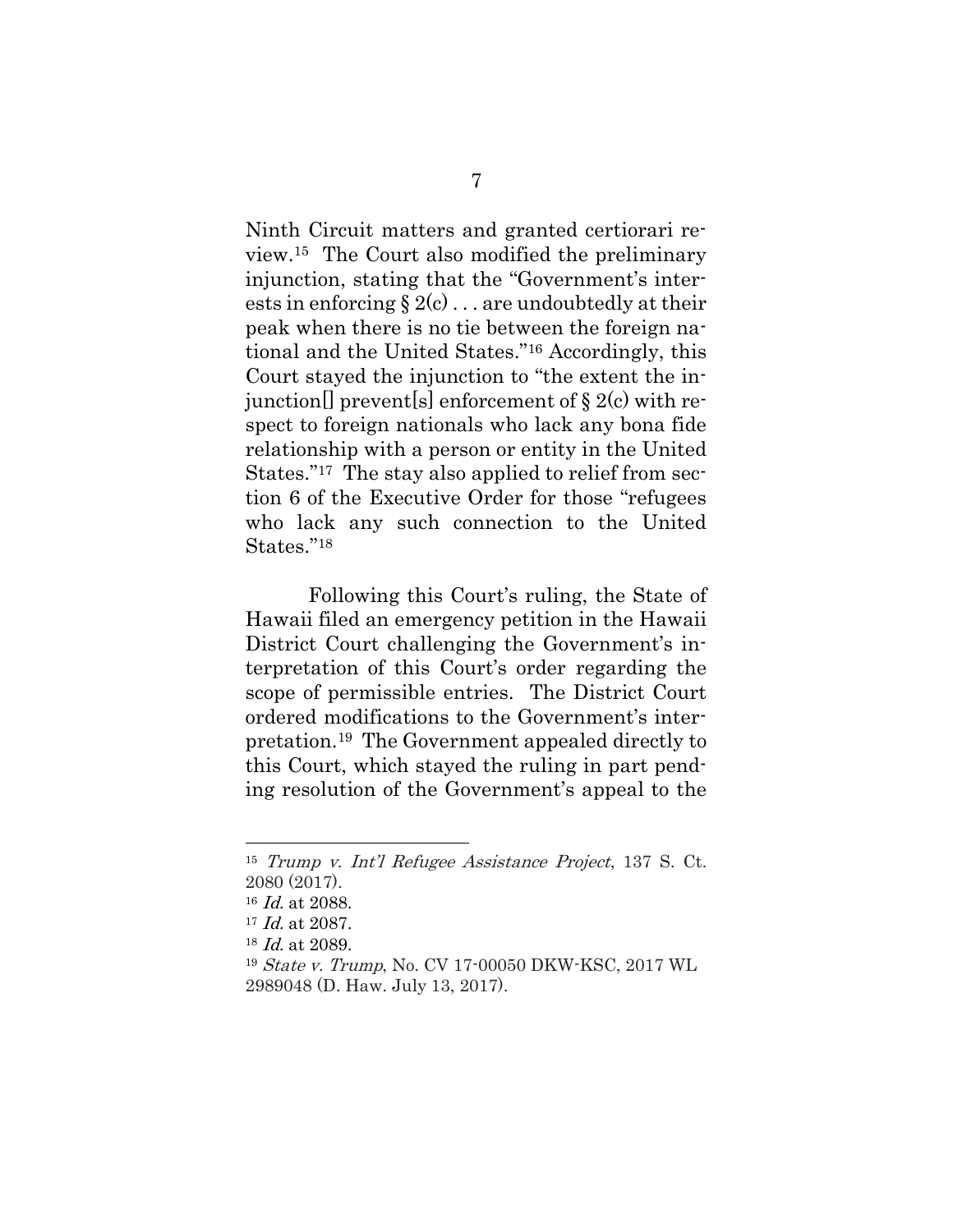Ninth Circuit matters and granted certiorari review.15 The Court also modified the preliminary injunction, stating that the "Government's interests in enforcing  $\S 2(c)$ ... are undoubtedly at their peak when there is no tie between the foreign national and the United States."<sup>16</sup> Accordingly, this Court stayed the injunction to "the extent the injunction<sup>[]</sup> prevent<sup>[s]</sup> enforcement of  $\S 2(c)$  with respect to foreign nationals who lack any bona fide relationship with a person or entity in the United States."<sup>17</sup> The stay also applied to relief from section 6 of the Executive Order for those "refugees who lack any such connection to the United States."<sup>18</sup>

Following this Court's ruling, the State of Hawaii filed an emergency petition in the Hawaii District Court challenging the Government's interpretation of this Court's order regarding the scope of permissible entries. The District Court ordered modifications to the Government's interpretation. <sup>19</sup> The Government appealed directly to this Court, which stayed the ruling in part pending resolution of the Government's appeal to the

<sup>15</sup> Trump v. Int'l Refugee Assistance Project, 137 S. Ct. 2080 (2017).

<sup>16</sup> Id. at 2088.

<span id="page-28-1"></span> $17$  *Id.* at 2087.

<sup>18</sup> Id. at 2089.

<span id="page-28-0"></span><sup>19</sup> State v. Trump, No. CV 17-00050 DKW-KSC, 2017 WL 2989048 (D. Haw. July 13, 2017).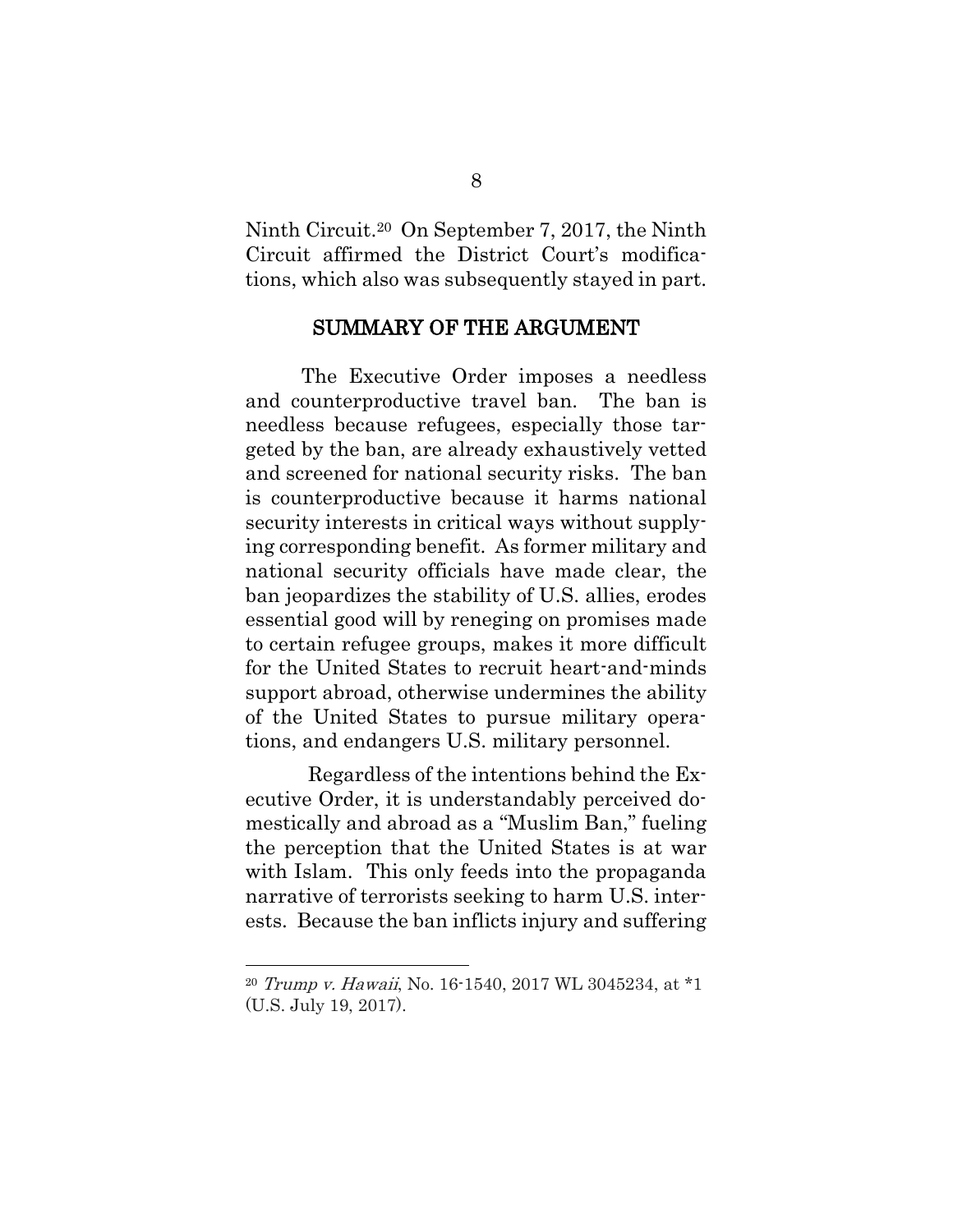Ninth Circuit.20 On September 7, 2017, the Ninth Circuit affirmed the District Court's modifications, which also was subsequently stayed in part.

#### SUMMARY OF THE ARGUMENT

<span id="page-29-0"></span>The Executive Order imposes a needless and counterproductive travel ban. The ban is needless because refugees, especially those targeted by the ban, are already exhaustively vetted and screened for national security risks. The ban is counterproductive because it harms national security interests in critical ways without supplying corresponding benefit. As former military and national security officials have made clear, the ban jeopardizes the stability of U.S. allies, erodes essential good will by reneging on promises made to certain refugee groups, makes it more difficult for the United States to recruit heart-and-minds support abroad, otherwise undermines the ability of the United States to pursue military operations, and endangers U.S. military personnel.

Regardless of the intentions behind the Executive Order, it is understandably perceived domestically and abroad as a "Muslim Ban," fueling the perception that the United States is at war with Islam. This only feeds into the propaganda narrative of terrorists seeking to harm U.S. interests. Because the ban inflicts injury and suffering

<span id="page-29-1"></span><sup>20</sup> Trump v. Hawaii, No. 16-1540, 2017 WL 3045234, at \*1 (U.S. July 19, 2017).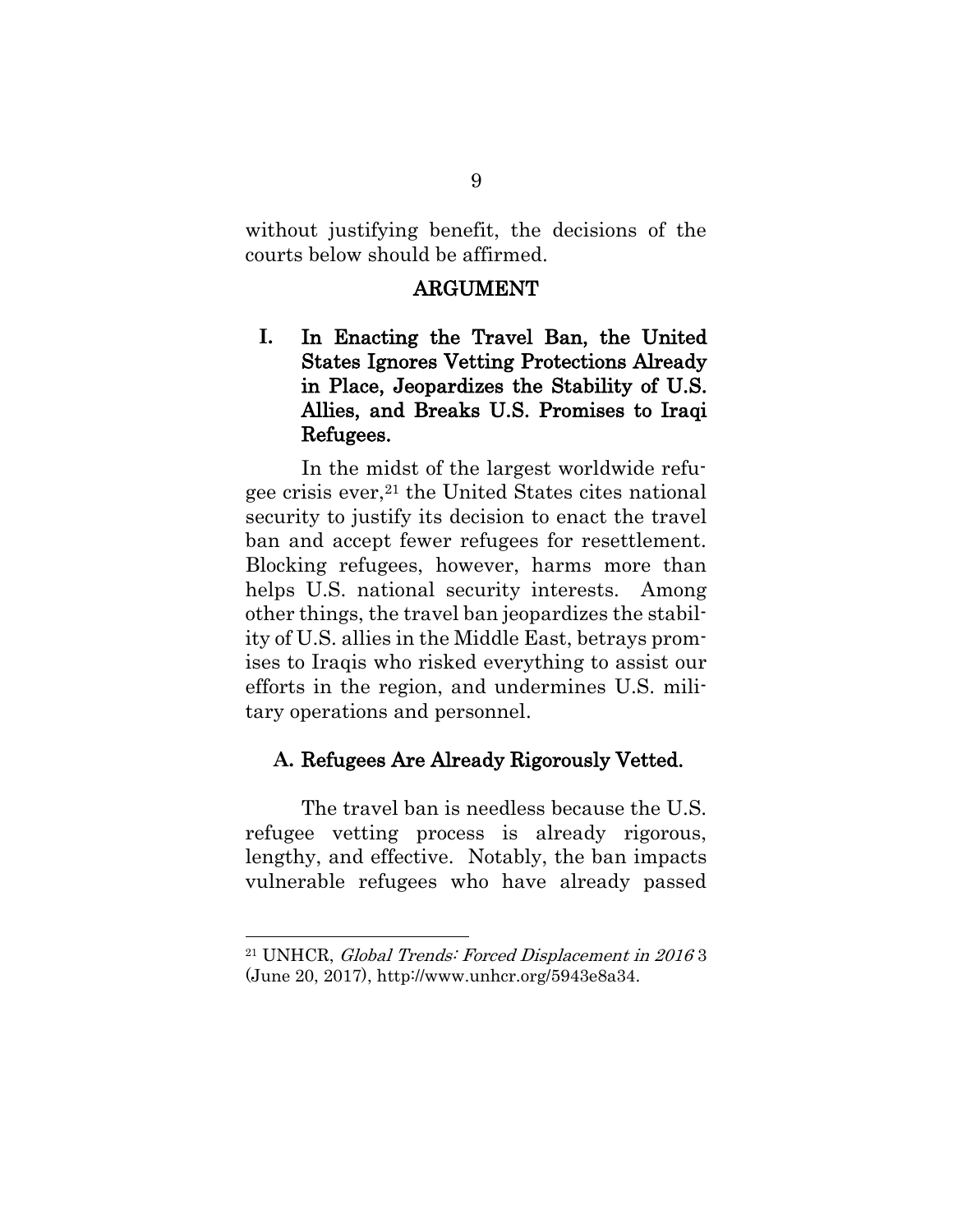<span id="page-30-0"></span>without justifying benefit, the decisions of the courts below should be affirmed.

#### ARGUMENT

<span id="page-30-1"></span>**I.** In Enacting the Travel Ban, the United States Ignores Vetting Protections Already in Place, Jeopardizes the Stability of U.S. Allies, and Breaks U.S. Promises to Iraqi Refugees.

In the midst of the largest worldwide refugee crisis ever,<sup>21</sup> the United States cites national security to justify its decision to enact the travel ban and accept fewer refugees for resettlement. Blocking refugees, however, harms more than helps U.S. national security interests. Among other things, the travel ban jeopardizes the stability of U.S. allies in the Middle East, betrays promises to Iraqis who risked everything to assist our efforts in the region, and undermines U.S. military operations and personnel.

#### <span id="page-30-2"></span>**A.** Refugees Are Already Rigorously Vetted.

The travel ban is needless because the U.S. refugee vetting process is already rigorous, lengthy, and effective. Notably, the ban impacts vulnerable refugees who have already passed

 $\overline{a}$ 

<span id="page-30-3"></span><sup>21</sup> UNHCR, Global Trends: Forced Displacement in 2016 3 (June 20, 2017), [http://www.unhcr.org/5943e8a34.](http://www.unhcr.org/5943e8a34)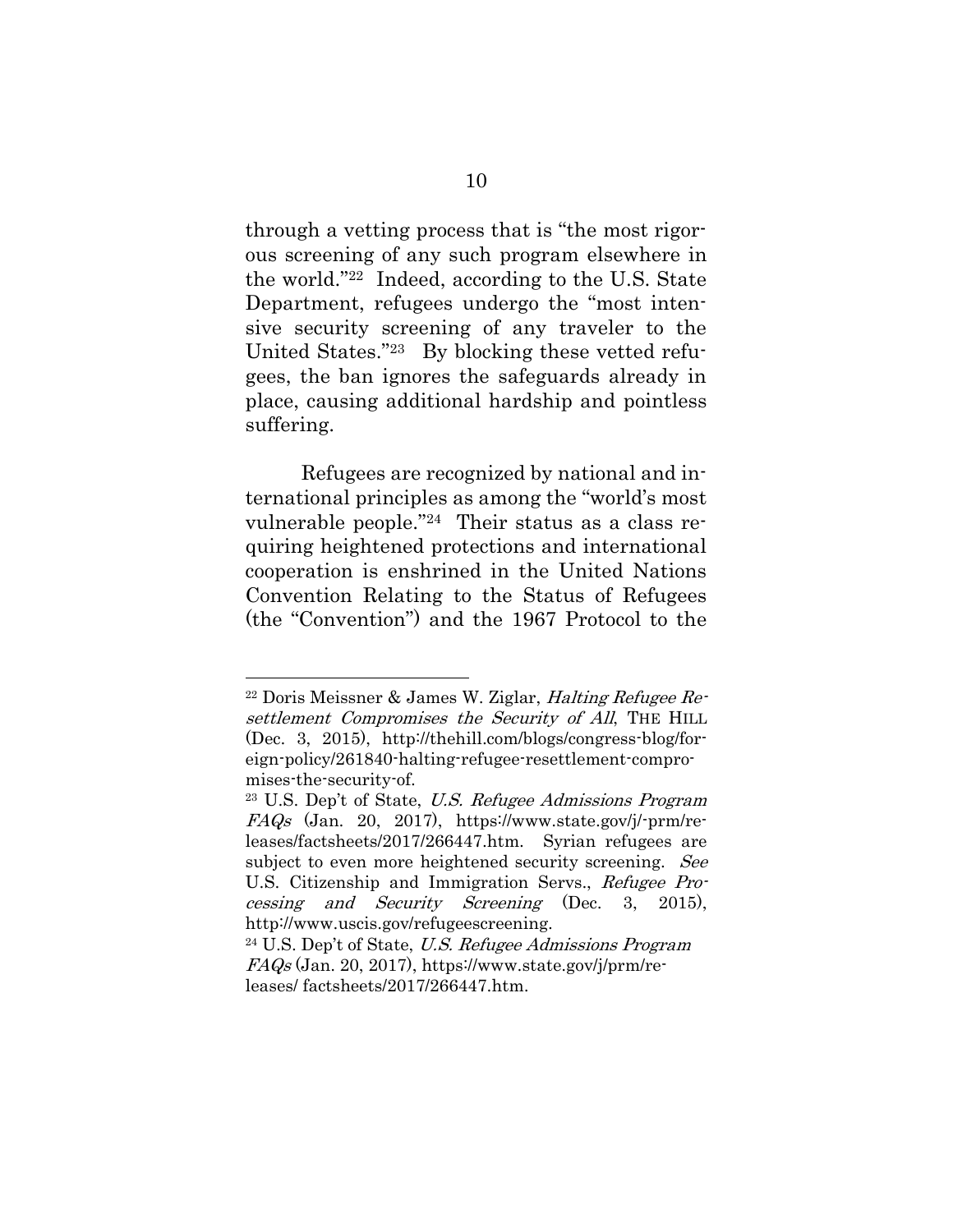through a vetting process that is "the most rigorous screening of any such program elsewhere in the world."22 Indeed, according to the U.S. State Department, refugees undergo the "most intensive security screening of any traveler to the United States."<sup>23</sup> By blocking these vetted refugees, the ban ignores the safeguards already in place, causing additional hardship and pointless suffering.

Refugees are recognized by national and international principles as among the "world's most vulnerable people."24 Their status as a class requiring heightened protections and international cooperation is enshrined in the United Nations Convention Relating to the Status of Refugees (the "Convention") and the 1967 Protocol to the

 $22$  Doris Meissner & James W. Ziglar, *Halting Refugee Re*settlement Compromises the Security of All, THE HILL (Dec. 3, 2015), http://thehill.com/blogs/congress-blog/foreign-policy/261840-halting-refugee-resettlement-compromises-the-security-of.

<sup>23</sup> U.S. Dep't of State, U.S. Refugee Admissions Program FAQs (Jan. 20, 2017), https://www.state.gov/j/-prm/releases/factsheets/2017/266447.htm. Syrian refugees are subject to even more heightened security screening. See U.S. Citizenship and Immigration Servs., Refugee Processing and Security Screening (Dec. 3, 2015), http://www.uscis.gov/refugeescreening.

<sup>24</sup> U.S. Dep't of State, U.S. Refugee Admissions Program  $FAGs$  (Jan. 20, 2017), https://www.state.gov/j/prm/releases/ factsheets/2017/266447.htm.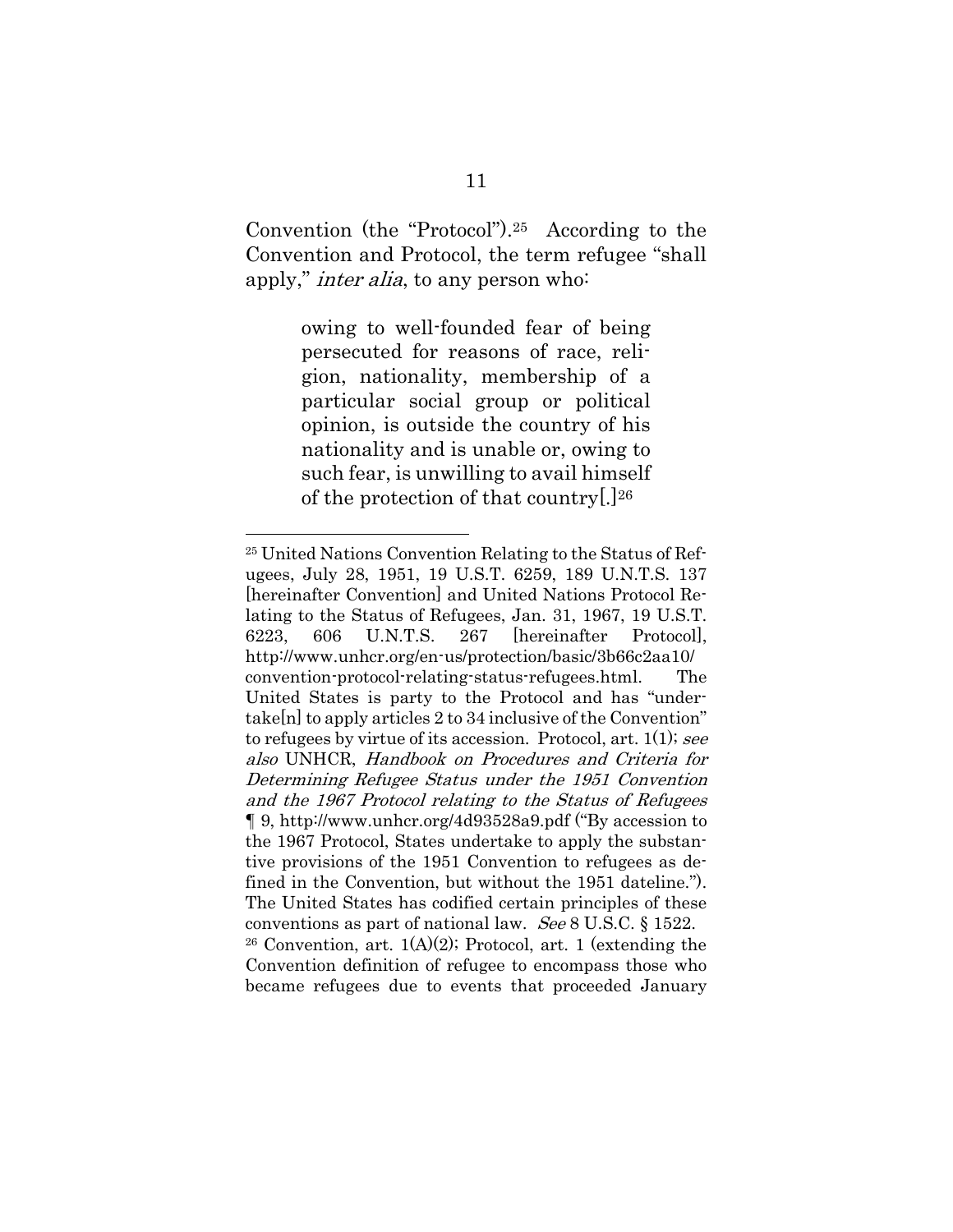Convention (the "Protocol").25 According to the Convention and Protocol, the term refugee "shall apply," inter alia, to any person who:

> owing to well-founded fear of being persecuted for reasons of race, religion, nationality, membership of a particular social group or political opinion, is outside the country of his nationality and is unable or, owing to such fear, is unwilling to avail himself of the protection of that country[.] 26

<span id="page-32-0"></span><sup>25</sup> United Nations Convention Relating to the Status of Refugees, July 28, 1951, 19 U.S.T. 6259, 189 U.N.T.S. 137 [hereinafter Convention] and United Nations Protocol Relating to the Status of Refugees, Jan. 31, 1967, 19 U.S.T. 6223, 606 U.N.T.S. 267 [hereinafter Protocol], http://www.unhcr.org/en-us/protection/basic/3b66c2aa10/ convention-protocol-relating-status-refugees.html. The United States is party to the Protocol and has "undertake[n] to apply articles 2 to 34 inclusive of the Convention" to refugees by virtue of its accession. Protocol, art. 1(1); see also UNHCR, Handbook on Procedures and Criteria for Determining Refugee Status under the 1951 Convention and the 1967 Protocol relating to the Status of Refugees ¶ 9, http://www.unhcr.org/4d93528a9.pdf ("By accession to the 1967 Protocol, States undertake to apply the substantive provisions of the 1951 Convention to refugees as defined in the Convention, but without the 1951 dateline."). The United States has codified certain principles of these conventions as part of national law. See 8 U.S.C. § 1522. <sup>26</sup> Convention, art. 1(A)(2); Protocol, art. 1 (extending the Convention definition of refugee to encompass those who became refugees due to events that proceeded January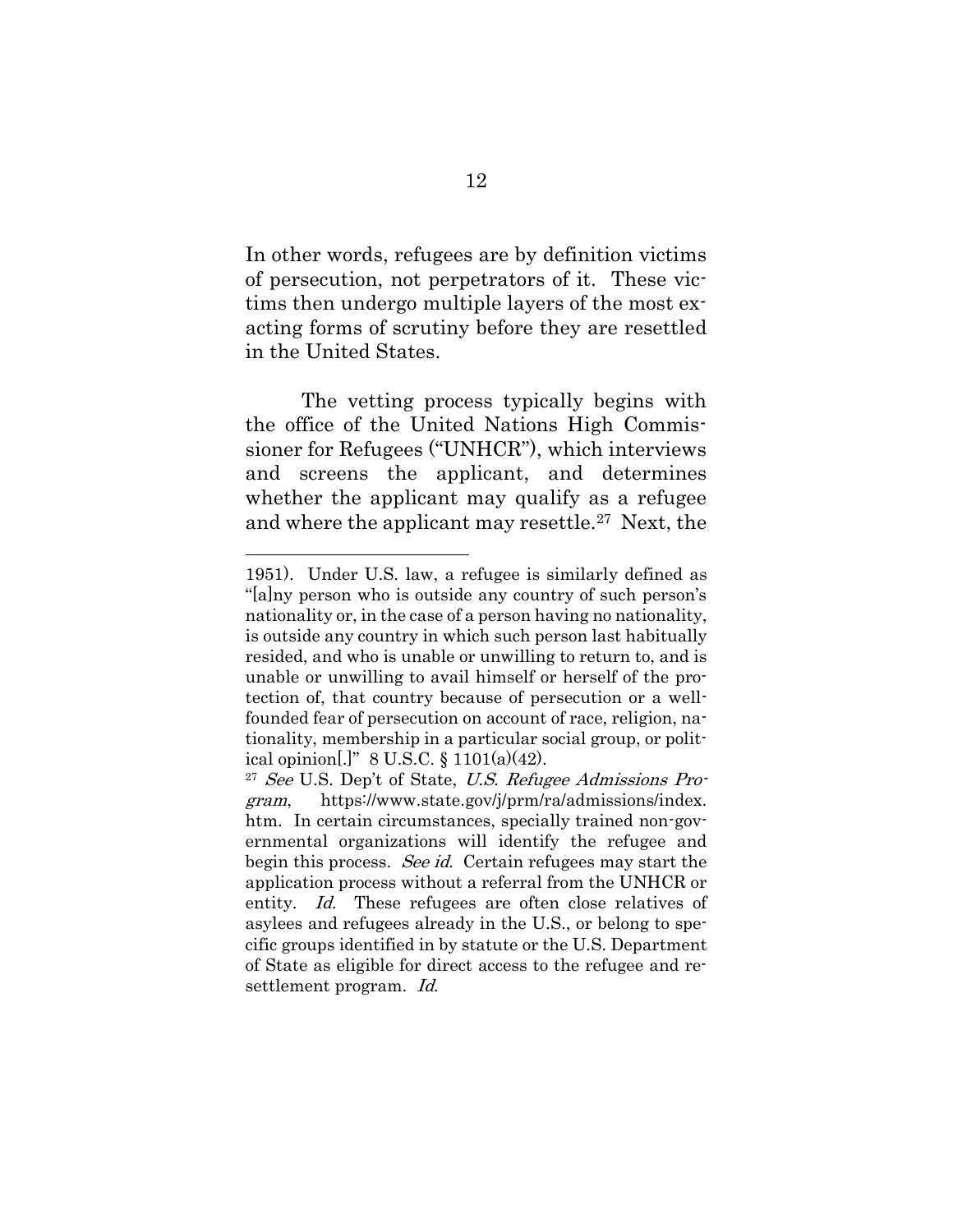In other words, refugees are by definition victims of persecution, not perpetrators of it. These victims then undergo multiple layers of the most exacting forms of scrutiny before they are resettled in the United States.

The vetting process typically begins with the office of the United Nations High Commissioner for Refugees ("UNHCR"), which interviews and screens the applicant, and determines whether the applicant may qualify as a refugee and where the applicant may resettle.27 Next, the

<sup>1951).</sup> Under U.S. law, a refugee is similarly defined as "[a]ny person who is outside any country of such person's nationality or, in the case of a person having no nationality, is outside any country in which such person last habitually resided, and who is unable or unwilling to return to, and is unable or unwilling to avail himself or herself of the protection of, that country because of persecution or a wellfounded fear of persecution on account of race, religion, nationality, membership in a particular social group, or political opinion[.]" 8 U.S.C.  $\S 1101(a)(42)$ .

<span id="page-33-0"></span> $27$  See U.S. Dep't of State, U.S. Refugee Admissions Program, https://www.state.gov/j/prm/ra/admissions/index. htm. In certain circumstances, specially trained non-governmental organizations will identify the refugee and begin this process. See id. Certain refugees may start the application process without a referral from the UNHCR or entity. Id. These refugees are often close relatives of asylees and refugees already in the U.S., or belong to specific groups identified in by statute or the U.S. Department of State as eligible for direct access to the refugee and resettlement program. Id.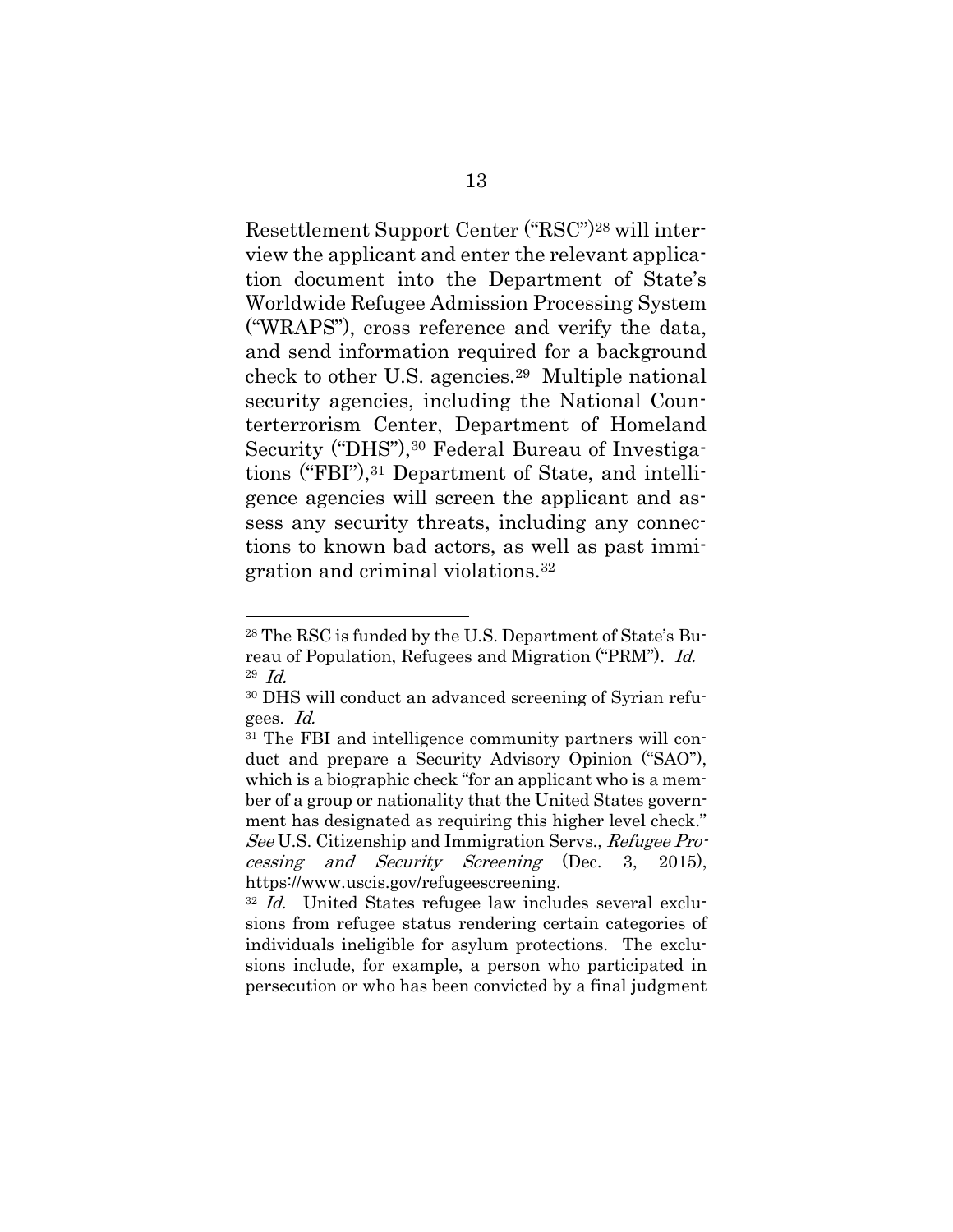Resettlement Support Center ("RSC")<sup>28</sup> will interview the applicant and enter the relevant application document into the Department of State's Worldwide Refugee Admission Processing System ("WRAPS"), cross reference and verify the data, and send information required for a background check to other U.S. agencies.29 Multiple national security agencies, including the National Counterterrorism Center, Department of Homeland Security ("DHS"),<sup>30</sup> Federal Bureau of Investigations ("FBI"),<sup>31</sup> Department of State, and intelligence agencies will screen the applicant and assess any security threats, including any connections to known bad actors, as well as past immigration and criminal violations.<sup>32</sup>

<sup>28</sup> The RSC is funded by the U.S. Department of State's Bureau of Population, Refugees and Migration ("PRM"). Id. 29 Id.

<sup>30</sup> DHS will conduct an advanced screening of Syrian refugees. Id.

<sup>31</sup> The FBI and intelligence community partners will conduct and prepare a Security Advisory Opinion ("SAO"), which is a biographic check "for an applicant who is a member of a group or nationality that the United States government has designated as requiring this higher level check." See U.S. Citizenship and Immigration Servs., Refugee Processing and Security Screening (Dec. 3, 2015), https://www.uscis.gov/refugeescreening.

<sup>&</sup>lt;sup>32</sup> Id. United States refugee law includes several exclusions from refugee status rendering certain categories of individuals ineligible for asylum protections. The exclusions include, for example, a person who participated in persecution or who has been convicted by a final judgment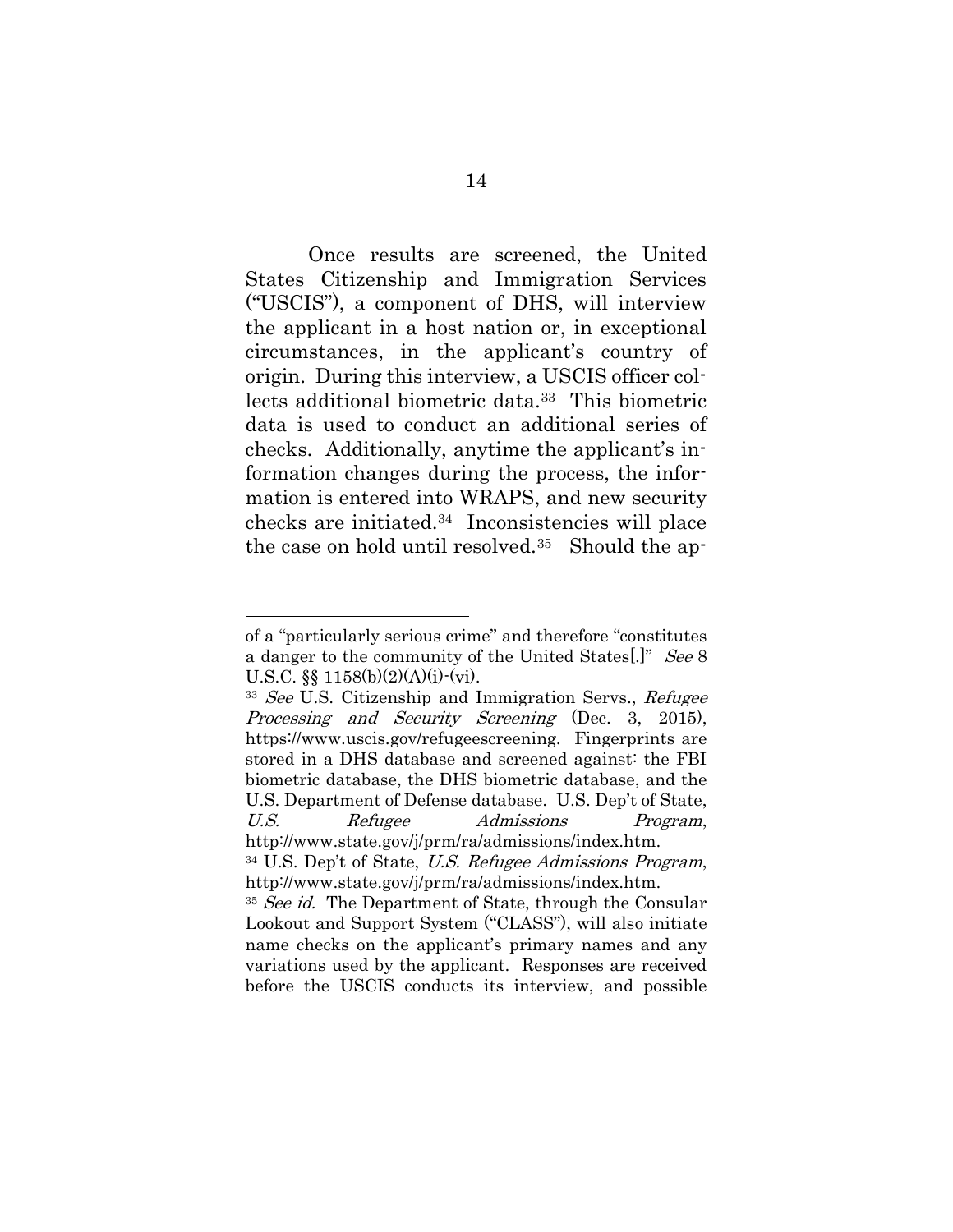Once results are screened, the United States Citizenship and Immigration Services ("USCIS"), a component of DHS, will interview the applicant in a host nation or, in exceptional circumstances, in the applicant's country of origin. During this interview, a USCIS officer collects additional biometric data.33 This biometric data is used to conduct an additional series of checks. Additionally, anytime the applicant's information changes during the process, the information is entered into WRAPS, and new security checks are initiated.34 Inconsistencies will place the case on hold until resolved.35 Should the ap-

<span id="page-35-0"></span>of a "particularly serious crime" and therefore "constitutes a danger to the community of the United States. U.S.C.  $\S$  1158(b)(2)(A)(i)-(vi).

<sup>&</sup>lt;sup>33</sup> See U.S. Citizenship and Immigration Servs., Refugee Processing and Security Screening (Dec. 3, 2015), https://www.uscis.gov/refugeescreening. Fingerprints are stored in a DHS database and screened against: the FBI biometric database, the DHS biometric database, and the U.S. Department of Defense database. U.S. Dep't of State, U.S. Refugee Admissions Program, http://www.state.gov/j/prm/ra/admissions/index.htm.

<sup>34</sup> U.S. Dep't of State, U.S. Refugee Admissions Program, http://www.state.gov/j/prm/ra/admissions/index.htm.

<sup>&</sup>lt;sup>35</sup> See id. The Department of State, through the Consular Lookout and Support System ("CLASS"), will also initiate name checks on the applicant's primary names and any variations used by the applicant. Responses are received before the USCIS conducts its interview, and possible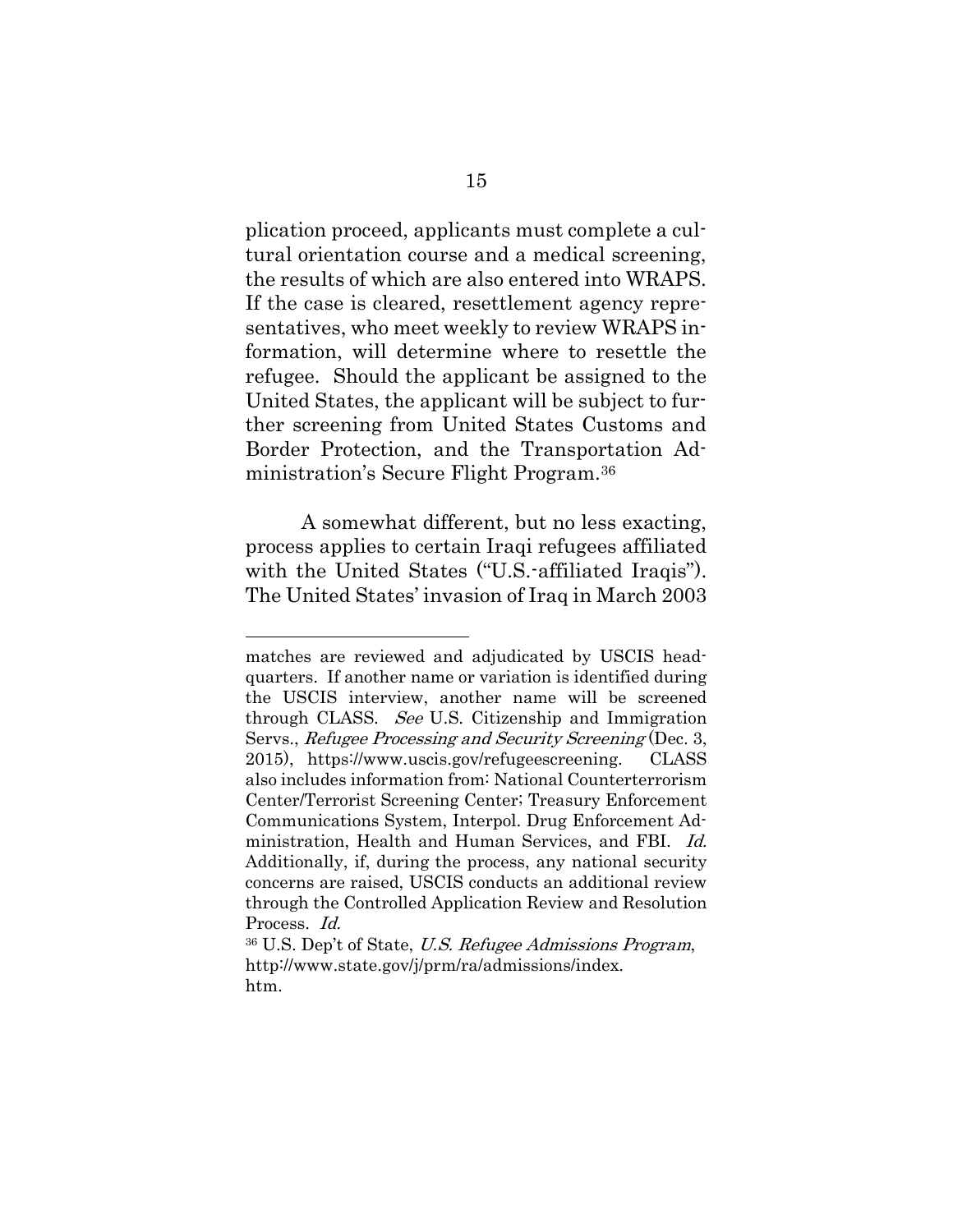plication proceed, applicants must complete a cultural orientation course and a medical screening, the results of which are also entered into WRAPS. If the case is cleared, resettlement agency representatives, who meet weekly to review WRAPS information, will determine where to resettle the refugee. Should the applicant be assigned to the United States, the applicant will be subject to further screening from United States Customs and Border Protection, and the Transportation Administration's Secure Flight Program.<sup>36</sup>

A somewhat different, but no less exacting, process applies to certain Iraqi refugees affiliated with the United States ("U.S.-affiliated Iraqis"). The United States' invasion of Iraq in March 2003

 $\overline{a}$ 

matches are reviewed and adjudicated by USCIS headquarters. If another name or variation is identified during the USCIS interview, another name will be screened through CLASS. See U.S. Citizenship and Immigration Servs., Refugee Processing and Security Screening (Dec. 3, 2015), https://www.uscis.gov/refugeescreening. CLASS also includes information from: National Counterterrorism Center/Terrorist Screening Center; Treasury Enforcement Communications System, Interpol. Drug Enforcement Administration, Health and Human Services, and FBI. Id. Additionally, if, during the process, any national security concerns are raised, USCIS conducts an additional review through the Controlled Application Review and Resolution Process. Id.

<sup>36</sup> U.S. Dep't of State, U.S. Refugee Admissions Program, http://www.state.gov/j/prm/ra/admissions/index. htm.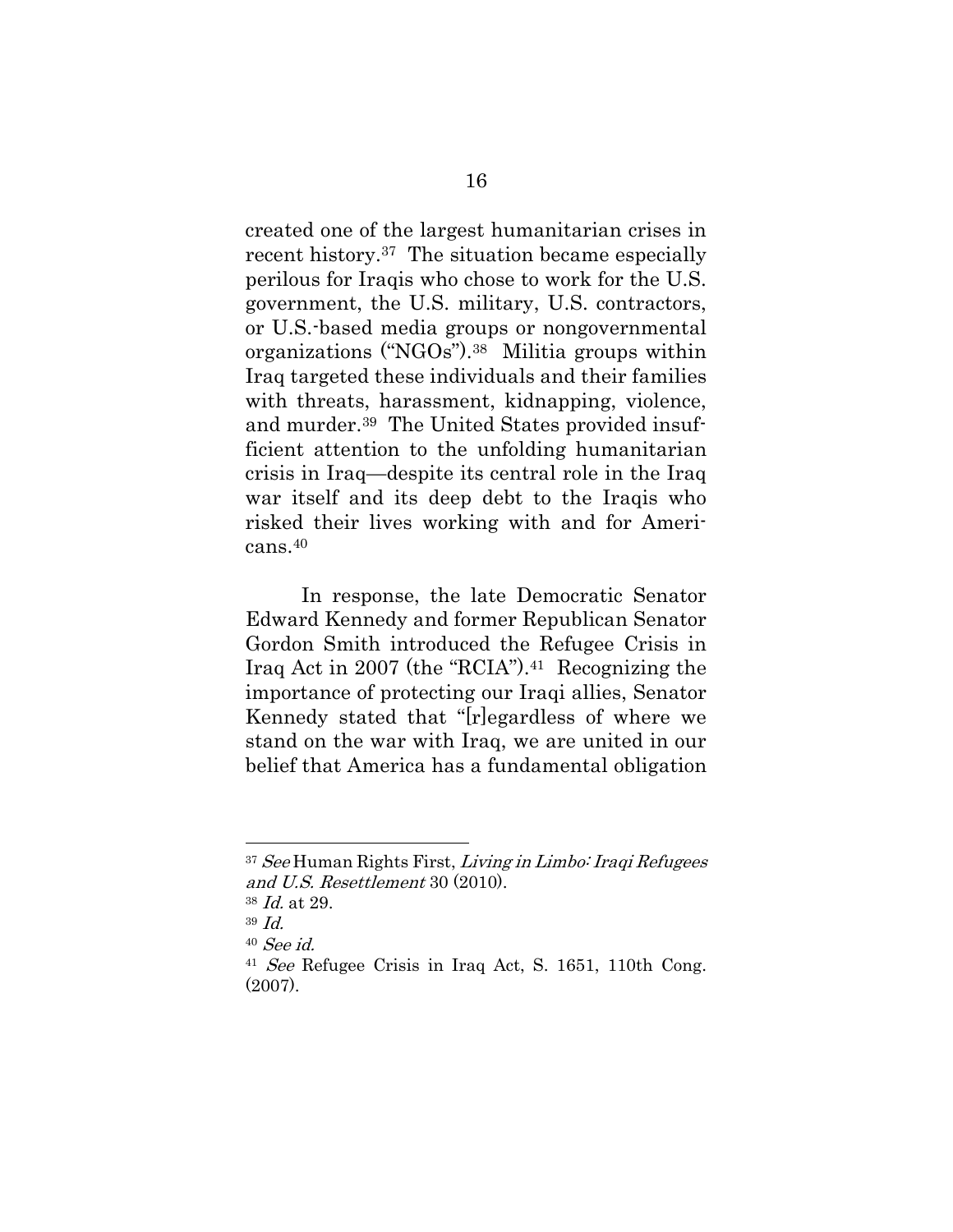created one of the largest humanitarian crises in recent history.37 The situation became especially perilous for Iraqis who chose to work for the U.S. government, the U.S. military, U.S. contractors, or U.S.-based media groups or nongovernmental organizations ("NGOs").38 Militia groups within Iraq targeted these individuals and their families with threats, harassment, kidnapping, violence, and murder.39 The United States provided insufficient attention to the unfolding humanitarian crisis in Iraq—despite its central role in the Iraq war itself and its deep debt to the Iraqis who risked their lives working with and for Americans.<sup>40</sup>

In response, the late Democratic Senator Edward Kennedy and former Republican Senator Gordon Smith introduced the Refugee Crisis in Iraq Act in 2007 (the "RCIA"). <sup>41</sup> Recognizing the importance of protecting our Iraqi allies, Senator Kennedy stated that "[r]egardless of where we stand on the war with Iraq, we are united in our belief that America has a fundamental obligation

<sup>37</sup> See Human Rights First, Living in Limbo: Iraqi Refugees and U.S. Resettlement 30 (2010).

<sup>38</sup> Id. at 29.

<sup>39</sup> Id.

<sup>40</sup> See id.

<sup>41</sup> See Refugee Crisis in Iraq Act, S. 1651, 110th Cong. (2007).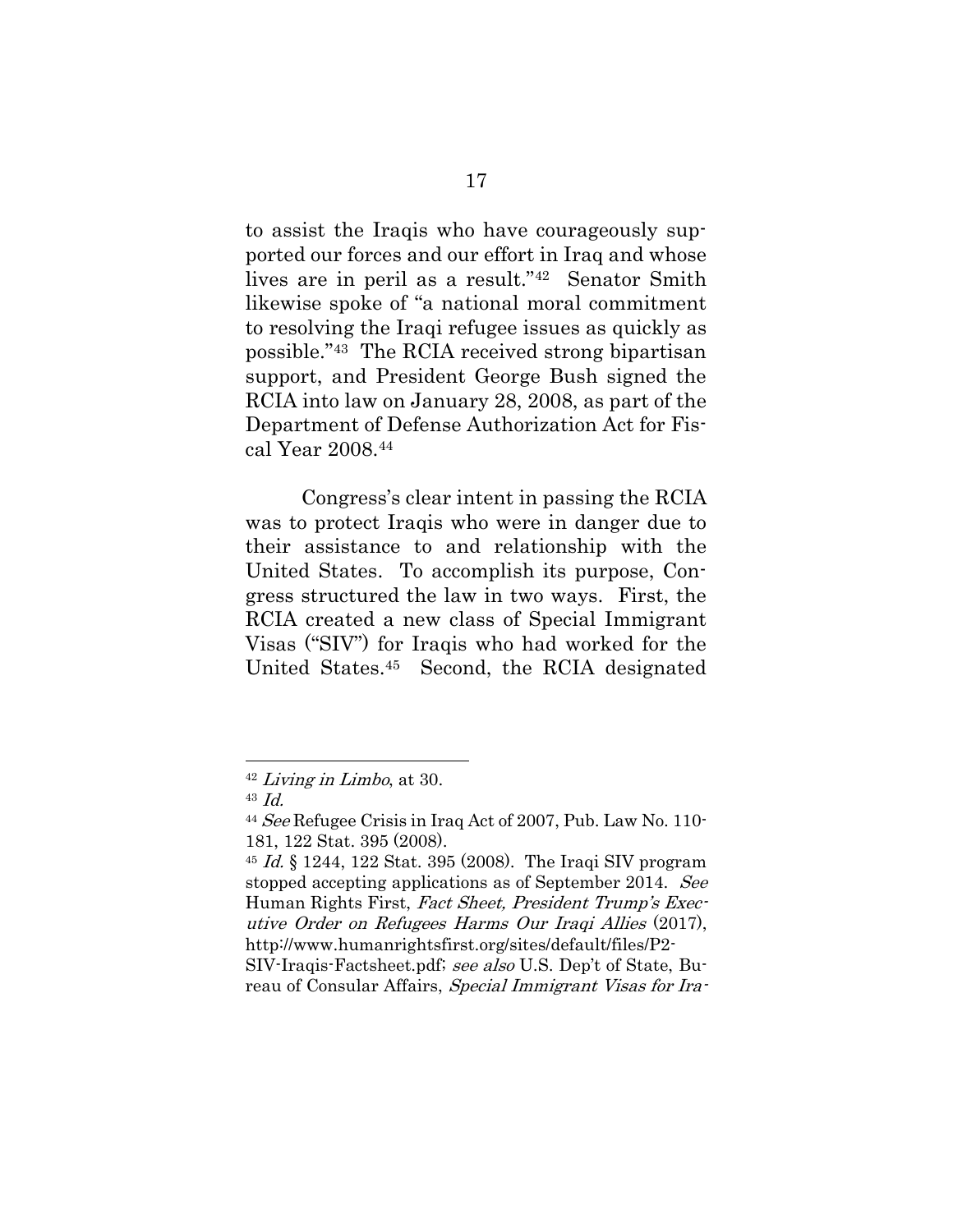to assist the Iraqis who have courageously supported our forces and our effort in Iraq and whose lives are in peril as a result."42 Senator Smith likewise spoke of "a national moral commitment to resolving the Iraqi refugee issues as quickly as possible."43 The RCIA received strong bipartisan support, and President George Bush signed the RCIA into law on January 28, 2008, as part of the Department of Defense Authorization Act for Fiscal Year 2008.<sup>44</sup>

Congress's clear intent in passing the RCIA was to protect Iraqis who were in danger due to their assistance to and relationship with the United States. To accomplish its purpose, Congress structured the law in two ways. First, the RCIA created a new class of Special Immigrant Visas ("SIV") for Iraqis who had worked for the United States.45 Second, the RCIA designated

<sup>42</sup> Living in Limbo, at 30.

<sup>43</sup> Id.

<sup>&</sup>lt;sup>44</sup> See Refugee Crisis in Iraq Act of 2007, Pub. Law No. 110-181, 122 Stat. 395 (2008).

<sup>45</sup> Id. § 1244, 122 Stat. 395 (2008). The Iraqi SIV program stopped accepting applications as of September 2014. See Human Rights First, Fact Sheet, President Trump's Executive Order on Refugees Harms Our Iraqi Allies (2017), http://www.humanrightsfirst.org/sites/default/files/P2- SIV-Iraqis-Factsheet.pdf; see also U.S. Dep't of State, Bu-

reau of Consular Affairs, Special Immigrant Visas for Ira-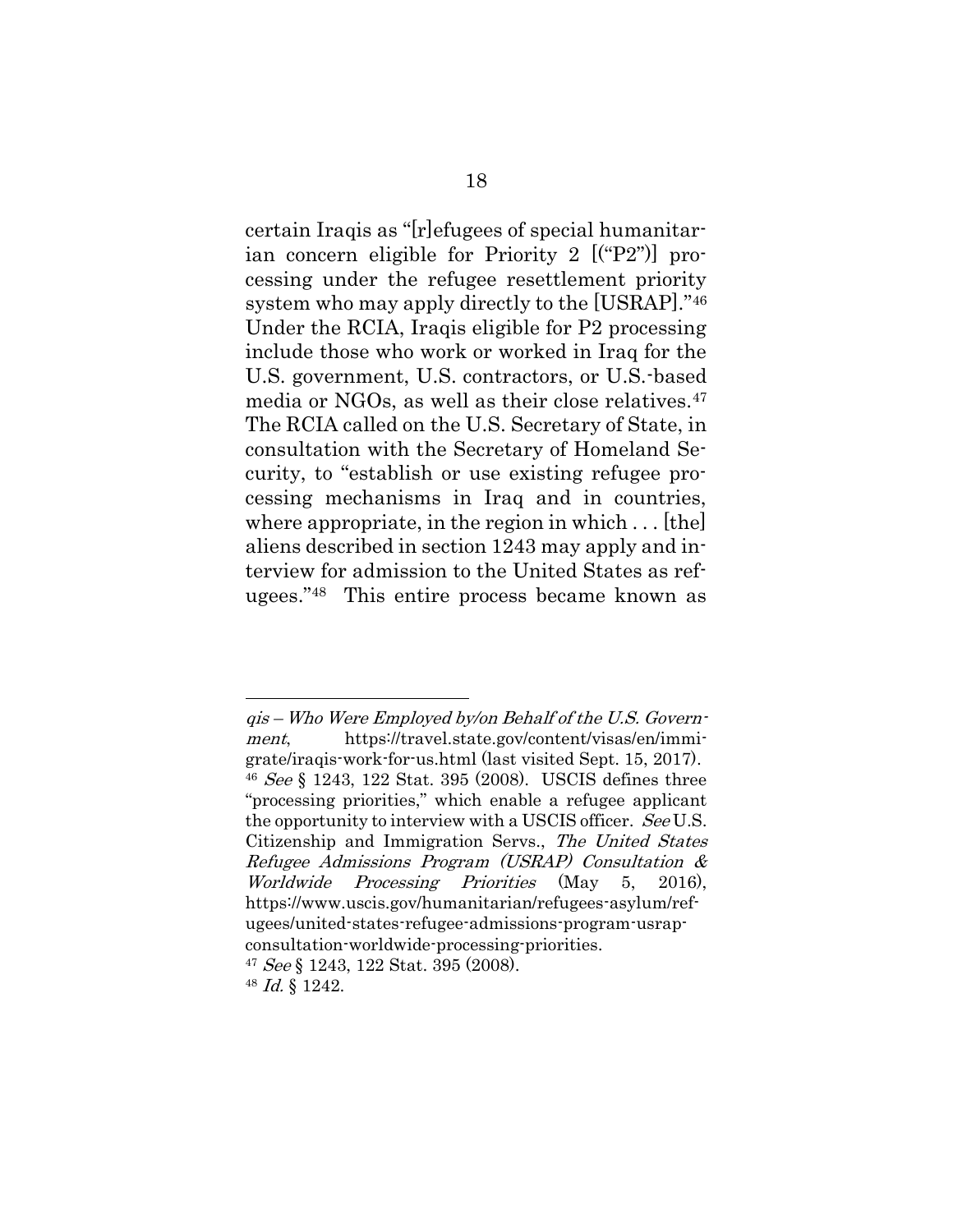certain Iraqis as "[r]efugees of special humanitarian concern eligible for Priority 2 [("P2")] processing under the refugee resettlement priority system who may apply directly to the [USRAP]."<sup>46</sup> Under the RCIA, Iraqis eligible for P2 processing include those who work or worked in Iraq for the U.S. government, U.S. contractors, or U.S.-based media or NGOs, as well as their close relatives.<sup>47</sup> The RCIA called on the U.S. Secretary of State, in consultation with the Secretary of Homeland Security, to "establish or use existing refugee processing mechanisms in Iraq and in countries, where appropriate, in the region in which  $\dots$  [the] aliens described in section 1243 may apply and interview for admission to the United States as refugees."<sup>48</sup> This entire process became known as

qis – Who Were Employed by/on Behalf of the U.S. Government, https://travel.state.gov/content/visas/en/immigrate/iraqis-work-for-us.html (last visited Sept. 15, 2017). <sup>46</sup> See § 1243, 122 Stat. 395 (2008). USCIS defines three "processing priorities," which enable a refugee applicant the opportunity to interview with a USCIS officer. See U.S. Citizenship and Immigration Servs., The United States Refugee Admissions Program (USRAP) Consultation & Worldwide Processing Priorities (May 5, 2016), [https://www.uscis.gov/humanitarian/refugees-asylum/ref](https://www.uscis.gov/humanitarian/refugees-asylum/refugees/united-states-refugee-admissions-program-usrap-consultation-worldwide-processing-priorities)[ugees/united-states-refugee-admissions-program-usrap](https://www.uscis.gov/humanitarian/refugees-asylum/refugees/united-states-refugee-admissions-program-usrap-consultation-worldwide-processing-priorities)[consultation-worldwide-processing-priorities.](https://www.uscis.gov/humanitarian/refugees-asylum/refugees/united-states-refugee-admissions-program-usrap-consultation-worldwide-processing-priorities)  $47 \text{ See } \S 1243, 122 \text{ Stat.} 395 (2008).$ 

<sup>48</sup> Id. § 1242.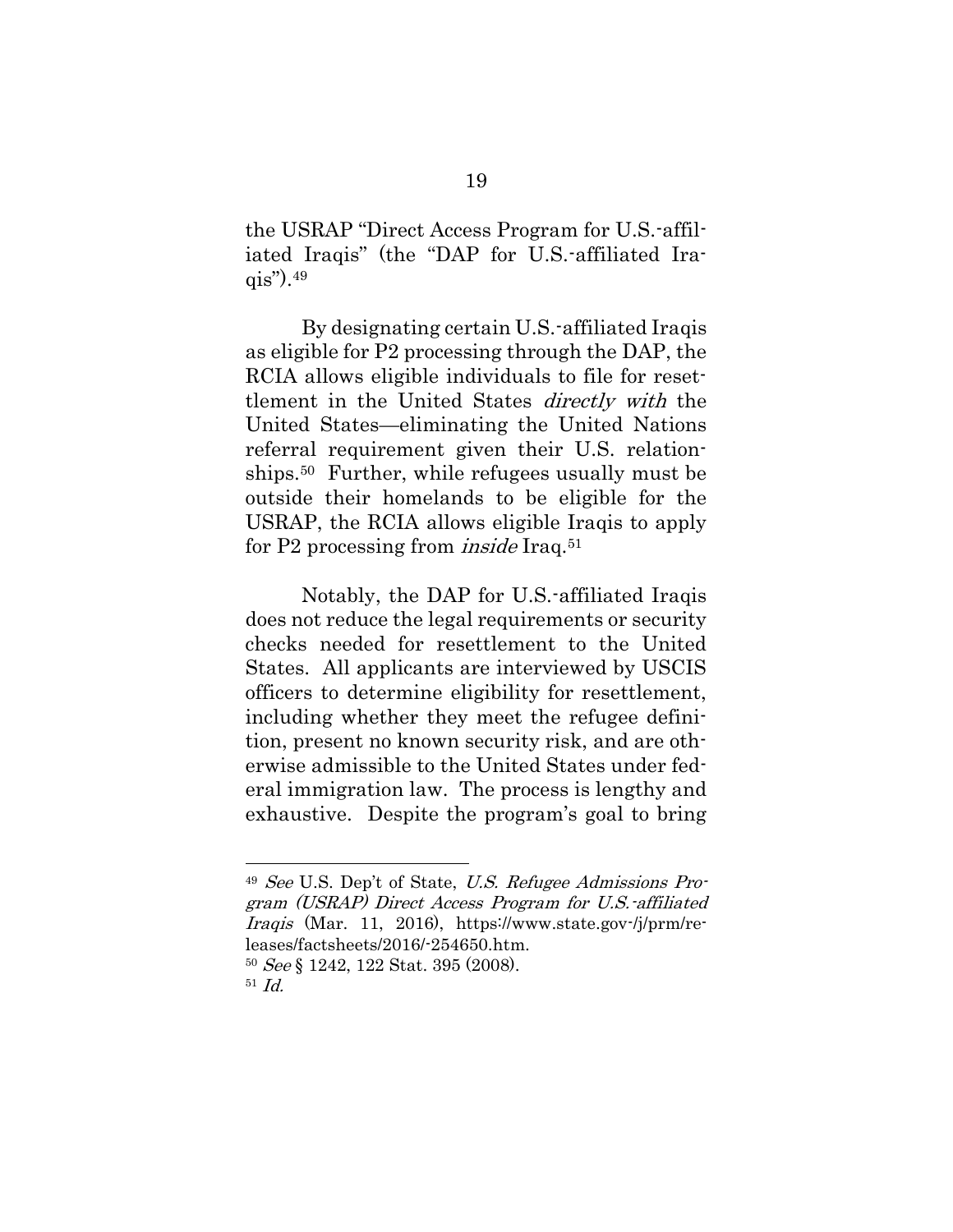the USRAP "Direct Access Program for U.S.-affiliated Iraqis" (the "DAP for U.S.-affiliated Ira- $\alpha$ is").  $49$ 

By designating certain U.S.-affiliated Iraqis as eligible for P2 processing through the DAP, the RCIA allows eligible individuals to file for resettlement in the United States directly with the United States—eliminating the United Nations referral requirement given their U.S. relationships.50 Further, while refugees usually must be outside their homelands to be eligible for the USRAP, the RCIA allows eligible Iraqis to apply for P2 processing from *inside* Iraq.<sup>51</sup>

Notably, the DAP for U.S.-affiliated Iraqis does not reduce the legal requirements or security checks needed for resettlement to the United States. All applicants are interviewed by USCIS officers to determine eligibility for resettlement, including whether they meet the refugee definition, present no known security risk, and are otherwise admissible to the United States under federal immigration law. The process is lengthy and exhaustive. Despite the program's goal to bring

<sup>49</sup> See U.S. Dep't of State, U.S. Refugee Admissions Program (USRAP) Direct Access Program for U.S.-affiliated Iraqis (Mar. 11, 2016), https://www.state.gov-/j/prm/releases/factsheets/2016/-254650.htm.

<sup>50</sup> See § 1242, 122 Stat. 395 (2008).

<sup>51</sup> Id.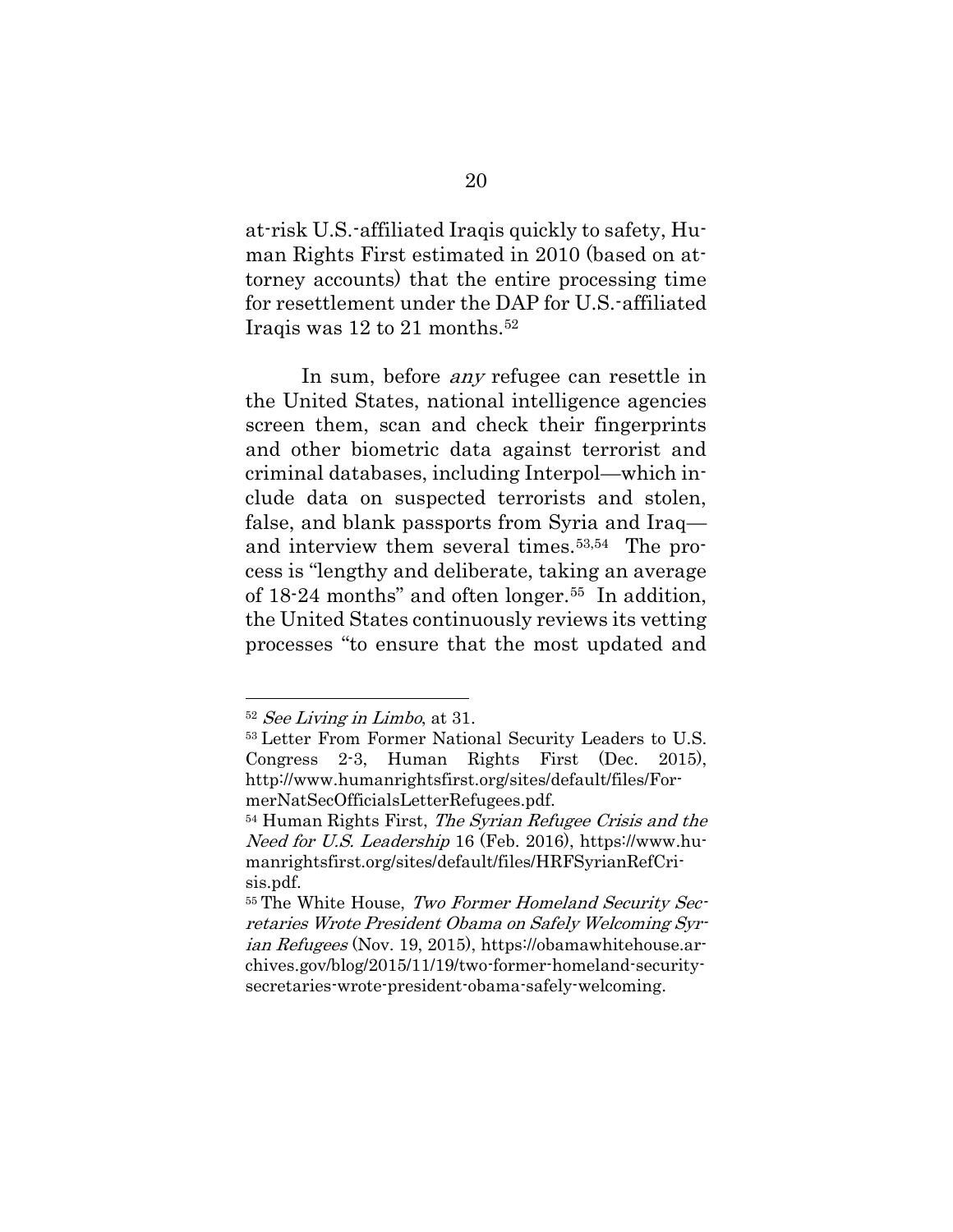at-risk U.S.-affiliated Iraqis quickly to safety, Human Rights First estimated in 2010 (based on attorney accounts) that the entire processing time for resettlement under the DAP for U.S.-affiliated Iraqis was 12 to 21 months. <sup>52</sup>

In sum, before *any* refugee can resettle in the United States, national intelligence agencies screen them, scan and check their fingerprints and other biometric data against terrorist and criminal databases, including Interpol—which include data on suspected terrorists and stolen, false, and blank passports from Syria and Iraq and interview them several times.53,54 The process is "lengthy and deliberate, taking an average of 18-24 months" and often longer.55 In addition, the United States continuously reviews its vetting processes "to ensure that the most updated and

<sup>52</sup> See Living in Limbo, at 31.

<sup>53</sup> Letter From Former National Security Leaders to U.S. Congress 2-3, Human Rights First (Dec. 2015), http://www.humanrightsfirst.org/sites/default/files/FormerNatSecOfficialsLetterRefugees.pdf.

<sup>54</sup> Human Rights First, The Syrian Refugee Crisis and the Need for U.S. Leadership 16 (Feb. 2016), https://www.humanrightsfirst.org/sites/default/files/HRFSyrianRefCrisis.pdf.

<sup>55</sup> The White House, Two Former Homeland Security Secretaries Wrote President Obama on Safely Welcoming Syrian Refugees (Nov. 19, 2015), https://obamawhitehouse.archives.gov/blog/2015/11/19/two-former-homeland-securitysecretaries-wrote-president-obama-safely-welcoming.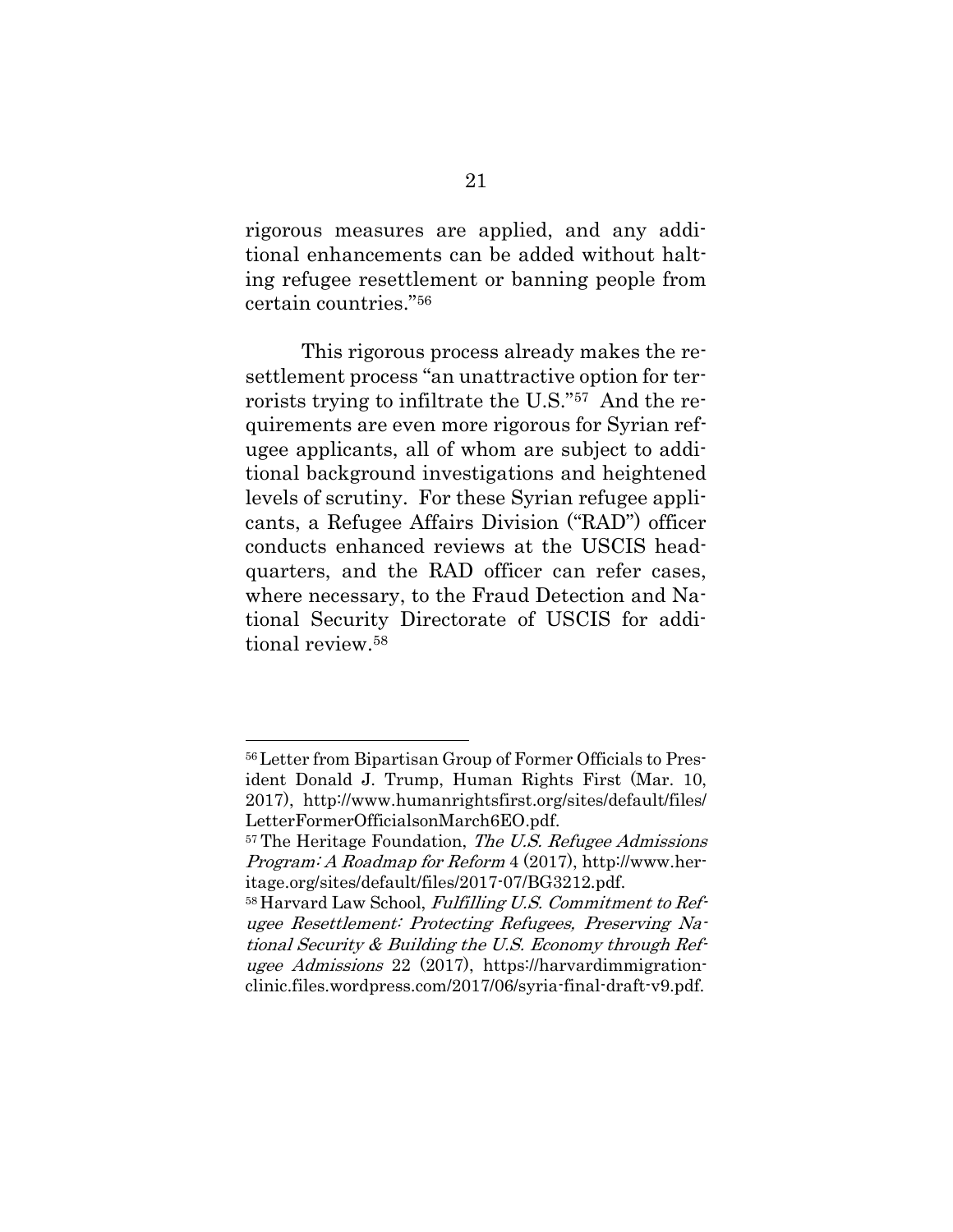rigorous measures are applied, and any additional enhancements can be added without halting refugee resettlement or banning people from certain countries."<sup>56</sup>

This rigorous process already makes the resettlement process "an unattractive option for terrorists trying to infiltrate the U.S."57 And the requirements are even more rigorous for Syrian refugee applicants, all of whom are subject to additional background investigations and heightened levels of scrutiny. For these Syrian refugee applicants, a Refugee Affairs Division ("RAD") officer conducts enhanced reviews at the USCIS headquarters, and the RAD officer can refer cases, where necessary, to the Fraud Detection and National Security Directorate of USCIS for additional review.<sup>58</sup>

<sup>56</sup>Letter from Bipartisan Group of Former Officials to President Donald J. Trump, Human Rights First (Mar. 10, 2017), http://www.humanrightsfirst.org/sites/default/files/ LetterFormerOfficialsonMarch6EO.pdf.

 $57$  The Heritage Foundation, *The U.S. Refugee Admissions* Program: A Roadmap for Reform 4 (2017), http://www.heritage.org/sites/default/files/2017-07/BG3212.pdf.

<sup>58</sup> Harvard Law School, Fulfilling U.S. Commitment to Refugee Resettlement: Protecting Refugees, Preserving National Security & Building the U.S. Economy through Refugee Admissions 22 (2017), https://harvardimmigrationclinic.files.wordpress.com/2017/06/syria-final-draft-v9.pdf.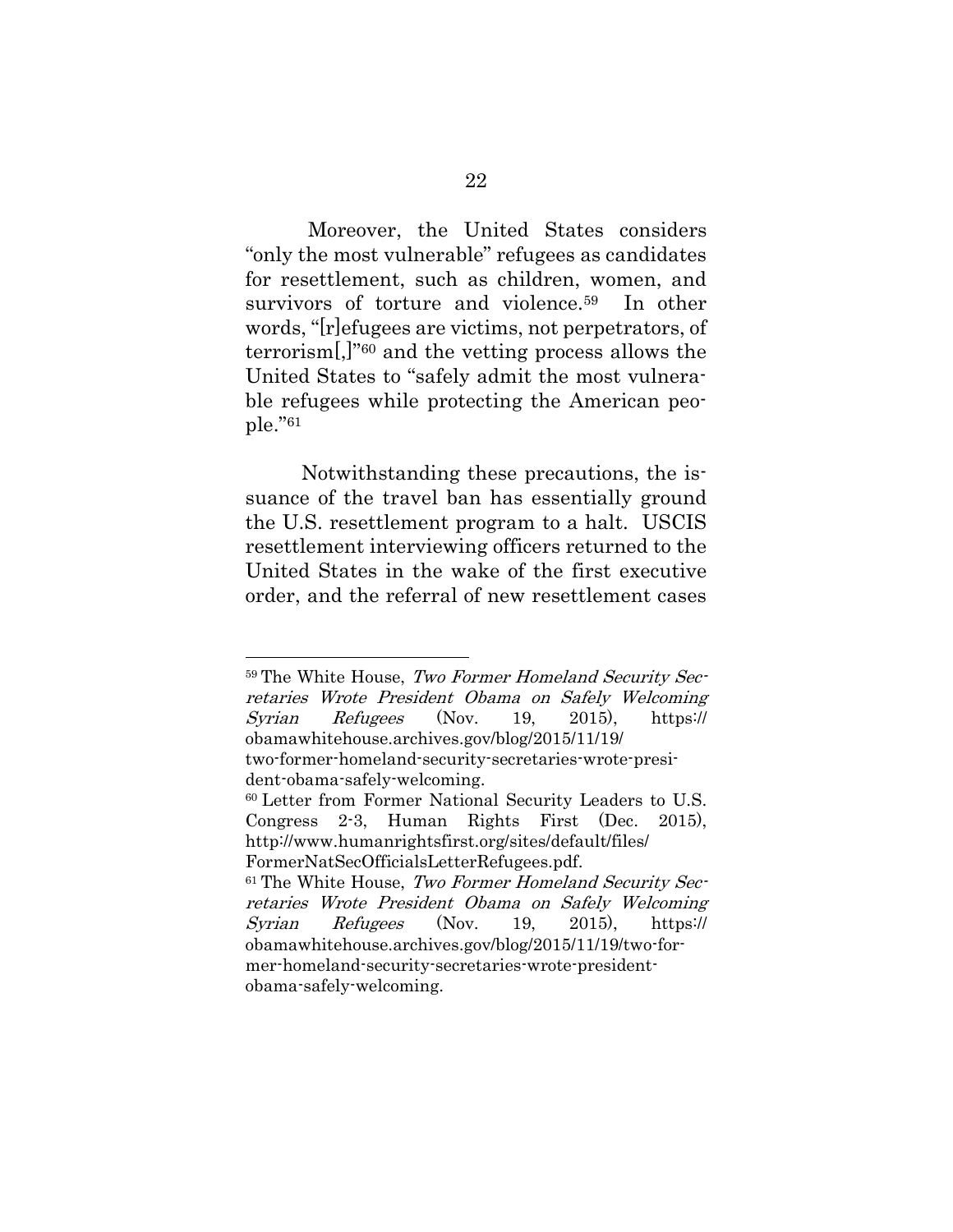Moreover, the United States considers "only the most vulnerable" refugees as candidates for resettlement, such as children, women, and survivors of torture and violence.<sup>59</sup> In other words, "[r]efugees are victims, not perpetrators, of terrorism[,]"<sup>60</sup> and the vetting process allows the United States to "safely admit the most vulnerable refugees while protecting the American people."<sup>61</sup>

Notwithstanding these precautions, the issuance of the travel ban has essentially ground the U.S. resettlement program to a halt. USCIS resettlement interviewing officers returned to the United States in the wake of the first executive order, and the referral of new resettlement cases

<sup>59</sup> The White House, Two Former Homeland Security Secretaries Wrote President Obama on Safely Welcoming Syrian Refugees (Nov. 19, 2015), https:// obamawhitehouse.archives.gov/blog/2015/11/19/

two-former-homeland-security-secretaries-wrote-president-obama-safely-welcoming.

<sup>60</sup> Letter from Former National Security Leaders to U.S. Congress 2-3, Human Rights First (Dec. 2015), http://www.humanrightsfirst.org/sites/default/files/ FormerNatSecOfficialsLetterRefugees.pdf.

 $61$  The White House, Two Former Homeland Security Secretaries Wrote President Obama on Safely Welcoming Syrian Refugees (Nov. 19, 2015), https:// obamawhitehouse.archives.gov/blog/2015/11/19/two-former-homeland-security-secretaries-wrote-presidentobama-safely-welcoming.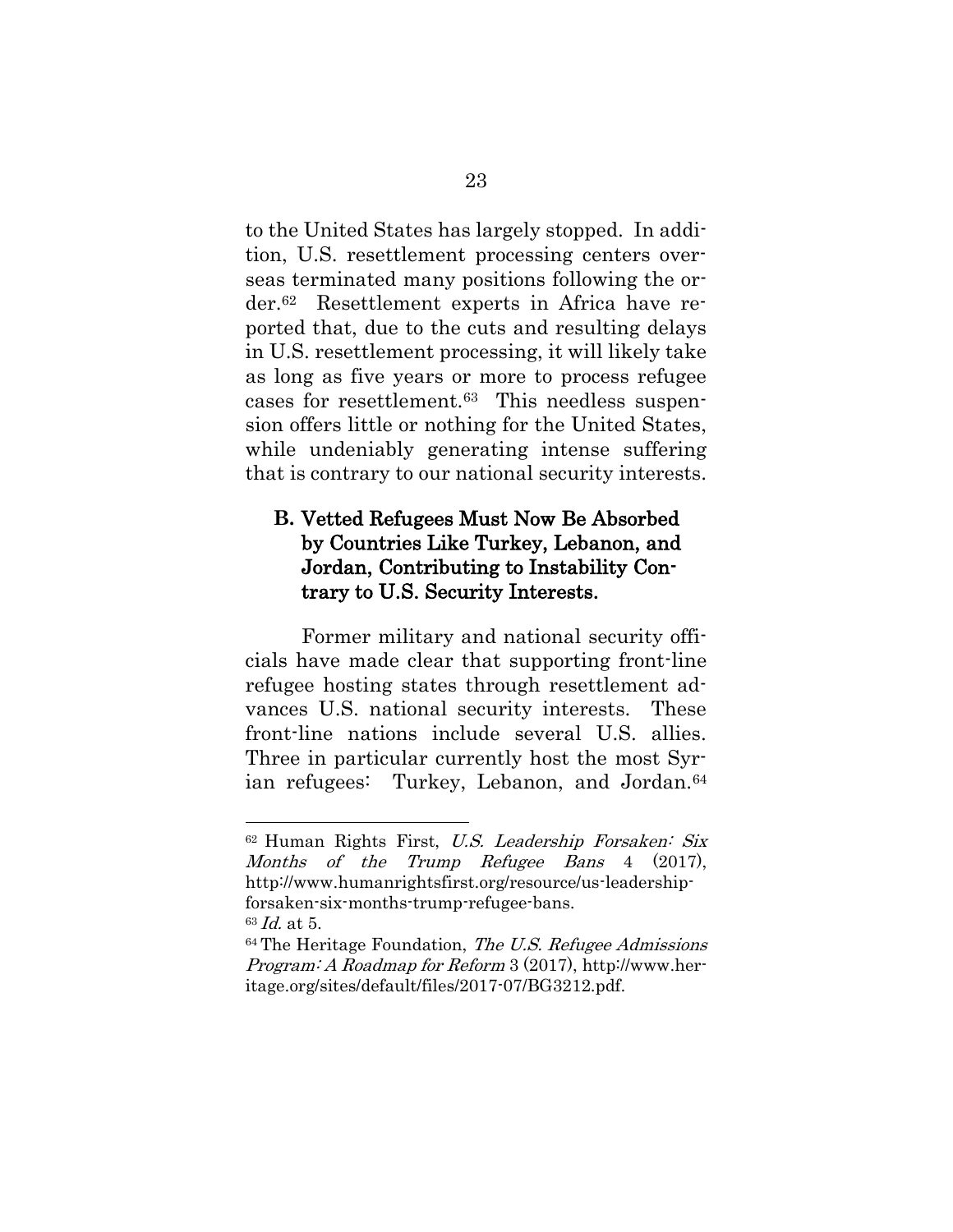to the United States has largely stopped. In addition, U.S. resettlement processing centers overseas terminated many positions following the order.62 Resettlement experts in Africa have reported that, due to the cuts and resulting delays in U.S. resettlement processing, it will likely take as long as five years or more to process refugee cases for resettlement.63 This needless suspension offers little or nothing for the United States, while undeniably generating intense suffering that is contrary to our national security interests.

# **B.** Vetted Refugees Must Now Be Absorbed by Countries Like Turkey, Lebanon, and Jordan, Contributing to Instability Contrary to U.S. Security Interests.

Former military and national security officials have made clear that supporting front-line refugee hosting states through resettlement advances U.S. national security interests. These front-line nations include several U.S. allies. Three in particular currently host the most Syrian refugees: Turkey, Lebanon, and Jordan.<sup>64</sup>

<sup>62</sup> Human Rights First, U.S. Leadership Forsaken: Six Months of the Trump Refugee Bans 4 (2017), [http://www.humanrightsfirst.org/resource/us-leadership](http://www.humanrightsfirst.org/resource/us-leadership-forsaken-six-months-trump-refugee-bans)[forsaken-six-months-trump-refugee-bans.](http://www.humanrightsfirst.org/resource/us-leadership-forsaken-six-months-trump-refugee-bans)  $63$  *Id.* at 5.

 $64$  The Heritage Foundation, The U.S. Refugee Admissions Program: A Roadmap for Reform 3 (2017), [http://www.her](http://www.heritage.org/sites/default/files/2017-07/BG3212.pdf)[itage.org/sites/default/files/2017-07/BG3212.pdf.](http://www.heritage.org/sites/default/files/2017-07/BG3212.pdf)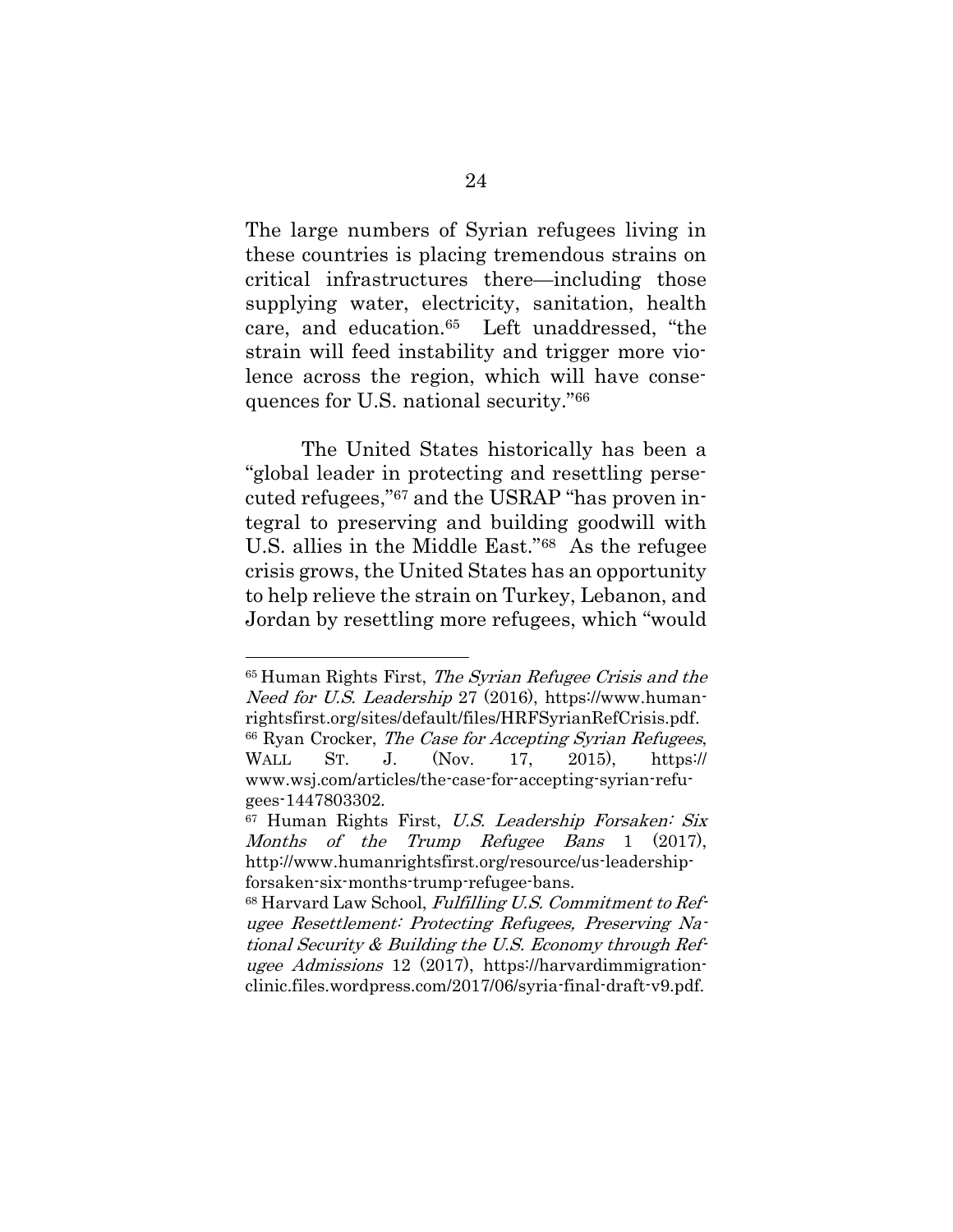The large numbers of Syrian refugees living in these countries is placing tremendous strains on critical infrastructures there—including those supplying water, electricity, sanitation, health care, and education.65 Left unaddressed, "the strain will feed instability and trigger more violence across the region, which will have consequences for U.S. national security."<sup>66</sup>

The United States historically has been a "global leader in protecting and resettling persecuted refugees,"<sup>67</sup> and the USRAP "has proven integral to preserving and building goodwill with U.S. allies in the Middle East."68 As the refugee crisis grows, the United States has an opportunity to help relieve the strain on Turkey, Lebanon, and Jordan by resettling more refugees, which "would

<sup>65</sup> Human Rights First, The Syrian Refugee Crisis and the Need for U.S. Leadership 27 (2016), [https://www.human](https://www.humanrightsfirst.org/sites/default/files/HRFSyrianRefCrisis.pdf)[rightsfirst.org/sites/default/files/HRFSyrianRefCrisis.pdf.](https://www.humanrightsfirst.org/sites/default/files/HRFSyrianRefCrisis.pdf) <sup>66</sup> Ryan Crocker, The Case for Accepting Syrian Refugees, WALL ST. J. (Nov. 17, 2015), https:// www.wsj.com/articles/the-case-for-accepting-syrian-refugees-1447803302.

<sup>&</sup>lt;sup>67</sup> Human Rights First, U.S. Leadership Forsaken: Six Months of the Trump Refugee Bans 1 (2017), [http://www.humanrightsfirst.org/resource/us-leadership](http://www.humanrightsfirst.org/resource/us-leadership-forsaken-six-months-trump-refugee-bans)[forsaken-six-months-trump-refugee-bans.](http://www.humanrightsfirst.org/resource/us-leadership-forsaken-six-months-trump-refugee-bans)

 $68$  Harvard Law School, Fulfilling U.S. Commitment to Refugee Resettlement: Protecting Refugees, Preserving National Security & Building the U.S. Economy through Refugee Admissions 12 (2017), [https://harvardimmigration](https://harvardimmigrationclinic.files.wordpress.com/2017/06/syria-final-draft-v9.pdf)[clinic.files.wordpress.com/2017/06/syria-final-draft-v9.pdf.](https://harvardimmigrationclinic.files.wordpress.com/2017/06/syria-final-draft-v9.pdf)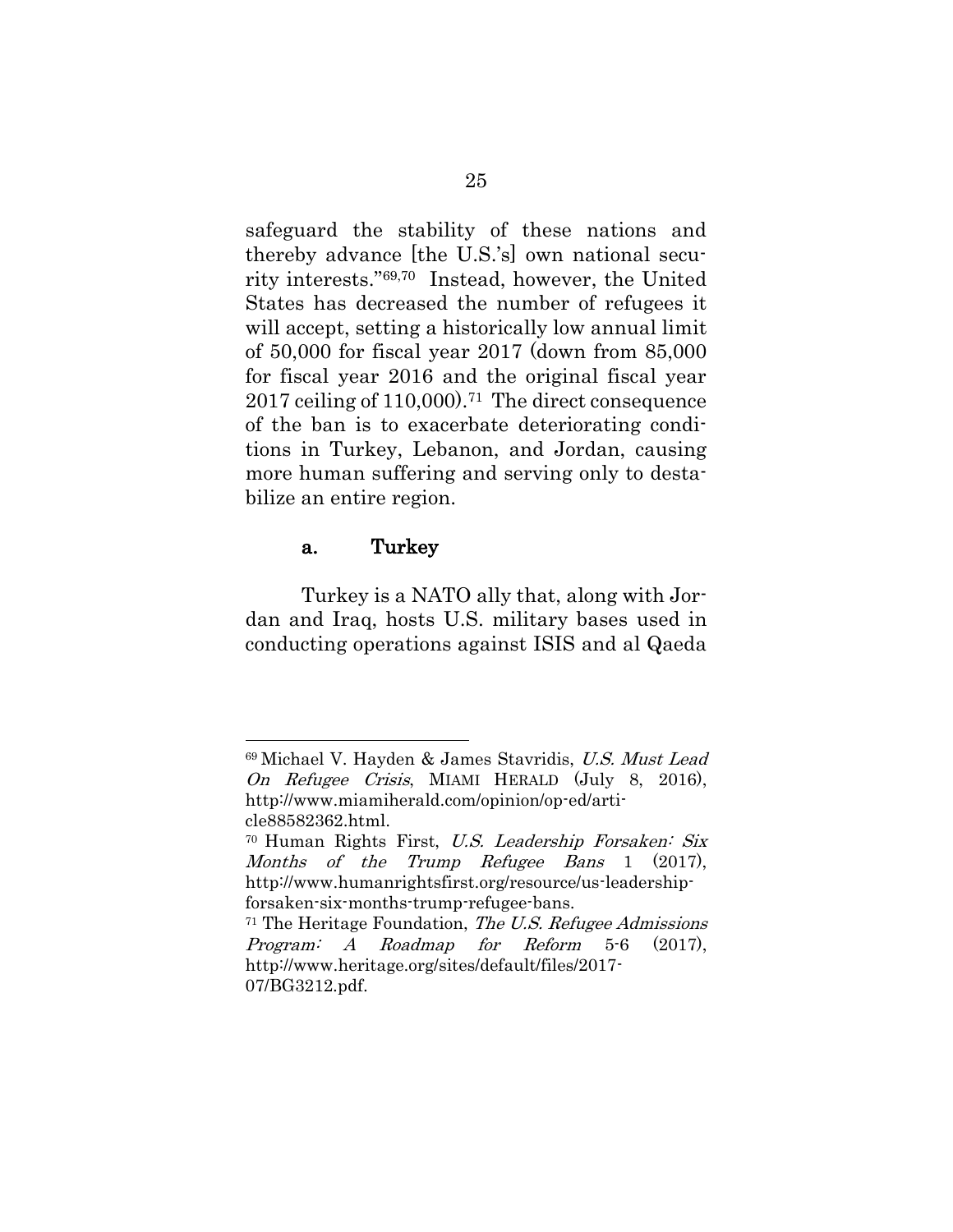safeguard the stability of these nations and thereby advance [the U.S.'s] own national security interests."69,70 Instead, however, the United States has decreased the number of refugees it will accept, setting a historically low annual limit of 50,000 for fiscal year 2017 (down from 85,000 for fiscal year 2016 and the original fiscal year 2017 ceiling of 110,000).71 The direct consequence of the ban is to exacerbate deteriorating conditions in Turkey, Lebanon, and Jordan, causing more human suffering and serving only to destabilize an entire region.

#### a. Turkey

l

Turkey is a NATO ally that, along with Jordan and Iraq, hosts U.S. military bases used in conducting operations against ISIS and al Qaeda

<sup>69</sup> Michael V. Hayden & James Stavridis, U.S. Must Lead On Refugee Crisis, MIAMI HERALD (July 8, 2016), [http://www.miamiherald.com/opinion/op-ed/arti](http://www.miamiherald.com/opinion/op-ed/article88582362.html)[cle88582362.html.](http://www.miamiherald.com/opinion/op-ed/article88582362.html)

<sup>70</sup> Human Rights First, U.S. Leadership Forsaken: Six Months of the Trump Refugee Bans 1 (2017), [http://www.humanrightsfirst.org/resource/us-leadership](http://www.humanrightsfirst.org/resource/us-leadership-forsaken-six-months-trump-refugee-bans)[forsaken-six-months-trump-refugee-bans.](http://www.humanrightsfirst.org/resource/us-leadership-forsaken-six-months-trump-refugee-bans)

 $71$  The Heritage Foundation, *The U.S. Refugee Admissions* Program: A Roadmap for Reform 5-6 (2017), [http://www.heritage.org/sites/default/files/2017-](http://www.heritage.org/sites/default/files/2017-07/BG3212.pdf) [07/BG3212.pdf.](http://www.heritage.org/sites/default/files/2017-07/BG3212.pdf)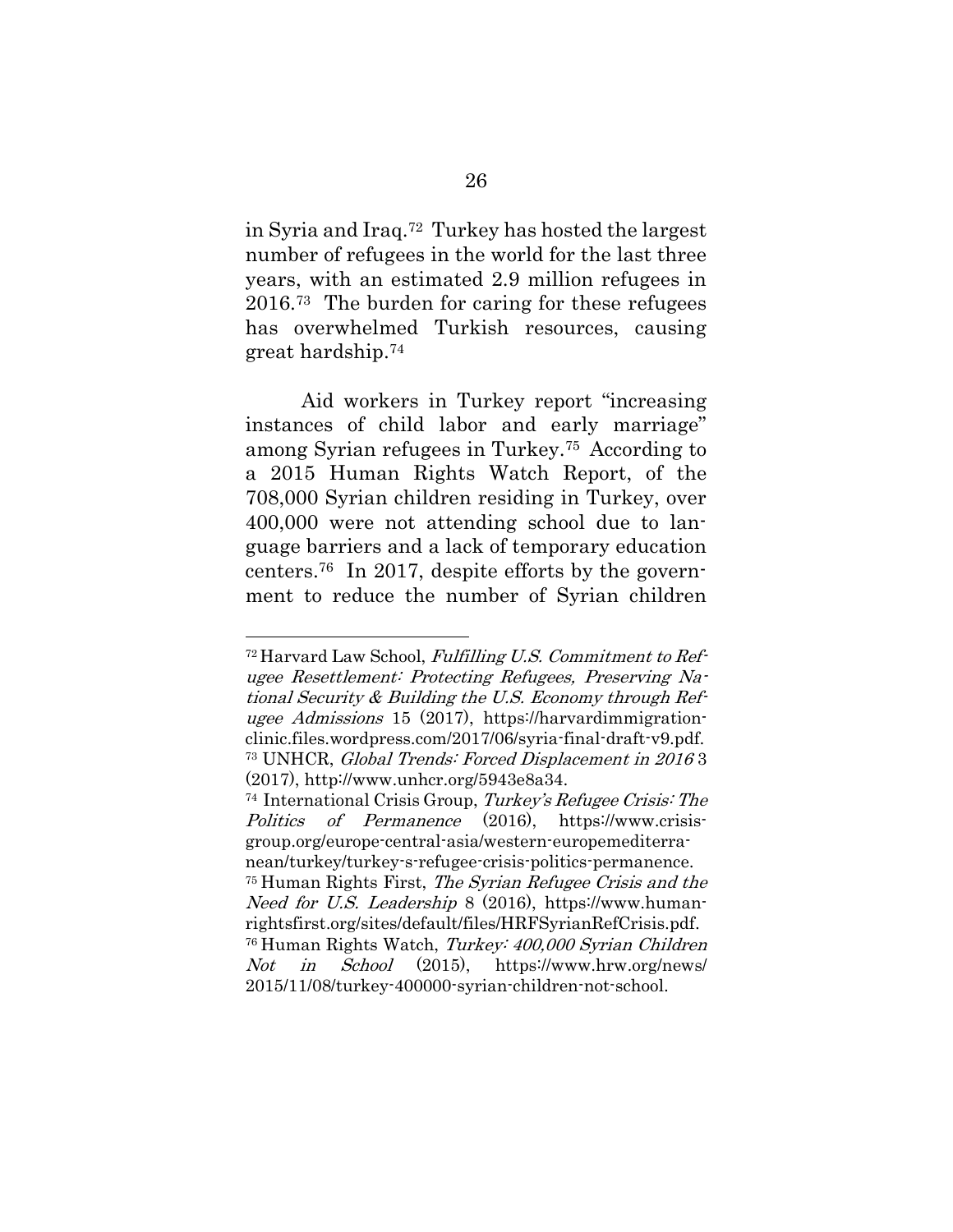in Syria and Iraq.72 Turkey has hosted the largest number of refugees in the world for the last three years, with an estimated 2.9 million refugees in 2016. <sup>73</sup> The burden for caring for these refugees has overwhelmed Turkish resources, causing great hardship. 74

Aid workers in Turkey report "increasing instances of child labor and early marriage" among Syrian refugees in Turkey.<sup>75</sup> According to a 2015 [Human Rights Watch Report,](https://www.hrw.org/news/2015/11/08/turkey-400000-syrian-children-not-school) of the 708,000 Syrian children residing in Turkey, over 400,000 were not attending school due to language barriers and a lack of temporary education centers.76 [In 2017,](https://www.hrw.org/news/2017/01/23/syrian-refugee-kids-still-out-school-turkey) despite efforts by the government to reduce the number of Syrian children

 $\overline{a}$ 

<sup>72</sup> Harvard Law School, Fulfilling U.S. Commitment to Refugee Resettlement: Protecting Refugees, Preserving National Security & Building the U.S. Economy through Refugee Admissions 15 (2017), [https://harvardimmigration](https://harvardimmigrationclinic.files.wordpress.com/2017/06/syria-final-draft-v9.pdf)[clinic.files.wordpress.com/2017/06/syria-final-draft-v9.pdf.](https://harvardimmigrationclinic.files.wordpress.com/2017/06/syria-final-draft-v9.pdf) <sup>73</sup> UNHCR, Global Trends: Forced Displacement in 2016 3 (2017), [http://www.unhcr.org/5943e8a34.](http://www.unhcr.org/5943e8a34)

<sup>74</sup> International Crisis Group, Turkey's Refugee Crisis: Th<sup>e</sup> Politics of Permanence (2016), https://www.crisisgroup.org/europe-central-asia/western-europemediterranean/turkey/turkey-s-refugee-crisis-politics-permanence. <sup>75</sup> Human Rights First, The Syrian Refugee Crisis and the Need for U.S. Leadership 8 (2016), [https://www.human](https://www.humanrightsfirst.org/sites/default/files/HRFSyrianRefCrisis.pdf)[rightsfirst.org/sites/default/files/HRFSyrianRefCrisis.pdf.](https://www.humanrightsfirst.org/sites/default/files/HRFSyrianRefCrisis.pdf) <sup>76</sup> Human Rights Watch, Turkey: 400,000 Syrian Children Not in School (2015), https://www.hrw.org/news/ 2015/11/08/turkey-400000-syrian-children-not-school.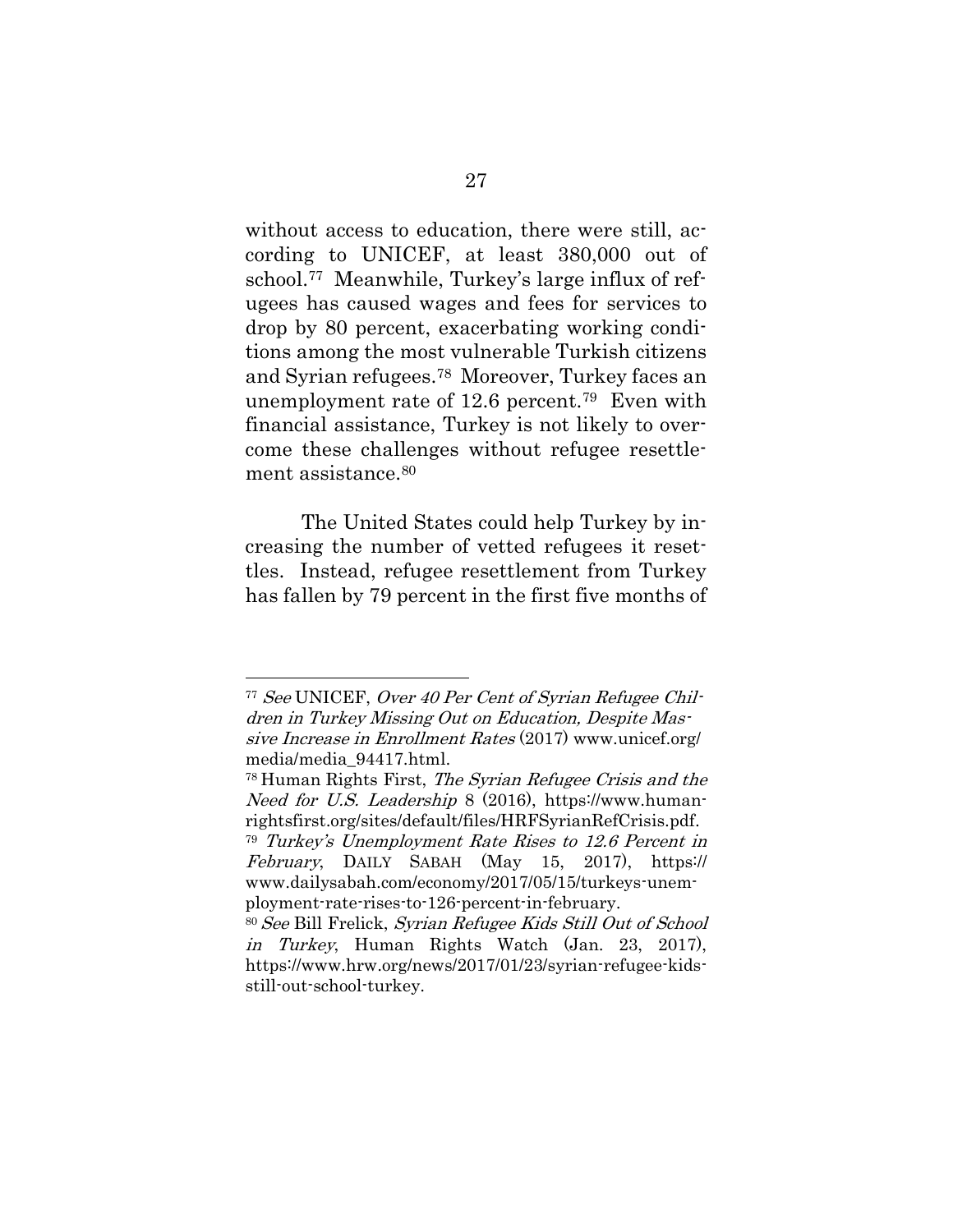without access to education, there were still, according to UNICEF, at least 380,000 out of school.77 Meanwhile, Turkey's large influx of refugees has caused wages and fees for services to drop by 80 percent, exacerbating working conditions among the most vulnerable Turkish citizens and Syrian refugees.78 Moreover, Turkey faces an unemployment rate of 12.6 percent. <sup>79</sup> Even with financial assistance, Turkey is not likely to overcome these challenges without refugee resettlement assistance. 80

The United States could help Turkey by increasing the number of vetted refugees it resettles. Instead, refugee resettlement from Turkey has fallen by 79 percent in the first five months of

<sup>77</sup> See UNICEF, Over 40 Per Cent of Syrian Refugee Children in Turkey Missing Out on Education, Despite Massive Increase in Enrollment Rates (2017) www.unicef.org/ media/media\_94417.html.

<sup>78</sup> Human Rights First, The Syrian Refugee Crisis and the Need for U.S. Leadership 8 (2016), [https://www.human](https://www.humanrightsfirst.org/sites/default/files/HRFSyrianRefCrisis.pdf)[rightsfirst.org/sites/default/files/HRFSyrianRefCrisis.pdf.](https://www.humanrightsfirst.org/sites/default/files/HRFSyrianRefCrisis.pdf) <sup>79</sup> Turkey's Unemployment Rate Rises to 12.6 Percent in February, DAILY SABAH (May 15, 2017), https://

www.dailysabah.com/economy/2017/05/15/turkeys-unemployment-rate-rises-to-126-percent-in-february.

<sup>80</sup> See Bill Frelick, Syrian Refugee Kids Still Out of School in Turkey, Human Rights Watch (Jan. 23, 2017), https://www.hrw.org/news/2017/01/23/syrian-refugee-kidsstill-out-school-turkey.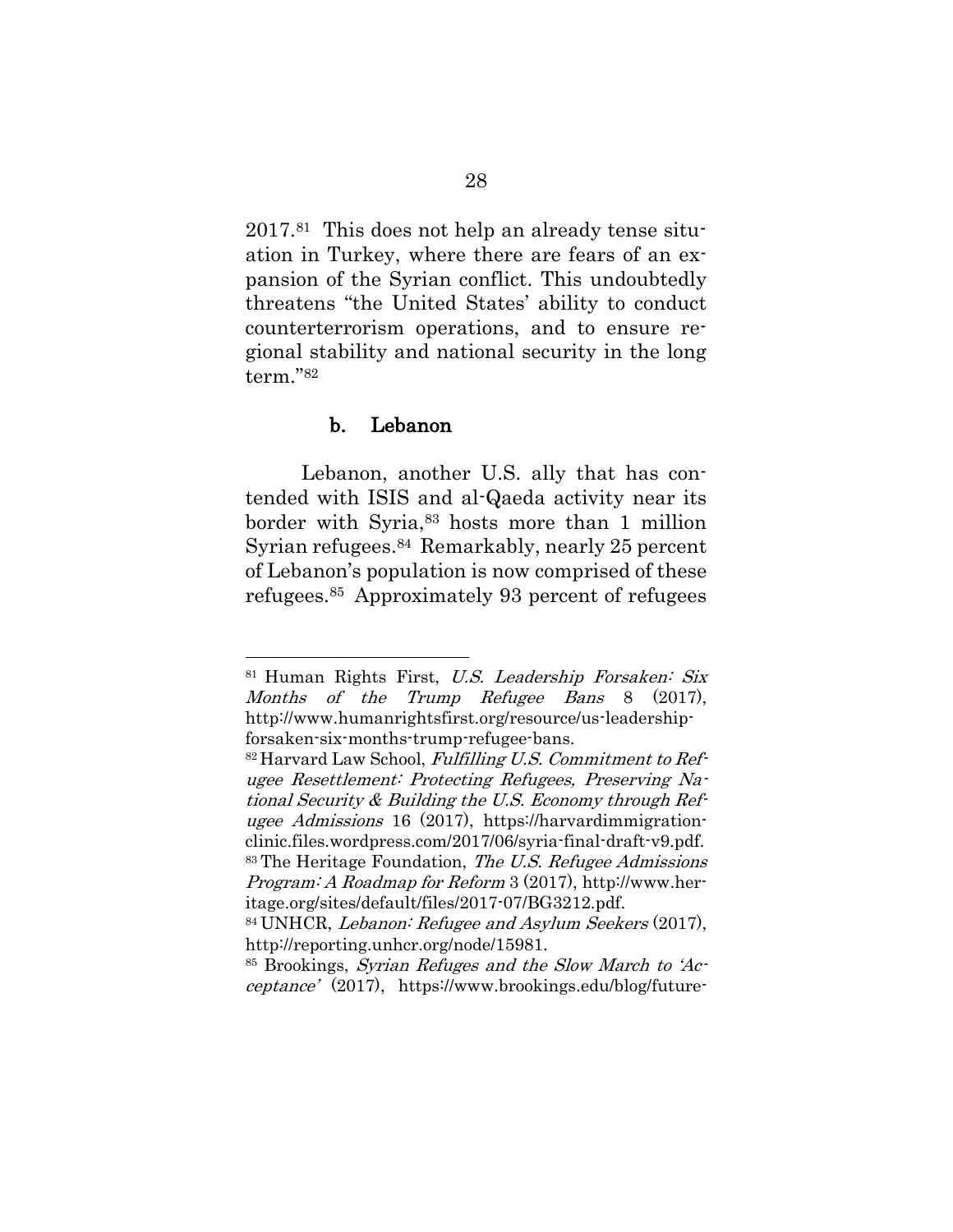2017.81 This does not help an already tense situation in Turkey, where there are fears of an expansion of the Syrian conflict. This undoubtedly threatens "the United States' ability to conduct counterterrorism operations, and to ensure regional stability and national security in the long term."<sup>82</sup>

#### b. Lebanon

l

Lebanon, another U.S. ally that has contended with ISIS and al-Qaeda activity near its border with Syria, <sup>83</sup> hosts more than 1 million Syrian refugees. <sup>84</sup> Remarkably, nearly 25 percent of Lebanon's population is now comprised of these refugees.<sup>85</sup> Approximately 93 percent of refugees

<sup>81</sup> Human Rights First, U.S. Leadership Forsaken: Six Months of the Trump Refugee Bans 8 (2017), [http://www.humanrightsfirst.org/resource/us-leadership](http://www.humanrightsfirst.org/resource/us-leadership-forsaken-six-months-trump-refugee-bans)[forsaken-six-months-trump-refugee-bans.](http://www.humanrightsfirst.org/resource/us-leadership-forsaken-six-months-trump-refugee-bans)

 $82$  Harvard Law School, Fulfilling U.S. Commitment to Refugee Resettlement: Protecting Refugees, Preserving National Security & Building the U.S. Economy through Refugee Admissions 16 (2017), [https://harvardimmigration](https://harvardimmigrationclinic.files.wordpress.com/2017/06/syria-final-draft-v9.pdf)[clinic.files.wordpress.com/2017/06/syria-final-draft-v9.pdf.](https://harvardimmigrationclinic.files.wordpress.com/2017/06/syria-final-draft-v9.pdf) 83 The Heritage Foundation, The U.S. Refugee Admissions Program: A Roadmap for Reform 3 (2017), [http://www.her](http://www.heritage.org/sites/default/files/2017-07/BG3212.pdf)[itage.org/sites/default/files/2017-07/BG3212.pdf.](http://www.heritage.org/sites/default/files/2017-07/BG3212.pdf)

<sup>84</sup> UNHCR, Lebanon: Refugee and Asylum Seekers (2017), http://reporting.unhcr.org/node/15981.

<sup>85</sup> Brookings, Syrian Refuges and the Slow March to 'Acceptance' (2017), https://www.brookings.edu/blog/future-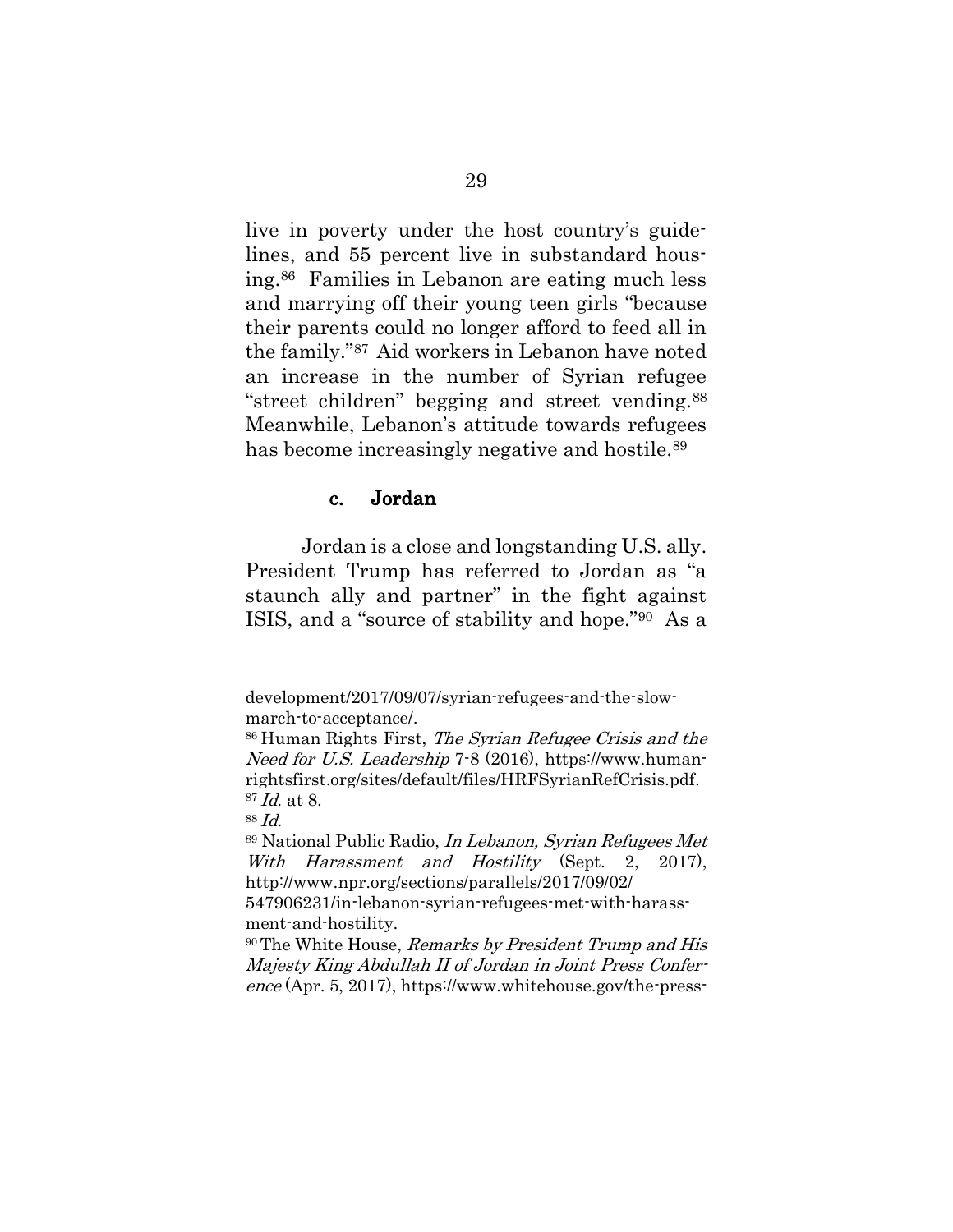live in poverty under the host country's guidelines, and 55 percent live in substandard housing.86 Families in Lebanon are eating much less and marrying off their young teen girls "because their parents could no longer afford to feed all in the family."<sup>87</sup> Aid workers in Lebanon have noted an increase in the number of Syrian refugee "street children" begging and street vending.<sup>88</sup> Meanwhile, Lebanon's attitude towards refugees has become increasingly negative and hostile.<sup>89</sup>

#### c. Jordan

Jordan is a close and longstanding U.S. ally. [President Trump](https://www.whitehouse.gov/the-press-office/2017/04/05/remarks-president-trump-and-his-majesty-king-abdullah-ii-jordan-joint) has referred to Jordan as "a staunch ally and partner" in the fight against ISIS, and a "source of stability and hope."90 As a

development/2017/09/07/syrian-refugees-and-the-slowmarch-to-acceptance/.

<sup>86</sup> Human Rights First, The Syrian Refugee Crisis and the Need for U.S. Leadership 7-8 (2016), [https://www.human](https://www.humanrightsfirst.org/sites/default/files/HRFSyrianRefCrisis.pdf)[rightsfirst.org/sites/default/files/HRFSyrianRefCrisis.pdf.](https://www.humanrightsfirst.org/sites/default/files/HRFSyrianRefCrisis.pdf) <sup>87</sup> Id. at 8.

<sup>88</sup> Id.

<sup>89</sup> National Public Radio, In Lebanon, Syrian Refugees Met With Harassment and Hostility (Sept. 2, 2017), http://www.npr.org/sections/parallels/2017/09/02/

<sup>547906231/</sup>in-lebanon-syrian-refugees-met-with-harassment-and-hostility.

<sup>90</sup> The White House, Remarks by President Trump and His Majesty King Abdullah II of Jordan in Joint Press Conference (Apr. 5, 2017), https://www.whitehouse.gov/the-press-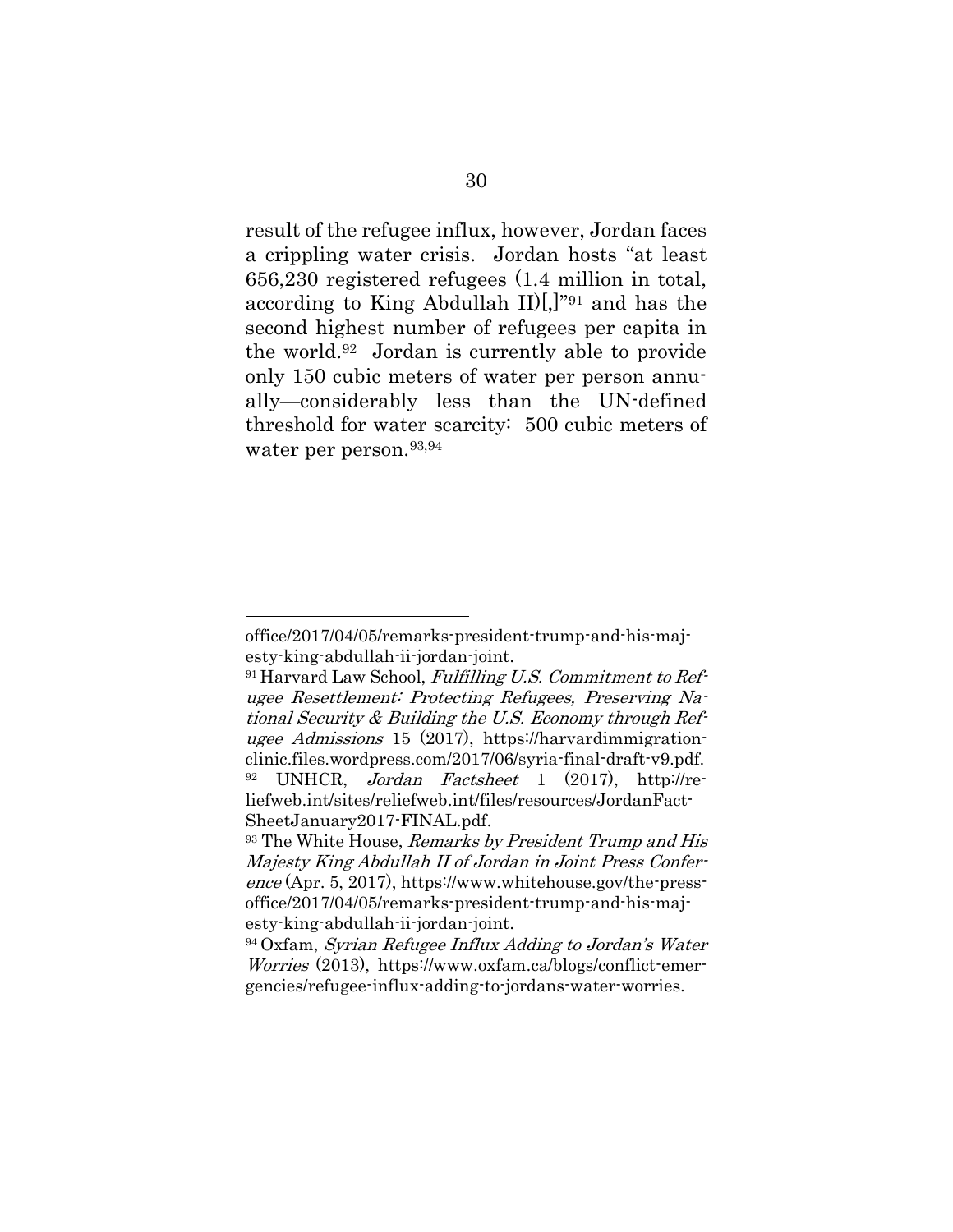result of the refugee influx, however, Jordan faces a crippling water crisis. Jordan hosts "at least 656,230 registered refugees (1.4 million in total, according to King Abdullah II)[,]"<sup>91</sup> and has the second highest number of refugees per capita in the world. <sup>92</sup> Jordan is currently able to provide only 150 cubic meters of water per person annually—considerably less than the UN-defined threshold for water scarcity: 500 cubic meters of water per person.<sup>93,94</sup>

office/2017/04/05/remarks-president-trump-and-his-majesty-king-abdullah-ii-jordan-joint.

 $91$  Harvard Law School, Fulfilling U.S. Commitment to Refugee Resettlement: Protecting Refugees, Preserving National Security & Building the U.S. Economy through Refugee Admissions 15 (2017), https://harvardimmigrationclinic.files.wordpress.com/2017/06/syria-final-draft-v9.pdf. <sup>92</sup> UNHCR, Jordan Factsheet 1 (2017), http://reliefweb.int/sites/reliefweb.int/files/resources/JordanFact-SheetJanuary2017-FINAL.pdf.

<sup>&</sup>lt;sup>93</sup> The White House, *Remarks by President Trump and His* Majesty King Abdullah II of Jordan in Joint Press Conference (Apr. 5, 2017), https://www.whitehouse.gov/the-pressoffice/2017/04/05/remarks-president-trump-and-his-majesty-king-abdullah-ii-jordan-joint.

<sup>94</sup> Oxfam, Syrian Refugee Influx Adding to Jordan's Water Worries (2013), https://www.oxfam.ca/blogs/conflict-emergencies/refugee-influx-adding-to-jordans-water-worries.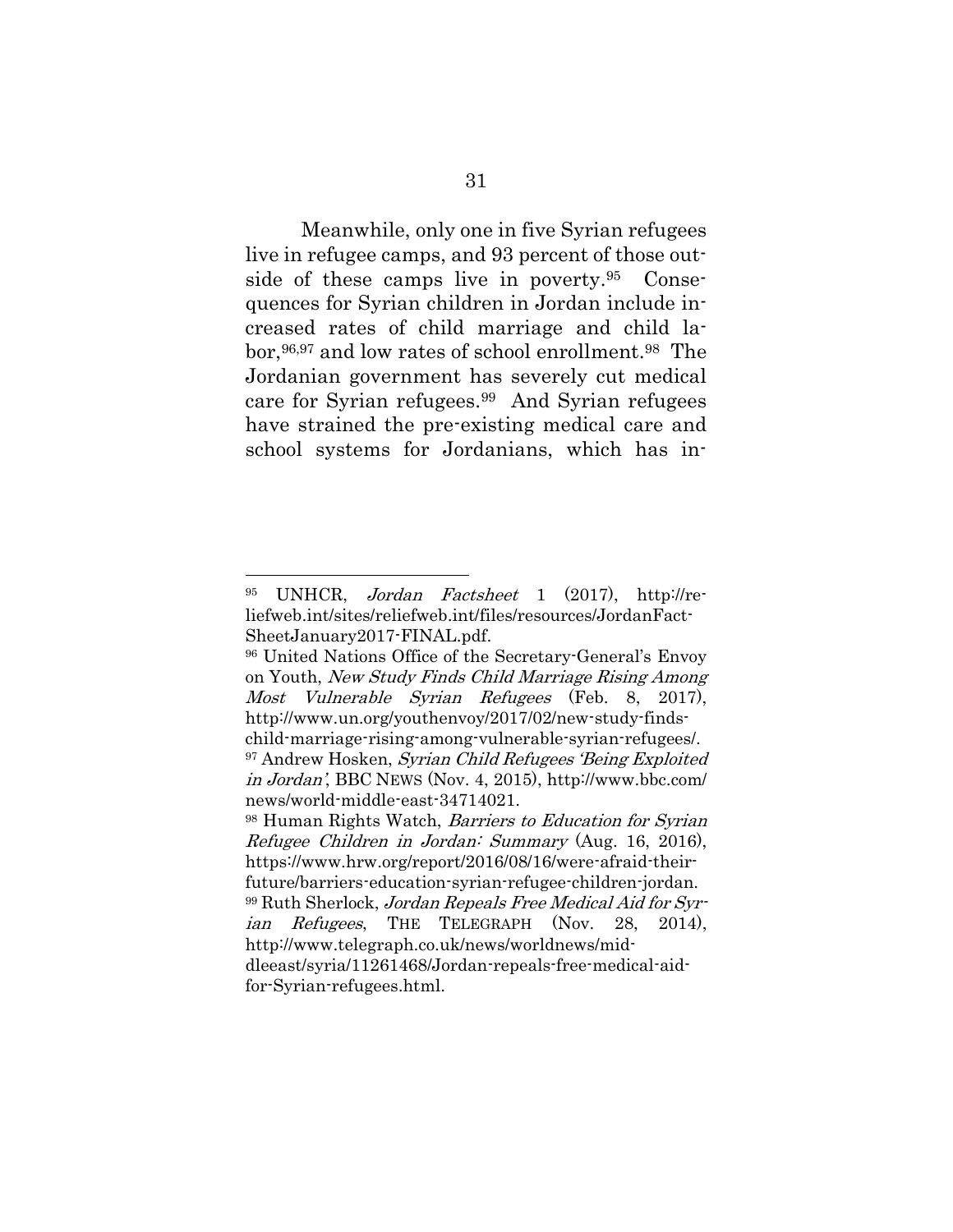Meanwhile, only one in five Syrian refugees live in refugee camps, and 93 percent of those outside of these camps live in poverty. <sup>95</sup> Consequences for Syrian children in Jordan include increased rates of child marriage and child labor, 96,97 and low rates of school enrollment. <sup>98</sup> The Jordanian government has severely cut medical care for Syrian refugees.99 And Syrian refugees have strained the pre-existing medical care and school systems for Jordanians, which has in-

<sup>95</sup> UNHCR, Jordan Factsheet 1 (2017), http://reliefweb.int/sites/reliefweb.int/files/resources/JordanFact-SheetJanuary2017-FINAL.pdf.

<sup>96</sup> United Nations Office of the Secretary-General's Envoy on Youth, New Study Finds Child Marriage Rising Among Most Vulnerable Syrian Refugees (Feb. 8, 2017), http://www.un.org/youthenvoy/2017/02/new-study-findschild-marriage-rising-among-vulnerable-syrian-refugees/. <sup>97</sup> Andrew Hosken, Syrian Child Refugees 'Being Exploited in Jordan', BBC NEWS (Nov. 4, 2015), http://www.bbc.com/ news/world-middle-east-34714021.

<sup>98</sup> Human Rights Watch, Barriers to Education for Syrian Refugee Children in Jordan: Summary (Aug. 16, 2016), https://www.hrw.org/report/2016/08/16/were-afraid-theirfuture/barriers-education-syrian-refugee-children-jordan. <sup>99</sup> Ruth Sherlock, Jordan Repeals Free Medical Aid for Syrian Refugees, THE TELEGRAPH (Nov. 28, 2014), http://www.telegraph.co.uk/news/worldnews/middleeast/syria/11261468/Jordan-repeals-free-medical-aidfor-Syrian-refugees.html.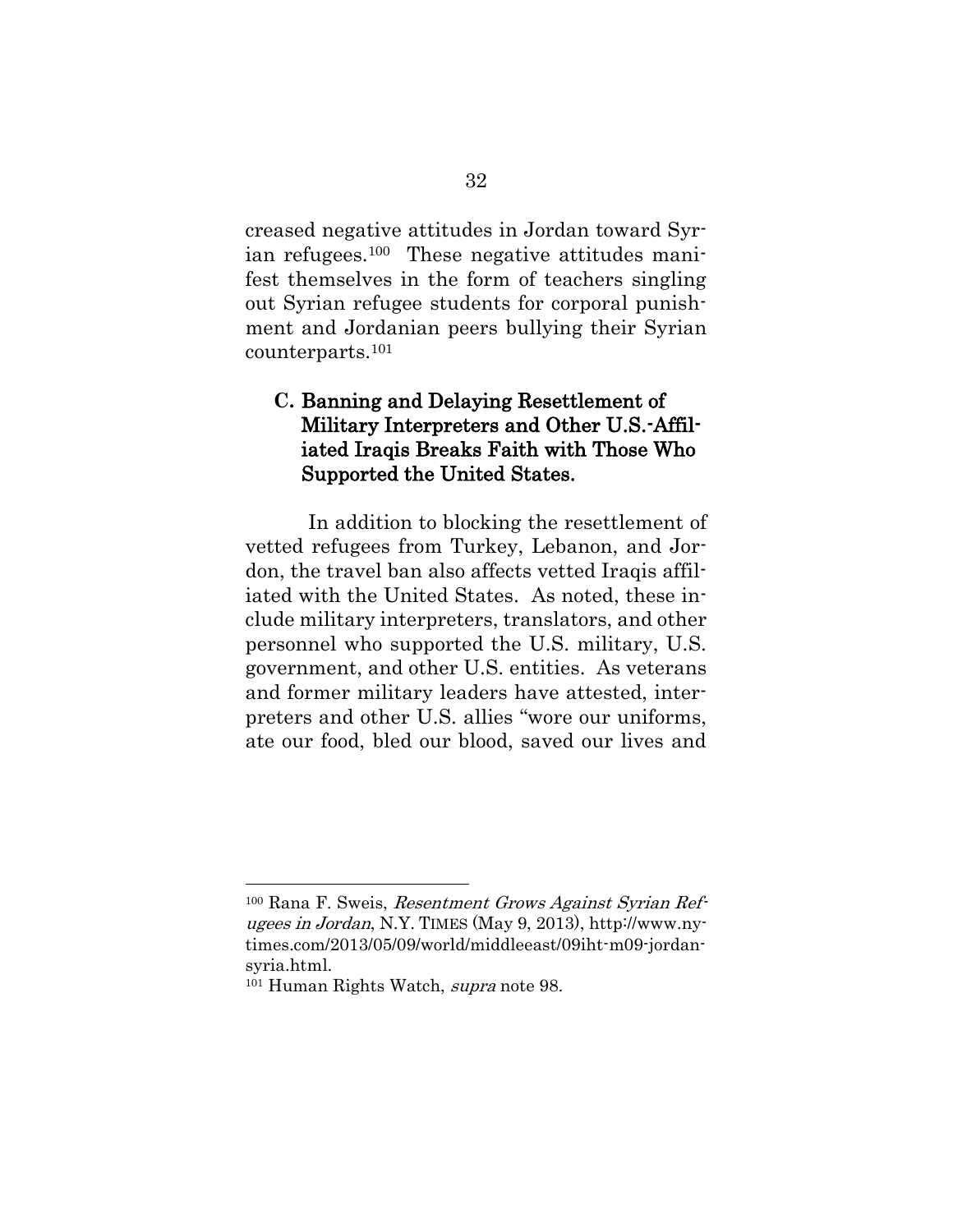creased negative attitudes in Jordan toward Syrian refugees.100 These negative attitudes manifest themselves in the form of teachers singling out Syrian refugee students for corporal punishment and Jordanian peers bullying their Syrian counterparts. 101

## **C.** Banning and Delaying Resettlement of Military Interpreters and Other U.S.-Affiliated Iraqis Breaks Faith with Those Who Supported the United States.

In addition to blocking the resettlement of vetted refugees from Turkey, Lebanon, and Jordon, the travel ban also affects vetted Iraqis affiliated with the United States. As noted, these include military interpreters, translators, and other personnel who supported the U.S. military, U.S. government, and other U.S. entities. As veterans and former military leaders have attested, interpreters and other U.S. allies "wore our uniforms, ate our food, bled our blood, saved our lives and

<sup>100</sup> Rana F. Sweis, Resentment Grows Against Syrian Refugees in Jordan, N.Y. TIMES (May 9, 2013), http://www.nytimes.com/2013/05/09/world/middleeast/09iht-m09-jordansyria.html.

<sup>101</sup> Human Rights Watch, supra note 98.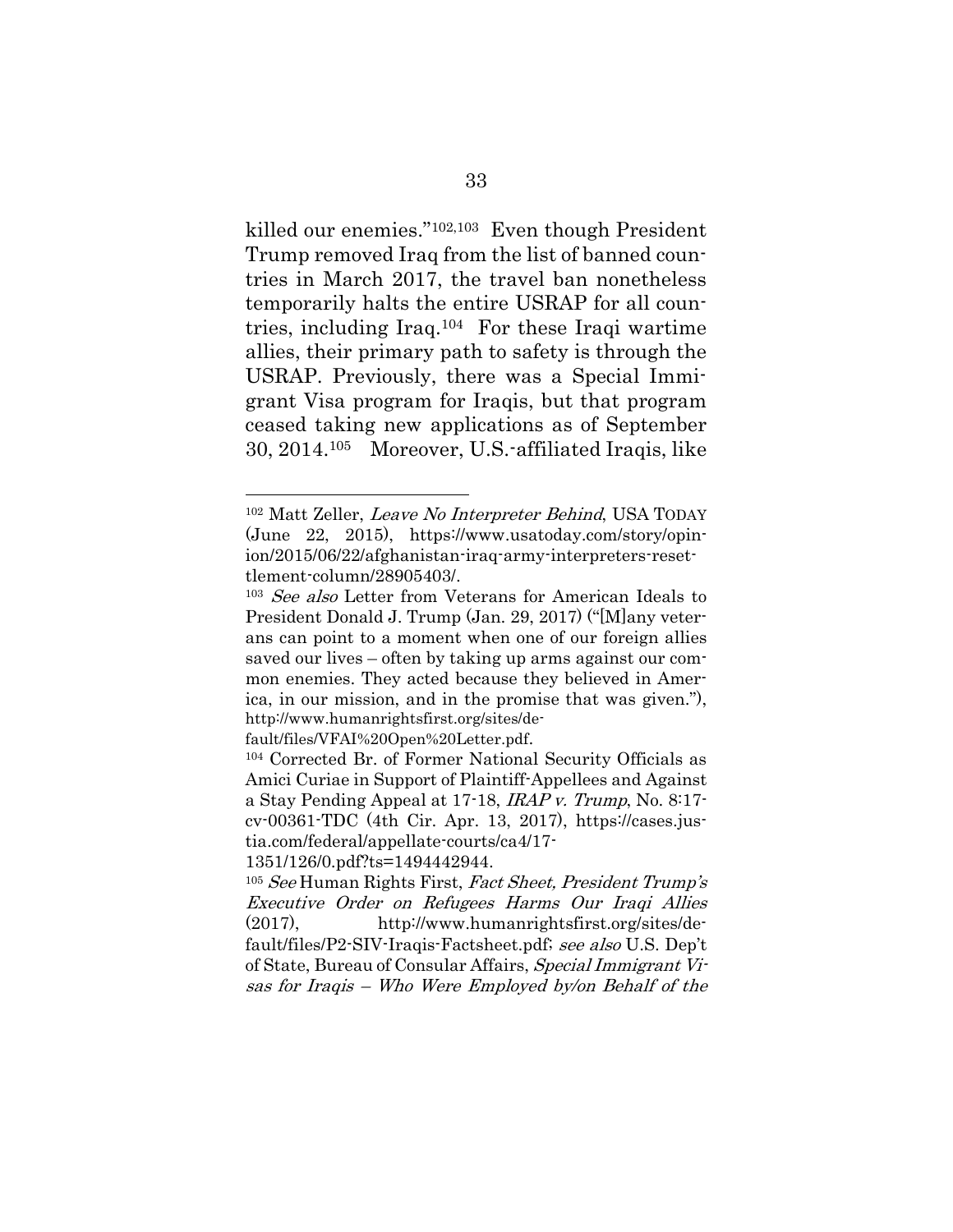<span id="page-54-1"></span>killed our enemies."102,103 Even though President Trump removed Iraq from the list of banned countries in March 2017, the travel ban nonetheless temporarily halts the entire USRAP for all countries, including Iraq.104 For these Iraqi wartime allies, their primary path to safety is through the USRAP. Previously, there was a Special Immigrant Visa program for Iraqis, but that program ceased taking new applications as of September 30, 2014. <sup>105</sup> Moreover, U.S.-affiliated Iraqis, like

fault/files/VFAI%20Open%20Letter.pdf.

<span id="page-54-0"></span>l

1351/126/0.pdf?ts=1494442944.

<sup>102</sup> Matt Zeller, Leave No Interpreter Behind, USA TODAY (June 22, 2015), [https://www.usatoday.com/story/opin](https://www.usatoday.com/story/opinion/2015/06/22/afghanistan-iraq-army-interpreters-resettlement-column/28905403/)[ion/2015/06/22/afghanistan-iraq-army-interpreters-reset](https://www.usatoday.com/story/opinion/2015/06/22/afghanistan-iraq-army-interpreters-resettlement-column/28905403/)[tlement-column/28905403/.](https://www.usatoday.com/story/opinion/2015/06/22/afghanistan-iraq-army-interpreters-resettlement-column/28905403/)

<sup>103</sup> See also Letter from Veterans for American Ideals to President Donald J. Trump (Jan. 29, 2017) ("[M]any veterans can point to a moment when one of our foreign allies saved our lives – often by taking up arms against our common enemies. They acted because they believed in America, in our mission, and in the promise that was given."), http://www.humanrightsfirst.org/sites/de-

<sup>104</sup> Corrected Br. of Former National Security Officials as Amici Curiae in Support of Plaintiff-Appellees and Against a Stay Pending Appeal at 17-18, IRAP v. Trump, No. 8:17 cv-00361-TDC (4th Cir. Apr. 13, 2017), https://cases.justia.com/federal/appellate-courts/ca4/17-

<sup>105</sup> See Human Rights First, Fact Sheet, President Trump's Executive Order on Refugees Harms Our Iraqi Allies (2017), http://www.humanrightsfirst.org/sites/default/files/P2-SIV-Iraqis-Factsheet.pdf; see also U.S. Dep't of State, Bureau of Consular Affairs, Special Immigrant Visas for Iraqis – Who Were Employed by/on Behalf of the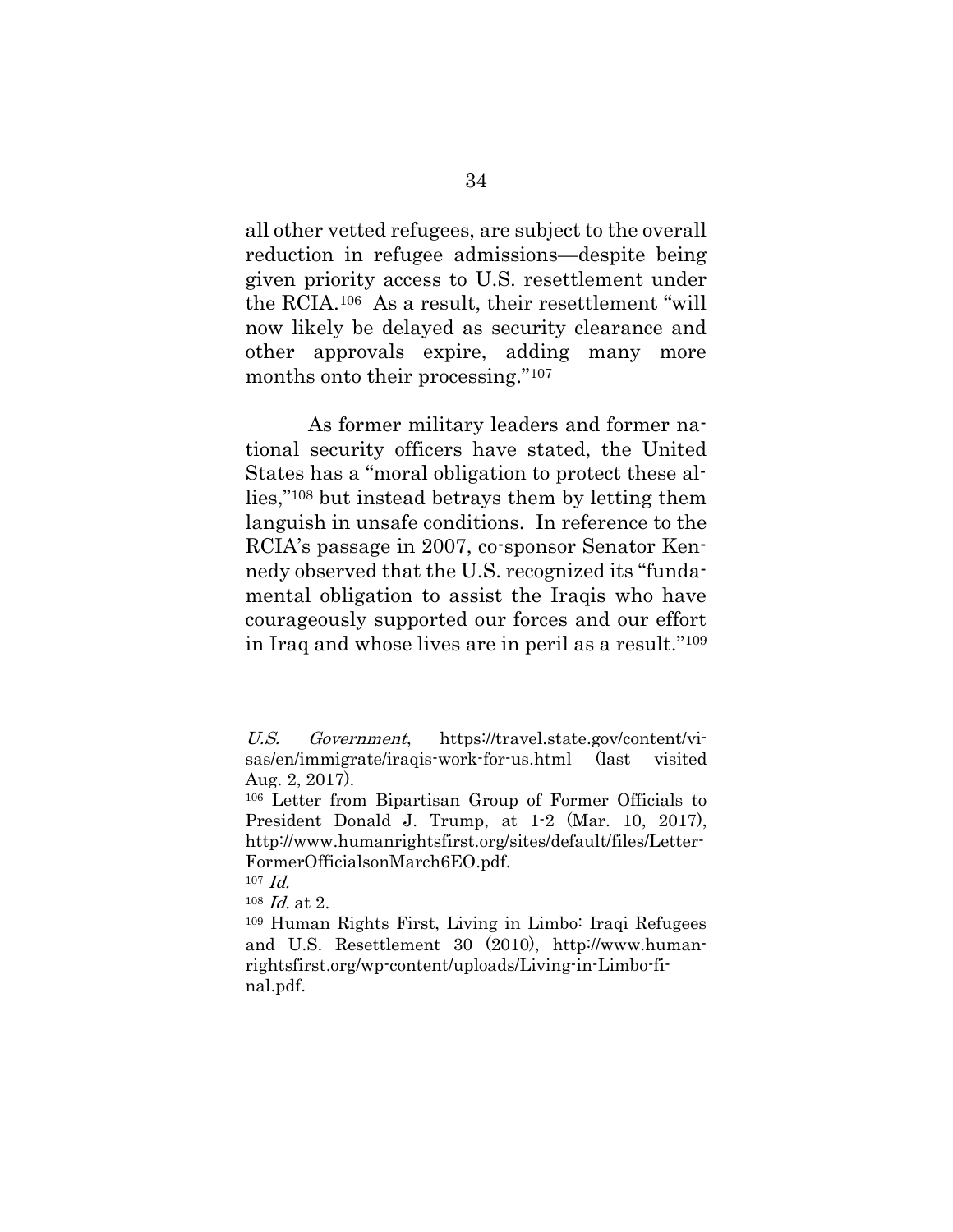all other vetted refugees, are subject to the overall reduction in refugee admissions—despite being given priority access to U.S. resettlement under the RCIA.<sup>106</sup> As a result, their resettlement "will now likely be delayed as security clearance and other approvals expire, adding many more months onto their processing."<sup>107</sup>

As former military leaders and former national security officers have stated, the United States has a "moral obligation to protect these allies,"<sup>108</sup> but instead betrays them by letting them languish in unsafe conditions. In reference to the RCIA's passage in 2007, co-sponsor Senator Kennedy observed that the U.S. recognized its "fundamental obligation to assist the Iraqis who have courageously supported our forces and our effort in Iraq and whose lives are in peril as a result."<sup>109</sup>

U.S. Government, https://travel.state.gov/content/visas/en/immigrate/iraqis-work-for-us.html (last visited Aug. 2, 2017).

<sup>106</sup> Letter from Bipartisan Group of Former Officials to President Donald J. Trump, at 1-2 (Mar. 10, 2017), http://www.humanrightsfirst.org/sites/default/files/Letter-FormerOfficialsonMarch6EO.pdf.

<sup>107</sup> Id.

 $108$  *Id.* at 2.

<sup>109</sup> Human Rights First, Living in Limbo: Iraqi Refugees and U.S. Resettlement 30 (2010), [http://www.human](http://www.humanrightsfirst.org/wp-content/uploads/Living-in-Limbo-final.pdf)[rightsfirst.org/wp-content/uploads/Living-in-Limbo-fi](http://www.humanrightsfirst.org/wp-content/uploads/Living-in-Limbo-final.pdf)[nal.pdf.](http://www.humanrightsfirst.org/wp-content/uploads/Living-in-Limbo-final.pdf)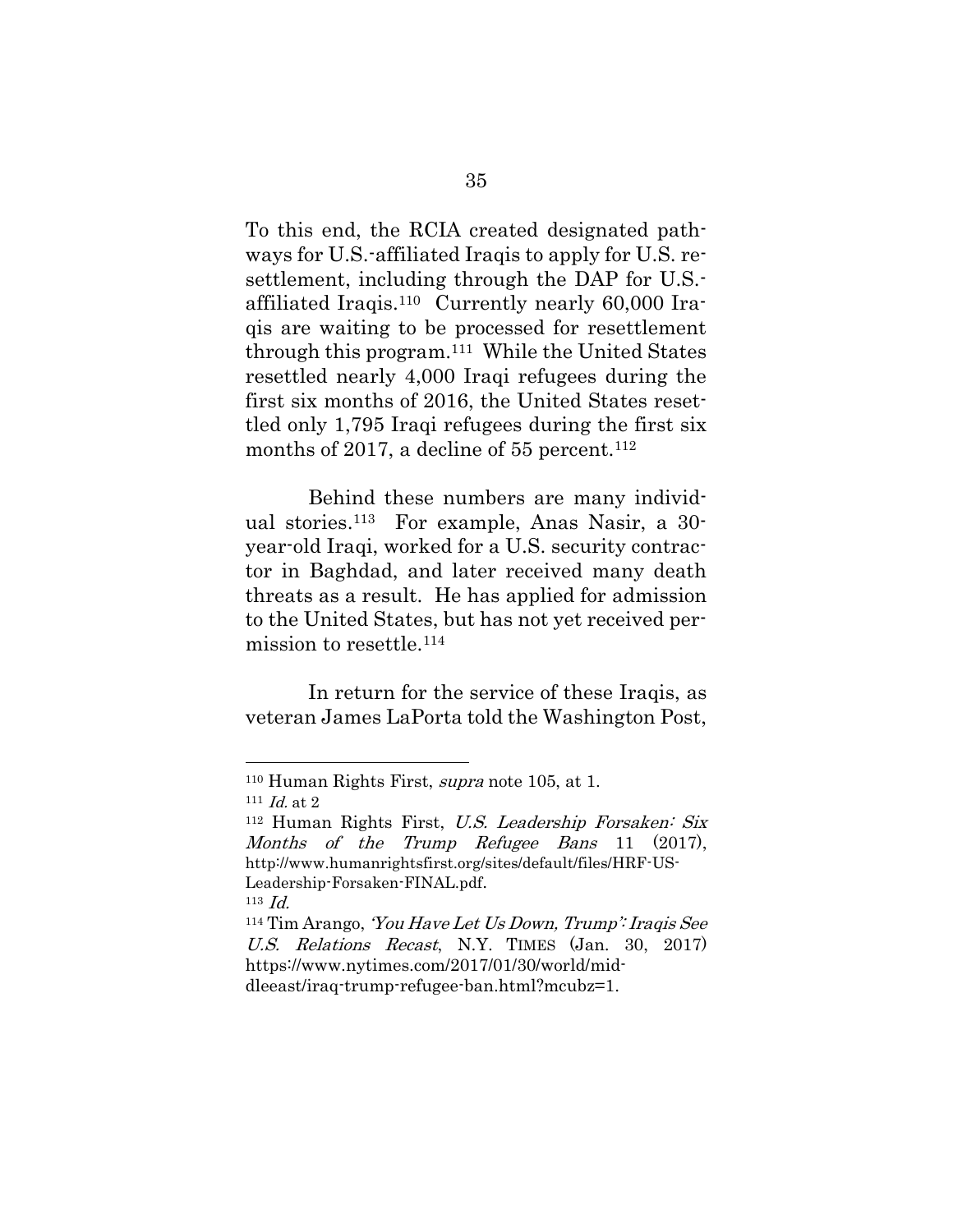To this end, the [RCIA c](http://www.humanrightsfirst.org/sites/default/files/P2-SIV-Iraqis-Factsheet.pdf)reated designated pathways for U.S.-affiliated Iraqis to apply for U.S. resettlement, including through the DAP for U.S. affiliated Iraqis. 110 Currently nearly 60,000 Iraqis are waiting to be processed for resettlement through this program.<sup>111</sup> While the United States resettled nearly 4,000 Iraqi refugees during the [first six months of 2016,](http://www.humanrightsfirst.org/sites/default/files/HRF-US-Leadership-Forsaken-FINAL.pdf) the United States resettled only 1,795 Iraqi refugees during the first six months of 2017, a decline of 55 percent.<sup>112</sup>

<span id="page-56-0"></span>Behind these numbers are many individual stories. <sup>113</sup> For example, Anas Nasir, a 30 year-old Iraqi, worked for a U.S. security contractor in Baghdad, and later received many death threats as a result. He has applied for admission to the United States, but has not yet received permission to resettle.<sup>114</sup>

In return for the service of these Iraqis, as veteran James LaPorta told the Washington Post,

l

 $113$  *Id.* 

<sup>110</sup> Human Rights First, supra note [105,](#page-54-0) at 1.

 $111$  *Id.* at 2

<sup>112</sup> Human Rights First, U.S. Leadership Forsaken: Six Months of the Trump Refugee Bans 11 (2017), http://www.humanrightsfirst.org/sites/default/files/HRF-US-Leadership-Forsaken-FINAL.pdf.

<sup>114</sup> Tim Arango, 'You Have Let Us Down, Trump': Iraqis See U.S. Relations Recast, N.Y. TIMES (Jan. 30, 2017) [https://www.nytimes.com/2017/01/30/world/mid](https://www.nytimes.com/2017/01/30/world/middleeast/iraq-trump-refugee-ban.html?mcubz=1)[dleeast/iraq-trump-refugee-ban.html?mcubz=1.](https://www.nytimes.com/2017/01/30/world/middleeast/iraq-trump-refugee-ban.html?mcubz=1)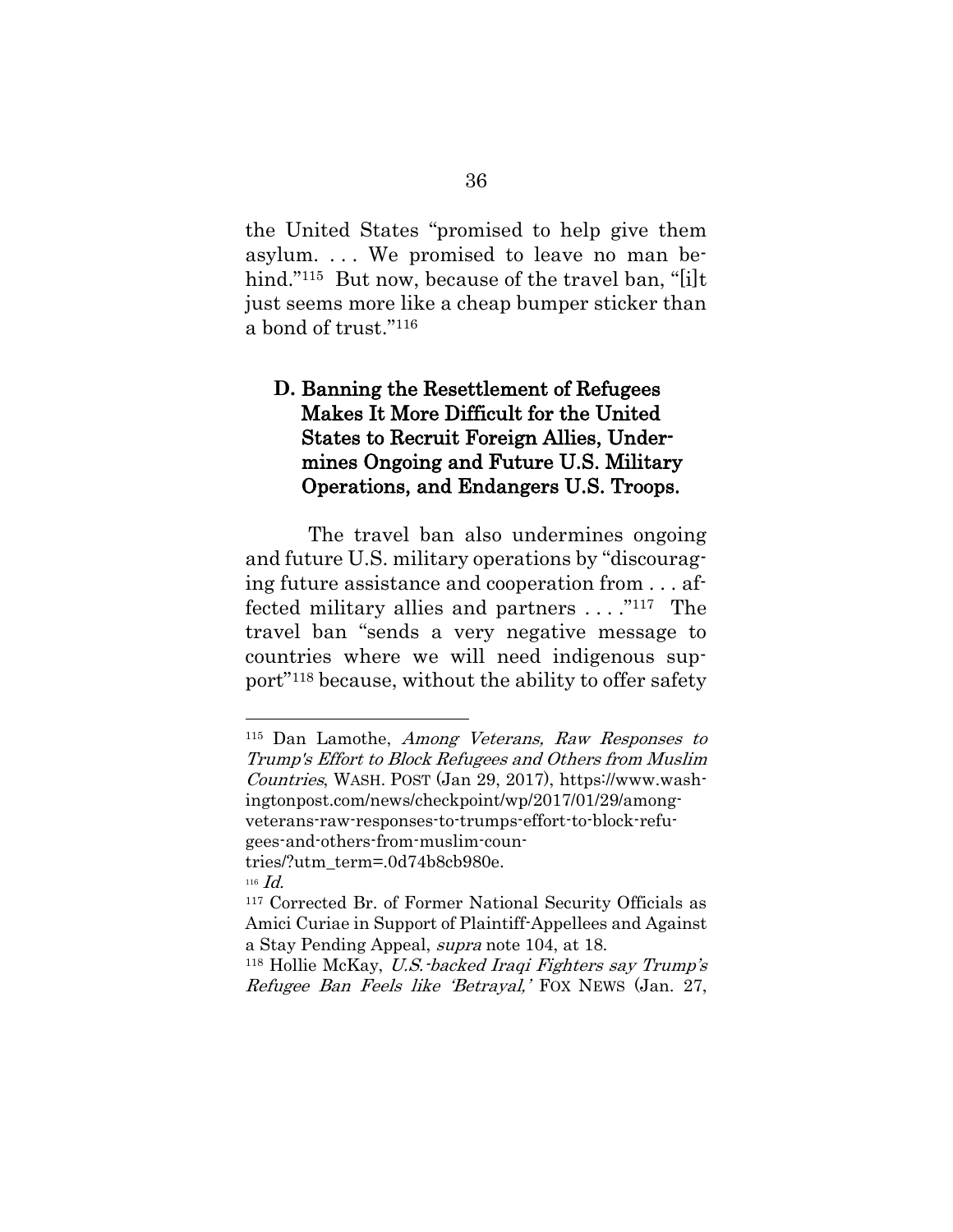the United States "promised to help give them asylum. . . . We promised to leave no man behind."<sup>115</sup> But now, because of the travel ban, "[i]t just seems more like a cheap bumper sticker than a bond of trust."<sup>116</sup>

# **D.** Banning the Resettlement of Refugees Makes It More Difficult for the United States to Recruit Foreign Allies, Undermines Ongoing and Future U.S. Military Operations, and Endangers U.S. Troops.

The travel ban also undermines ongoing and future U.S. military operations by "discouraging future assistance and cooperation from . . . affected military allies and partners . . . ." <sup>117</sup> The travel ban "sends a very negative message to countries where we will need indigenous support"<sup>118</sup> because, without the ability to offer safety

<sup>115</sup> Dan Lamothe, Among Veterans, Raw Responses to Trump's Effort to Block Refugees and Others from Muslim Countries, WASH. POST (Jan 29, 2017), https://www.washingtonpost.com/news/checkpoint/wp/2017/01/29/amongveterans-raw-responses-to-trumps-effort-to-block-refugees-and-others-from-muslim-countries/?utm\_term=.0d74b8cb980e.

<sup>116</sup> Id.

<sup>117</sup> Corrected Br. of Former National Security Officials as Amici Curiae in Support of Plaintiff-Appellees and Against a Stay Pending Appeal, supra note [104,](#page-54-1) at 18.

<sup>118</sup> Hollie McKay, U.S.-backed Iraqi Fighters say Trump's Refugee Ban Feels like 'Betrayal,' FOX NEWS (Jan. 27,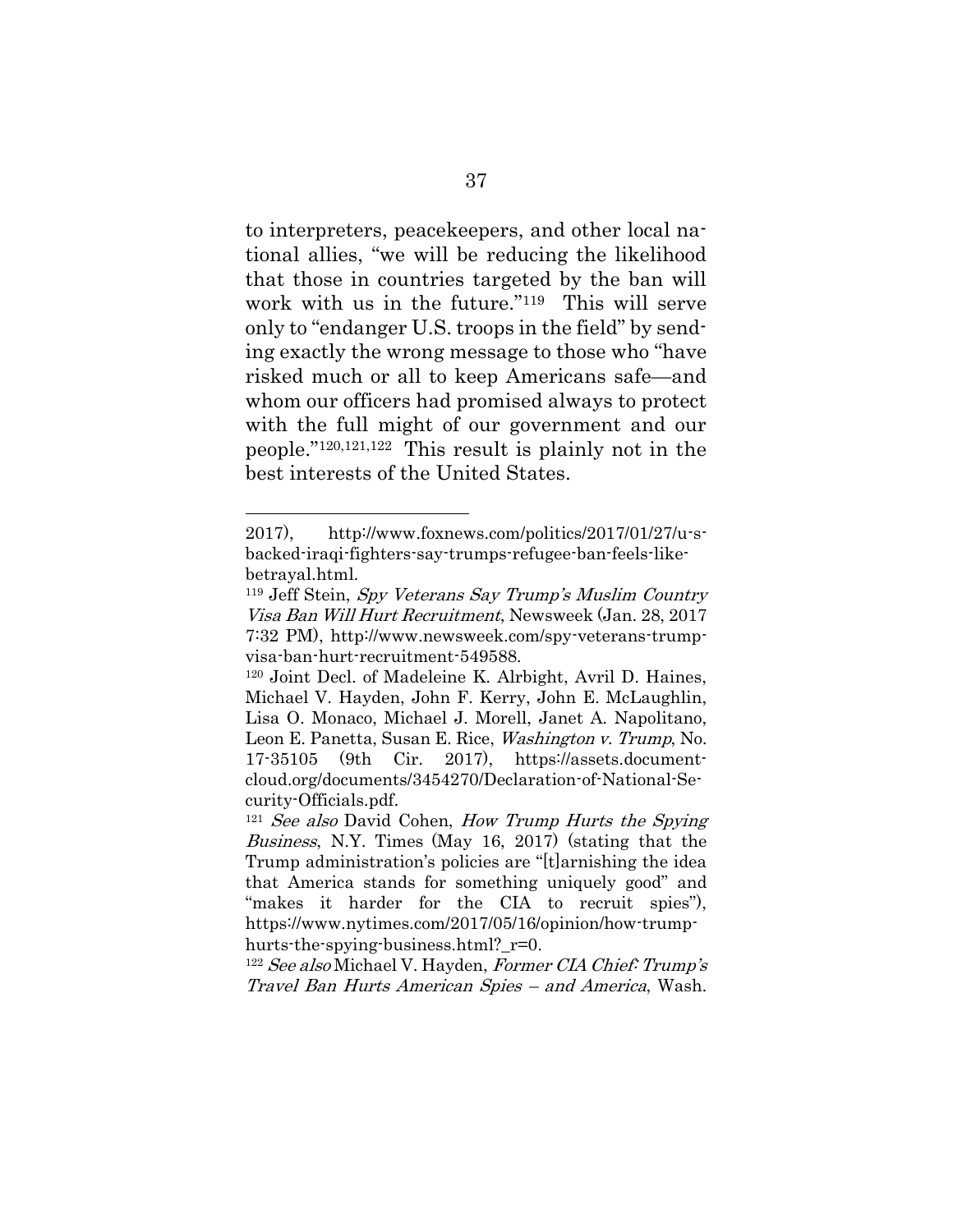to interpreters, peacekeepers, and other local national allies, "we will be reducing the likelihood that those in countries targeted by the ban will work with us in the future."119 This will serve only to "endanger U.S. troops in the field" by sending exactly the wrong message to those who "have risked much or all to keep Americans safe—and whom our officers had promised always to protect with the full might of our government and our people."120,121,122 This result is plainly not in the best interests of the United States.

<sup>2017),</sup> http://www.foxnews.com/politics/2017/01/27/u-sbacked-iraqi-fighters-say-trumps-refugee-ban-feels-likebetrayal.html.

<sup>119</sup> Jeff Stein, Spy Veterans Say Trump's Muslim Country Visa Ban Will Hurt Recruitment, Newsweek (Jan. 28, 2017 7:32 PM), http://www.newsweek.com/spy-veterans-trumpvisa-ban-hurt-recruitment-549588.

<sup>120</sup> Joint Decl. of Madeleine K. Alrbight, Avril D. Haines, Michael V. Hayden, John F. Kerry, John E. McLaughlin, Lisa O. Monaco, Michael J. Morell, Janet A. Napolitano, Leon E. Panetta, Susan E. Rice, *Washington v. Trump*, No. 17-35105 (9th Cir. 2017), https://assets.documentcloud.org/documents/3454270/Declaration-of-National-Security-Officials.pdf.

<sup>&</sup>lt;sup>121</sup> See also David Cohen, How Trump Hurts the Spying Business, N.Y. Times (May 16, 2017) (stating that the Trump administration's policies are "[t]arnishing the idea that America stands for something uniquely good" and "makes it harder for the CIA to recruit spies"), [https://www.nytimes.com/2017/05/16/opinion/how-trump](https://www.nytimes.com/2017/05/16/opinion/how-trump-hurts-the-spying-business.html?_r=0)[hurts-the-spying-business.html?\\_r=0.](https://www.nytimes.com/2017/05/16/opinion/how-trump-hurts-the-spying-business.html?_r=0)

 $122$  See also Michael V. Hayden, Former CIA Chief: Trump's Travel Ban Hurts American Spies – and America, Wash.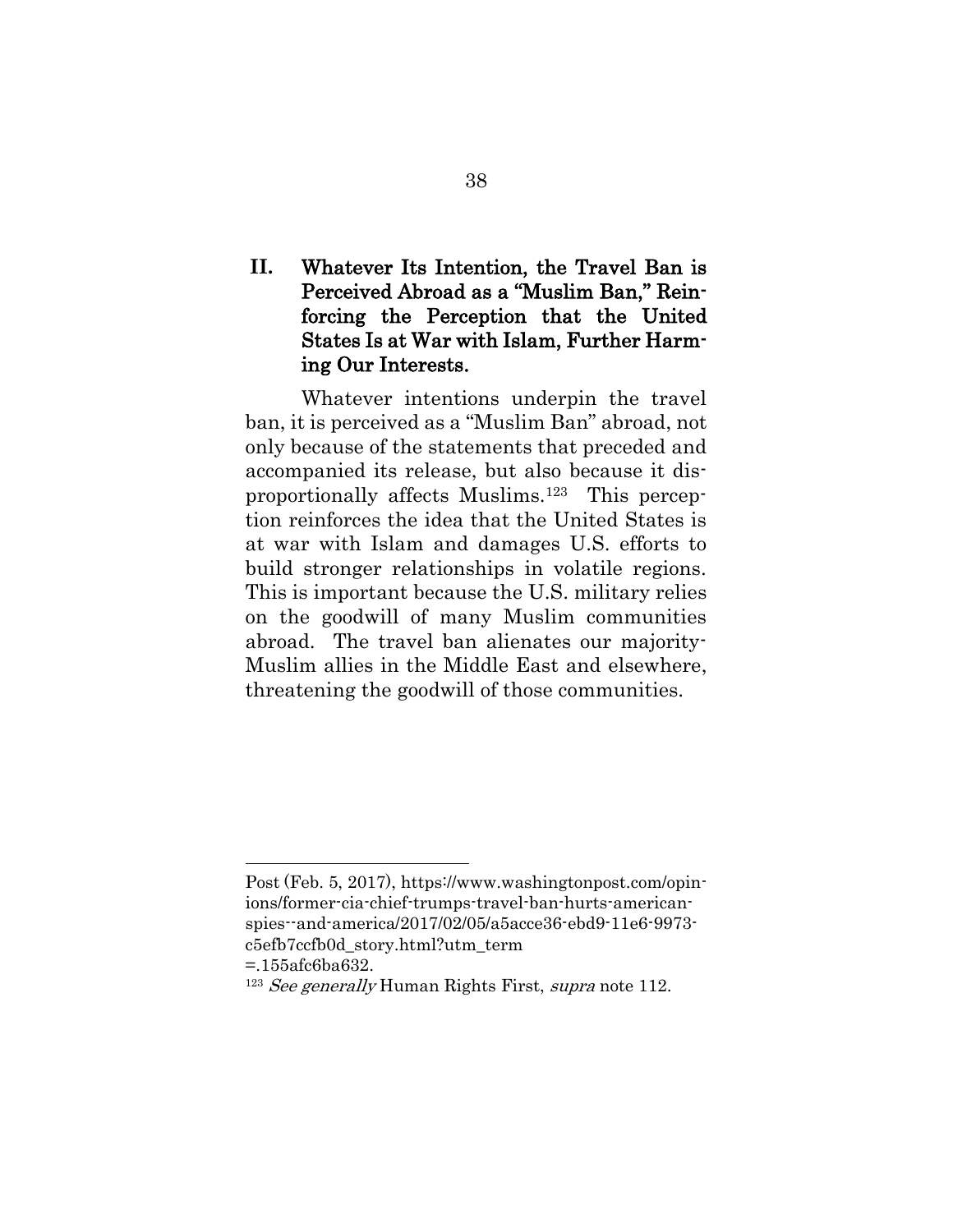# **II.** Whatever Its Intention, the Travel Ban is Perceived Abroad as a "Muslim Ban," Reinforcing the Perception that the United States Is at War with Islam, Further Harming Our Interests.

Whatever intentions underpin the travel ban, it is perceived as a "Muslim Ban" abroad, not only because of the statements that preceded and accompanied its release, but also because it disproportionally affects Muslims.123 This perception reinforces the idea that the United States is at war with Islam and damages U.S. efforts to build stronger relationships in volatile regions. This is important because the U.S. military relies on the goodwill of many Muslim communities abroad. The travel ban alienates our majority-Muslim allies in the Middle East and elsewhere, threatening the goodwill of those communities.

Post (Feb. 5, 2017), https://www.washingtonpost.com/opinions/former-cia-chief-trumps-travel-ban-hurts-americanspies--and-america/2017/02/05/a5acce36-ebd9-11e6-9973 c5efb7ccfb0d\_story.html?utm\_term

<sup>=.155</sup>afc6ba632.

 $123$  See generally Human Rights First, supra note [112.](#page-56-0)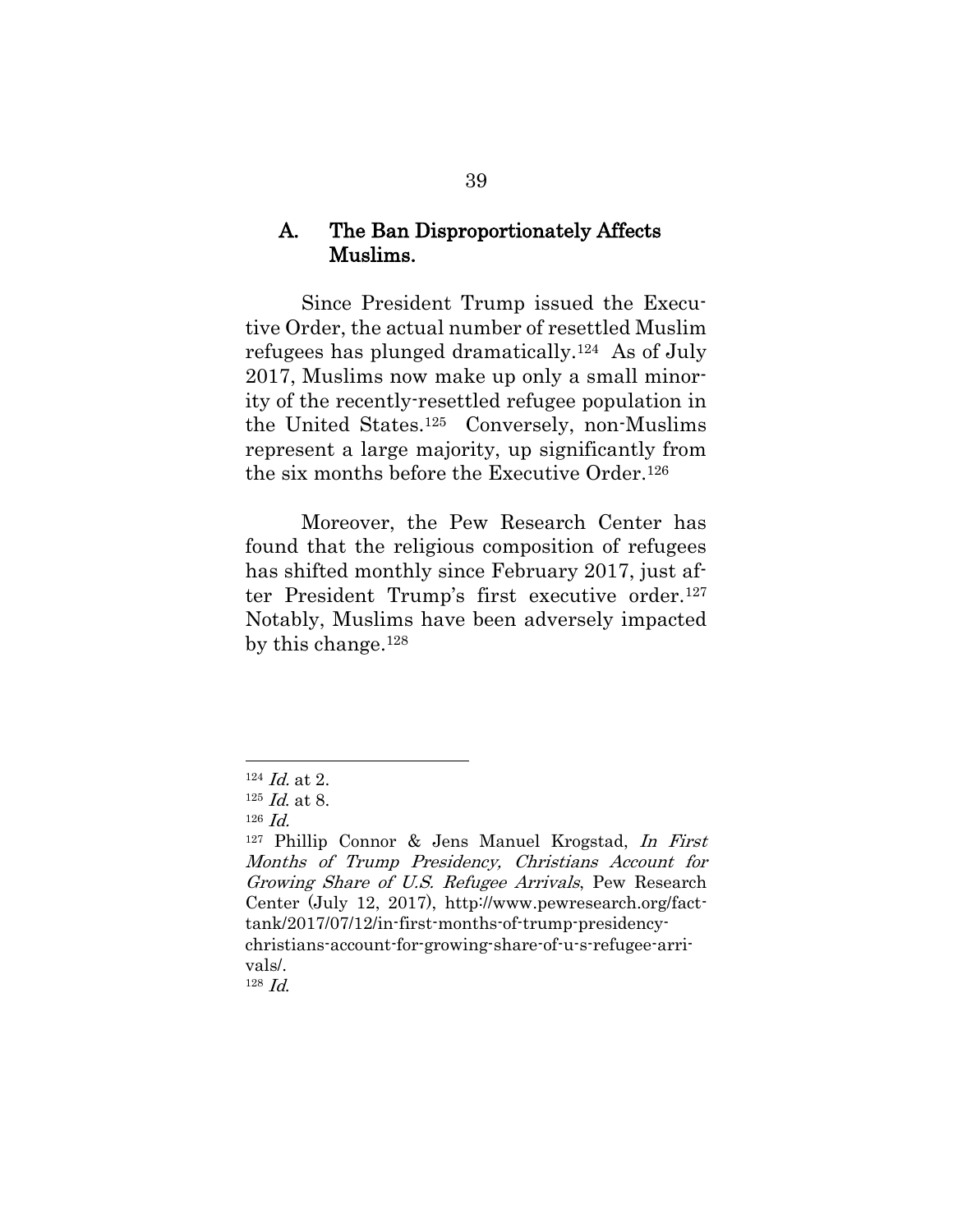### A. The Ban Disproportionately Affects Muslims.

Since President Trump issued the Executive Order, the actual number of resettled Muslim refugees has plunged dramatically. <sup>124</sup> As of July 2017, Muslims now make up only a small minority of the recently-resettled refugee population in the United States. <sup>125</sup> Conversely, non-Muslims represent a large majority, up significantly from the six months before the Executive Order.<sup>126</sup>

Moreover, the Pew Research Center has found that the religious composition of refugees has shifted monthly since February 2017, just after President Trump's first executive order.<sup>127</sup> Notably, Muslims have been adversely impacted by this change. 128

l

<sup>128</sup> Id.

 $124$  *Id.* at 2.

 $125$  *Id.* at 8.

 $126$  *Id.* 

<sup>127</sup> Phillip Connor & Jens Manuel Krogstad, In First Months of Trump Presidency, Christians Account for Growing Share of U.S. Refugee Arrivals, Pew Research Center (July 12, 2017), http://www.pewresearch.org/facttank/2017/07/12/in-first-months-of-trump-presidencychristians-account-for-growing-share-of-u-s-refugee-arrivals/.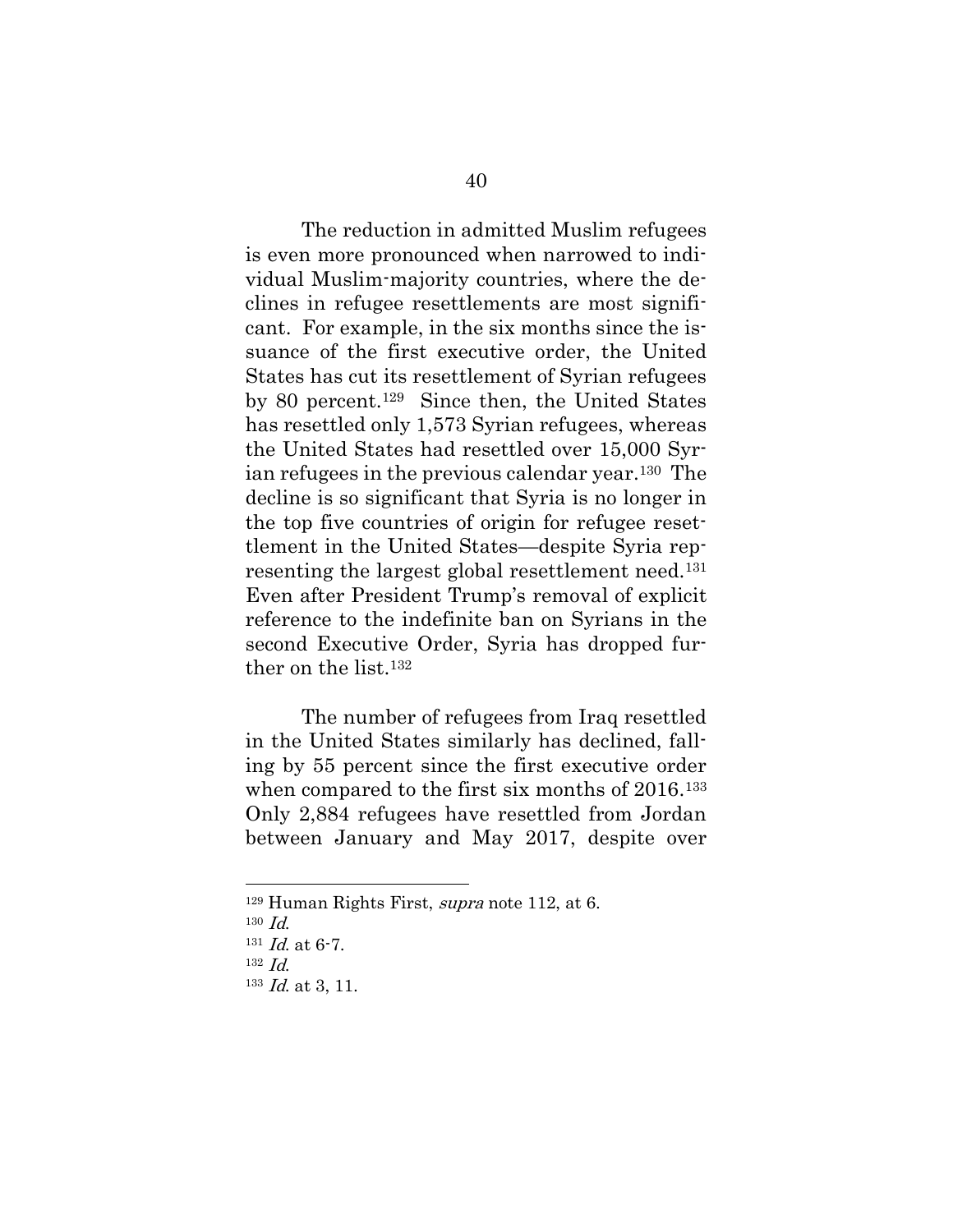The reduction in admitted Muslim refugees is even more pronounced when narrowed to individual Muslim-majority countries, where the declines in refugee resettlements are most significant. For example, in the six months since the issuance of the first executive order, the United States has cut its resettlement of Syrian refugees by 80 percent.<sup>129</sup> Since then, the United States has resettled only 1,573 Syrian refugees, whereas the United States had resettled over 15,000 Syrian refugees in the previous calendar year.130 The decline is so significant that Syria is no longer in the top five countries of origin for refugee resettlement in the United States—despite Syria representing the largest global resettlement need. <sup>131</sup> Even after President Trump's removal of explicit reference to the indefinite ban on Syrians in the second Executive Order, Syria has dropped further on the list. 132

The number of refugees from Iraq resettled in the United States similarly has declined, falling by 55 percent since the first executive order when compared to the first six months of 2016.<sup>133</sup> Only 2,884 refugees have resettled from Jordan between January and May 2017, despite over

<sup>129</sup> Human Rights First, supra note [112,](#page-56-0) at 6.

 $130$  *Id.* 

 $131$  *Id.* at 6-7.

<sup>132</sup> Id.

 $133$  *Id.* at 3, 11.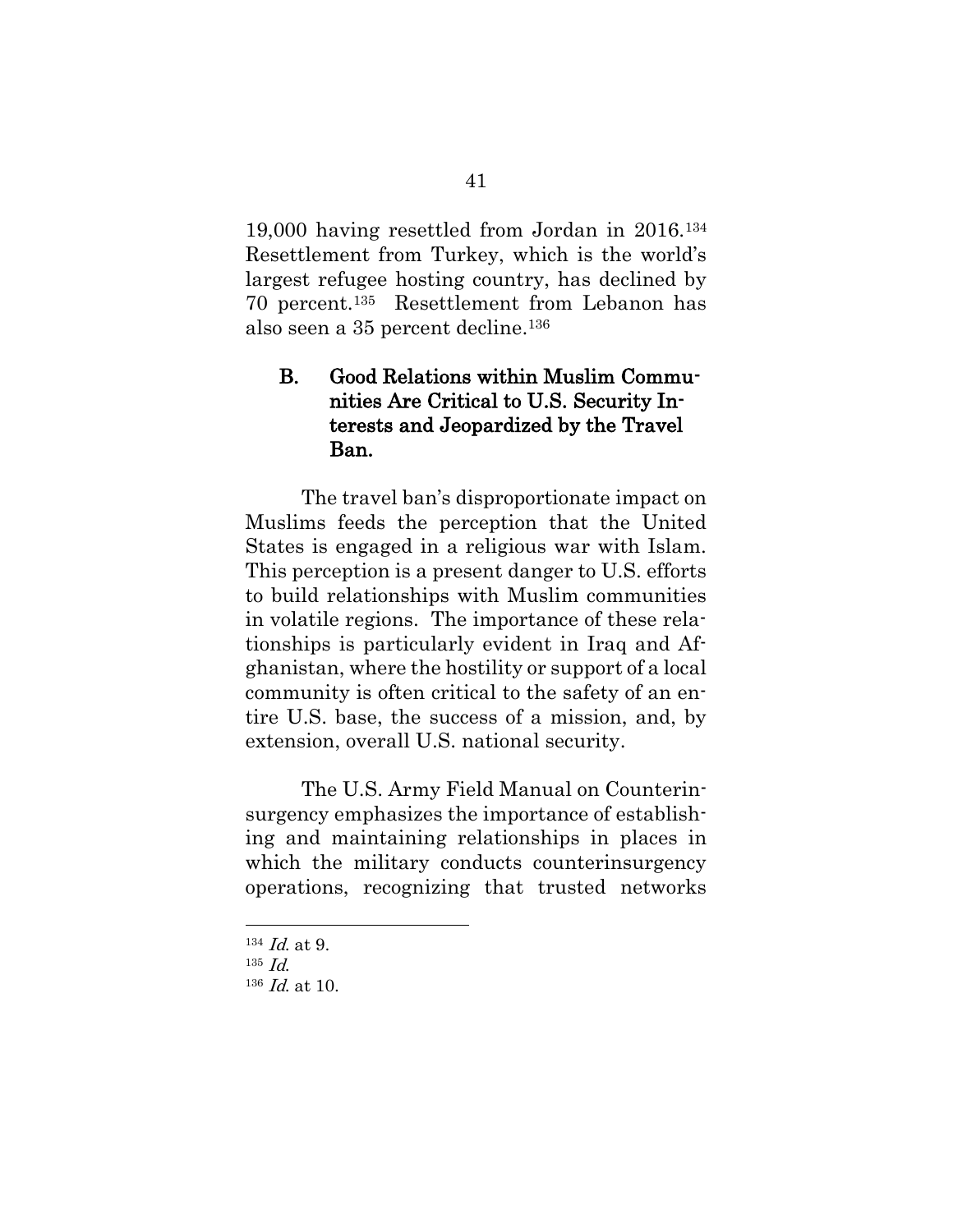19,000 having resettled from Jordan in 2016.<sup>134</sup> Resettlement from Turkey, which is the world's largest refugee hosting country, has declined by 70 percent.135 Resettlement from Lebanon has also seen a 35 percent decline. 136

## B. Good Relations within Muslim Communities Are Critical to U.S. Security Interests and Jeopardized by the Travel Ban.

The travel ban's disproportionate impact on Muslims feeds the perception that the United States is engaged in a religious war with Islam. This perception is a present danger to U.S. efforts to build relationships with Muslim communities in volatile regions. The importance of these relationships is particularly evident in Iraq and Afghanistan, where the hostility or support of a local community is often critical to the safety of an entire U.S. base, the success of a mission, and, by extension, overall U.S. national security.

The U.S. Army Field Manual on Counterinsurgency emphasizes the importance of establishing and maintaining relationships in places in which the military conducts counterinsurgency operations, recognizing that trusted networks

 $134$  *Id.* at 9.

 $135$  *Id.* 

<sup>136</sup> Id. at 10.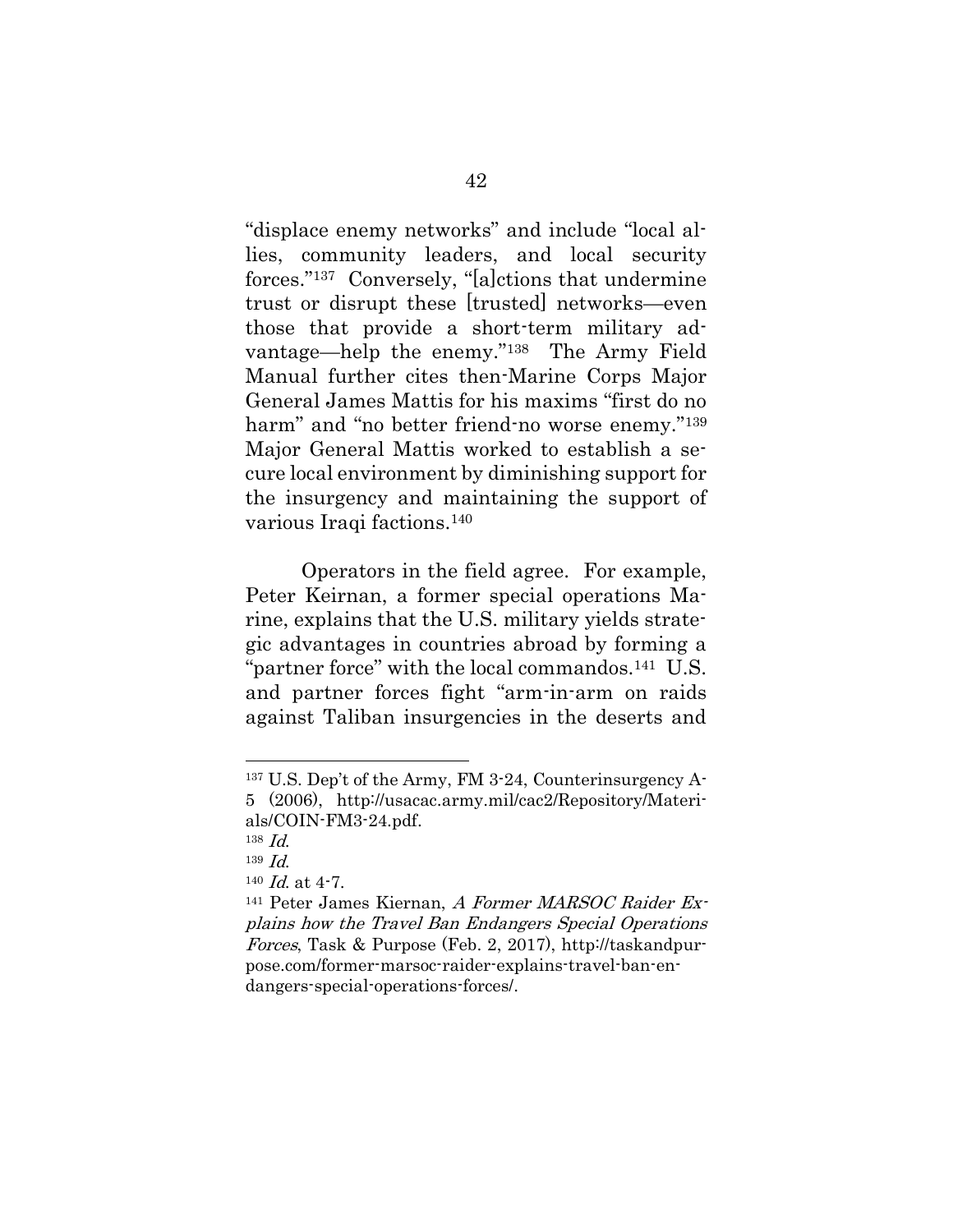"displace enemy networks" and include "local allies, community leaders, and local security forces."137 Conversely, "[a]ctions that undermine trust or disrupt these [trusted] networks—even those that provide a short-term military advantage—help the enemy." <sup>138</sup> The Army Field Manual further cites then-Marine Corps Major General James Mattis for his maxims "first do no harm" and "no better friend-no worse enemy."<sup>139</sup> Major General Mattis worked to establish a secure local environment by diminishing support for the insurgency and maintaining the support of various Iraqi factions.<sup>140</sup>

Operators in the field agree. For example, Peter Keirnan, a former special operations Marine, explains that the U.S. military yields strategic advantages in countries abroad by forming a "partner force" with the local commandos.141 U.S. and partner forces fight "arm-in-arm on raids against Taliban insurgencies in the deserts and

<sup>137</sup> U.S. Dep't of the Army, FM 3-24, Counterinsurgency A-5 (2006), http://usacac.army.mil/cac2/Repository/Materials/COIN-FM3-24.pdf.

<sup>138</sup> Id.

 $139 \text{ Id.}$ 

 $140$  *Id.* at 4-7.

<sup>141</sup> Peter James Kiernan, A Former MARSOC Raider Explains how the Travel Ban Endangers Special Operations Forces, Task & Purpose (Feb. 2, 2017), http://taskandpurpose.com/former-marsoc-raider-explains-travel-ban-endangers-special-operations-forces/.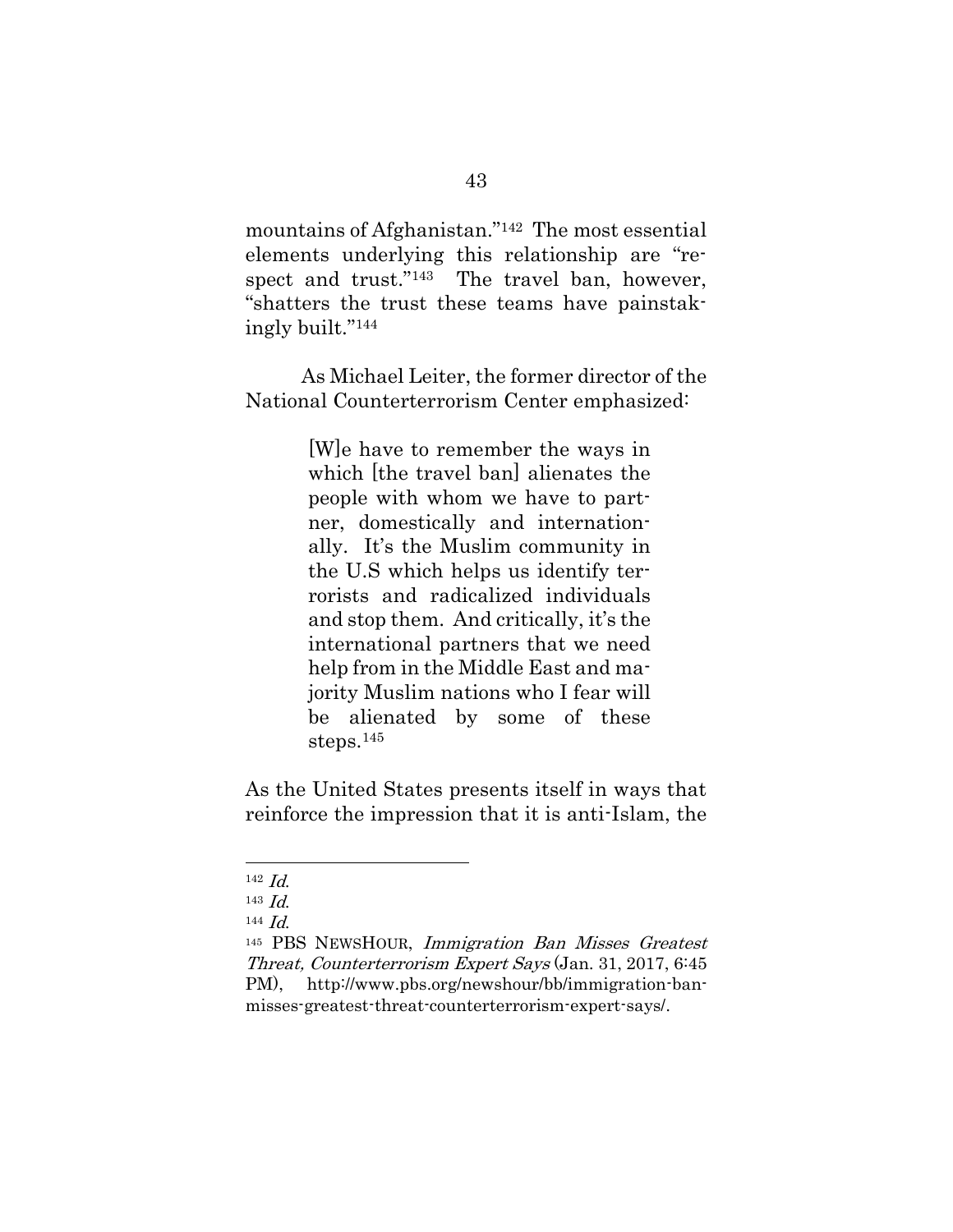mountains of Afghanistan."142 The most essential elements underlying this relationship are "respect and trust."<sup>143</sup> The travel ban, however, "shatters the trust these teams have painstakingly built." 144

As Michael Leiter, the former director of the National Counterterrorism Center emphasized:

> [W]e have to remember the ways in which [the travel ban] alienates the people with whom we have to partner, domestically and internationally. It's the Muslim community in the U.S which helps us identify terrorists and radicalized individuals and stop them. And critically, it's the international partners that we need help from in the Middle East and majority Muslim nations who I fear will be alienated by some of these steps.<sup>145</sup>

As the United States presents itself in ways that reinforce the impression that it is anti-Islam, the

<sup>142</sup> Id.

<sup>143</sup>  $Id$ 

<sup>144</sup> Id.

<sup>145</sup> PBS NEWSHOUR, Immigration Ban Misses Greatest Threat, Counterterrorism Expert Says (Jan. 31, 2017, 6:45 PM), http://www.pbs.org/newshour/bb/immigration-banmisses-greatest-threat-counterterrorism-expert-says/.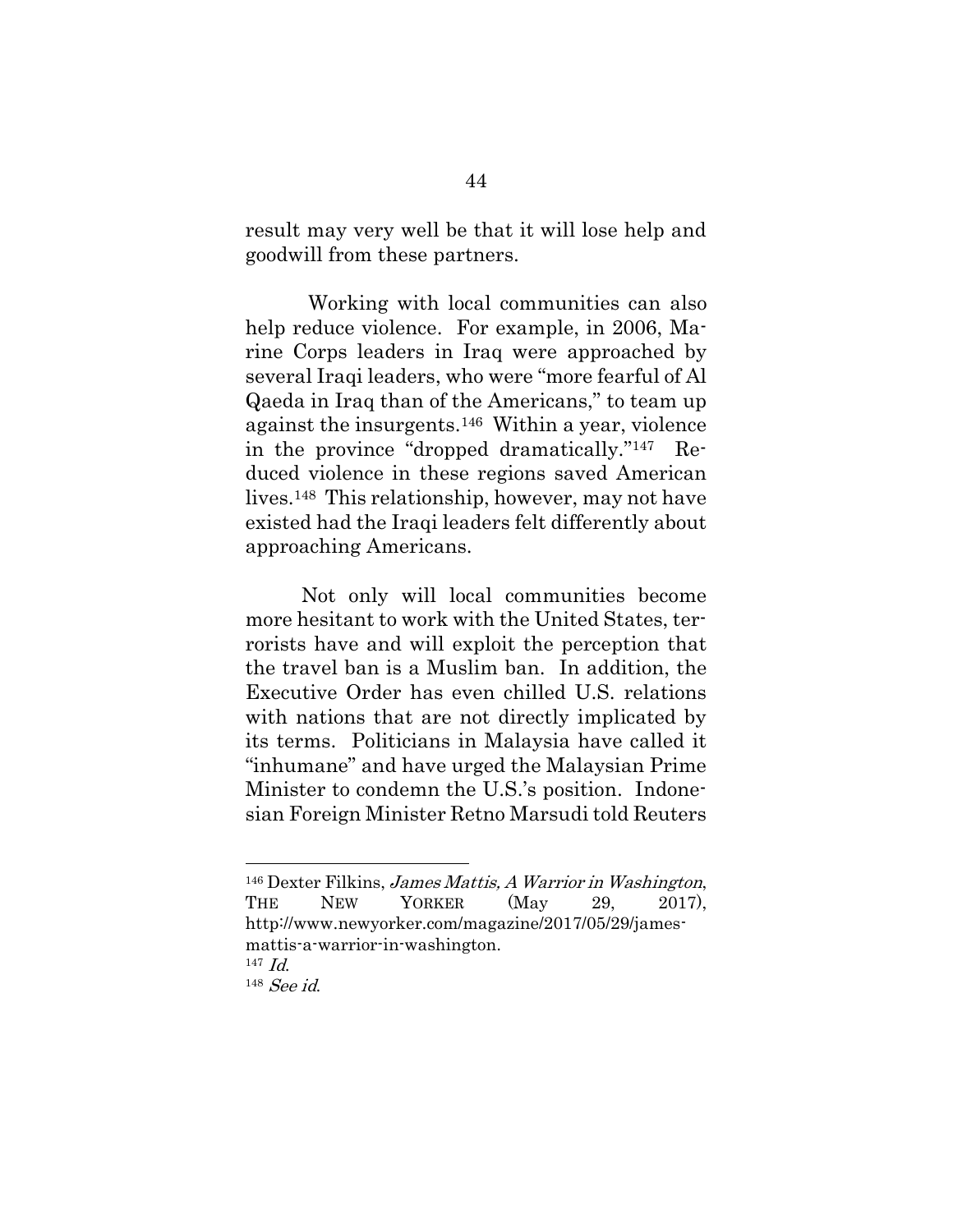result may very well be that it will lose help and goodwill from these partners.

Working with local communities can also help reduce violence. For example, in 2006, Marine Corps leaders in Iraq were approached by several Iraqi leaders, who were "more fearful of Al Qaeda in Iraq than of the Americans," to team up against the insurgents.146 Within a year, violence in the province "dropped dramatically."147 Reduced violence in these regions saved American lives.148 This relationship, however, may not have existed had the Iraqi leaders felt differently about approaching Americans.

Not only will local communities become more hesitant to work with the United States, terrorists have and will exploit the perception that the travel ban is a Muslim ban. In addition, the Executive Order has even chilled U.S. relations with nations that are not directly implicated by its terms. Politicians in Malaysia have called it "inhumane" and have urged the Malaysian Prime Minister to condemn the U.S.'s position. Indonesian Foreign Minister Retno Marsudi told Reuters

<sup>146</sup> Dexter Filkins, James Mattis, A Warrior in Washington, THE NEW YORKER (May 29, 2017). http://www.newyorker.com/magazine/2017/05/29/jamesmattis-a-warrior-in-washington. <sup>147</sup> Id.

<sup>148</sup> See id.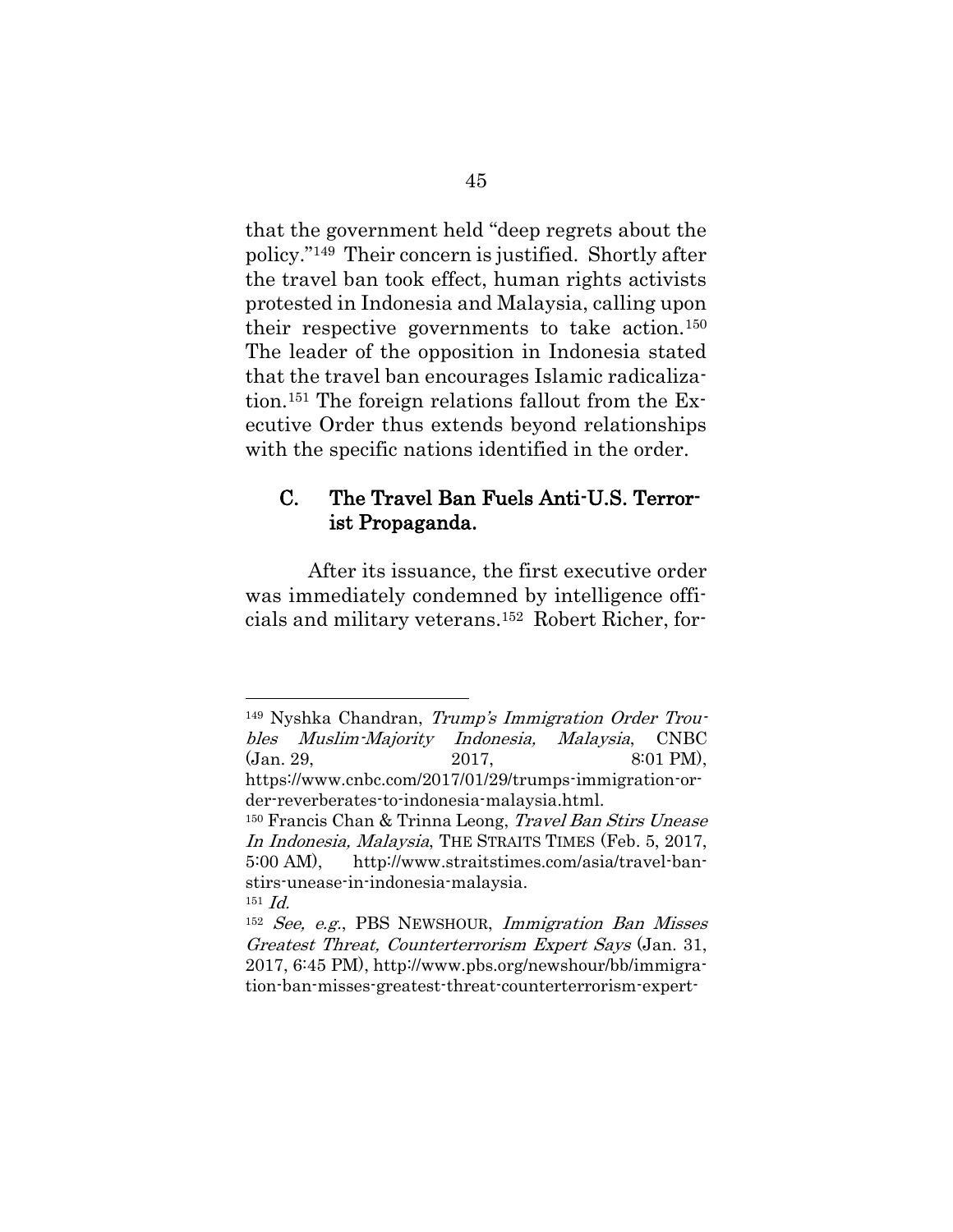that the government held "deep regrets about the policy."149 Their concern is justified. Shortly after the travel ban took effect, human rights activists protested in Indonesia and Malaysia, calling upon their respective governments to take action.<sup>150</sup> The leader of the opposition in Indonesia stated that the travel ban encourages Islamic radicalization.<sup>151</sup> The foreign relations fallout from the Executive Order thus extends beyond relationships with the specific nations identified in the order.

### C. The Travel Ban Fuels Anti-U.S. Terrorist Propaganda.

After its issuance, the first executive order was immediately condemned by intelligence officials and military veterans.152 Robert Richer, for-

<sup>149</sup> Nyshka Chandran, Trump's Immigration Order Troubles Muslim-Majority Indonesia, Malaysia, CNBC (Jan. 29, 2017, 8:01 PM), https://www.cnbc.com/2017/01/29/trumps-immigration-order-reverberates-to-indonesia-malaysia.html. <sup>150</sup> Francis Chan & Trinna Leong, Travel Ban Stirs Unease In Indonesia, Malaysia, THE STRAITS TIMES (Feb. 5, 2017,

l

5:00 AM), http://www.straitstimes.com/asia/travel-banstirs-unease-in-indonesia-malaysia.  $151$  *Id.* 

<sup>152</sup> See, e.g., PBS NEWSHOUR, Immigration Ban Misses Greatest Threat, Counterterrorism Expert Says (Jan. 31, 2017, 6:45 PM), http://www.pbs.org/newshour/bb/immigration-ban-misses-greatest-threat-counterterrorism-expert-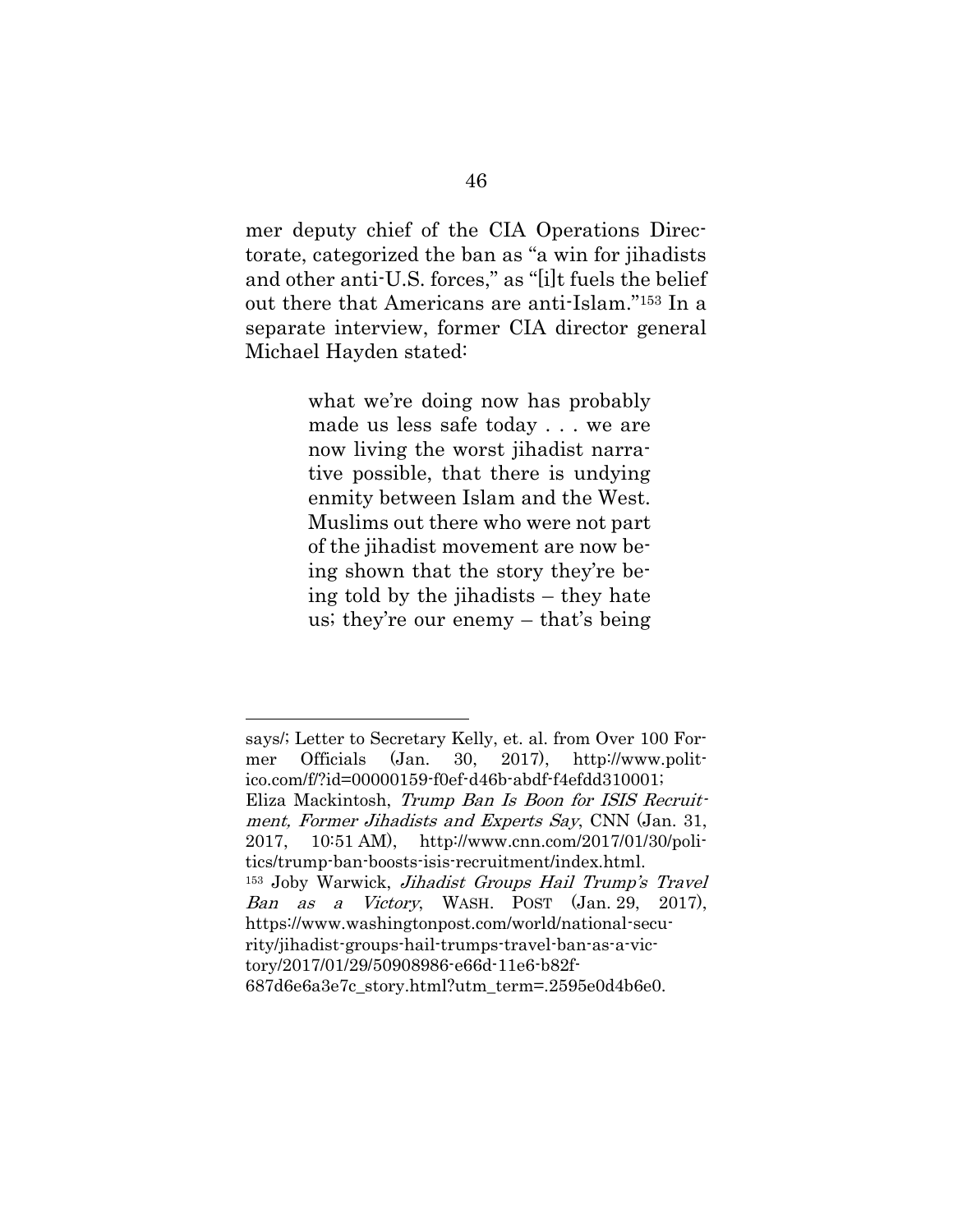mer deputy chief of the CIA Operations Directorate, categorized the ban as "a win for jihadists and other anti-U.S. forces," as "[i]t fuels the belief out there that Americans are anti-Islam."<sup>153</sup> In a separate interview, former CIA director general Michael Hayden stated:

> what we're doing now has probably made us less safe today . . . we are now living the worst jihadist narrative possible, that there is undying enmity between Islam and the West. Muslims out there who were not part of the jihadist movement are now being shown that the story they're being told by the jihadists – they hate us; they're our enemy – that's being

says/; Letter to Secretary Kelly, et. al. from Over 100 Former Officials (Jan. 30, 2017), http://www.politico.com/f/?id=00000159-f0ef-d46b-abdf-f4efdd310001; Eliza Mackintosh, Trump Ban Is Boon for ISIS Recruitment, Former Jihadists and Experts Say, CNN (Jan. 31, 2017, 10:51 AM), http://www.cnn.com/2017/01/30/politics/trump-ban-boosts-isis-recruitment/index.html. <sup>153</sup> Joby Warwick, Jihadist Groups Hail Trump's Travel Ban as a Victory, WASH. POST (Jan. 29, 2017), https://www.washingtonpost.com/world/national-security/jihadist-groups-hail-trumps-travel-ban-as-a-victory/2017/01/29/50908986-e66d-11e6-b82f-687d6e6a3e7c\_story.html?utm\_term=.2595e0d4b6e0.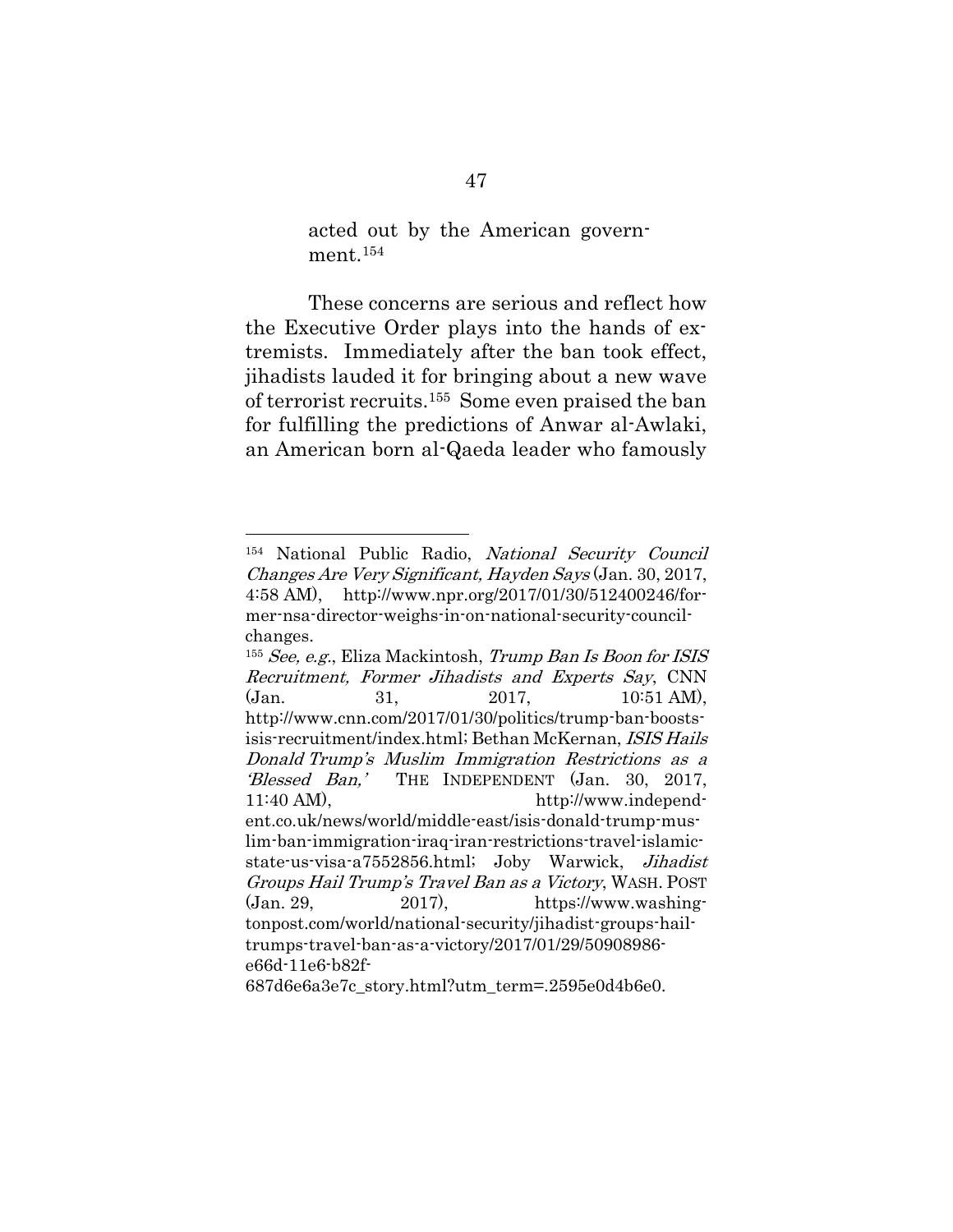acted out by the American government.<sup>154</sup>

These concerns are serious and reflect how the Executive Order plays into the hands of extremists. Immediately after the ban took effect, jihadists lauded it for bringing about a new wave of terrorist recruits.155 Some even praised the ban for fulfilling the predictions of Anwar al-Awlaki, an American born al-Qaeda leader who famously

<sup>154</sup> National Public Radio, National Security Council Changes Are Very Significant, Hayden Says (Jan. 30, 2017, 4:58 AM), http://www.npr.org/2017/01/30/512400246/former-nsa-director-weighs-in-on-national-security-councilchanges.

<sup>155</sup> See, e.g., Eliza Mackintosh, Trump Ban Is Boon for ISIS Recruitment, Former Jihadists and Experts Say, CNN (Jan. 31, 2017, 10:51 AM), http://www.cnn.com/2017/01/30/politics/trump-ban-boostsisis-recruitment/index.html; Bethan McKernan, ISIS Hails Donald Trump's Muslim Immigration Restrictions as a 'Blessed Ban,' THE INDEPENDENT (Jan. 30, 2017, 11:40 AM), http://www.independent.co.uk/news/world/middle-east/isis-donald-trump-muslim-ban-immigration-iraq-iran-restrictions-travel-islamicstate-us-visa-a7552856.html; Joby Warwick, Jihadist Groups Hail Trump's Travel Ban as a Victory, WASH. POST  $(Jan. 29, 2017),$  https://www.washingtonpost.com/world/national-security/jihadist-groups-hailtrumps-travel-ban-as-a-victory/2017/01/29/50908986 e66d-11e6-b82f-

<sup>687</sup>d6e6a3e7c\_story.html?utm\_term=.2595e0d4b6e0.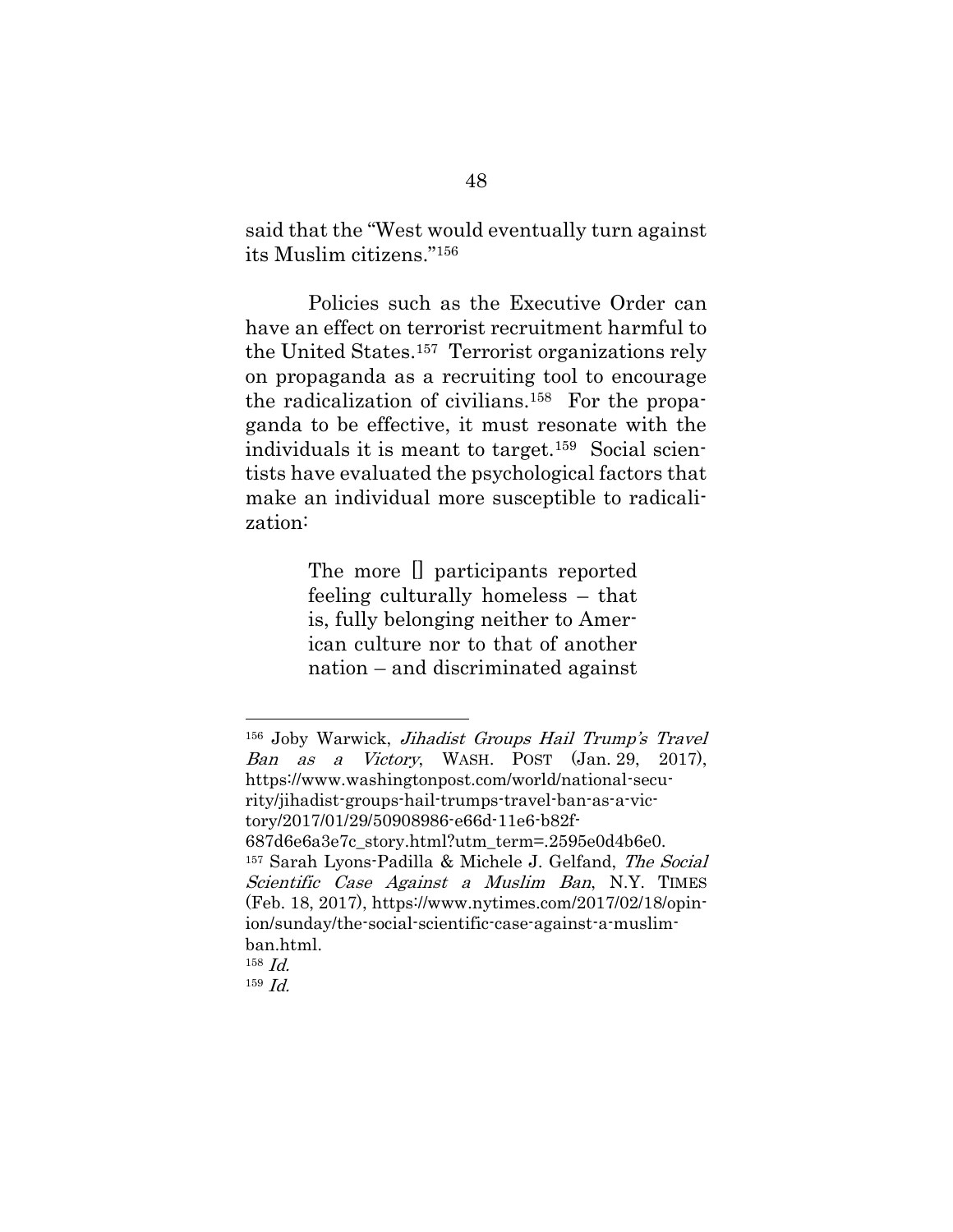said that the "West would eventually turn against its Muslim citizens."<sup>156</sup>

Policies such as the Executive Order can have an effect on terrorist recruitment harmful to the United States. <sup>157</sup> Terrorist organizations rely on propaganda as a recruiting tool to encourage the radicalization of civilians. 158 For the propaganda to be effective, it must resonate with the individuals it is meant to target.159 Social scientists have evaluated the psychological factors that make an individual more susceptible to radicalization:

> The more [] participants reported feeling culturally homeless – that is, fully belonging neither to American culture nor to that of another nation – and discriminated against

l

<sup>156</sup> Joby Warwick, Jihadist Groups Hail Trump's Travel Ban as a Victory, WASH. POST (Jan. 29, 2017), https://www.washingtonpost.com/world/national-security/jihadist-groups-hail-trumps-travel-ban-as-a-victory/2017/01/29/50908986-e66d-11e6-b82f-687d6e6a3e7c\_story.html?utm\_term=.2595e0d4b6e0. <sup>157</sup> Sarah Lyons-Padilla & Michele J. Gelfand, The Social Scientific Case Against a Muslim Ban, N.Y. TIMES (Feb. 18, 2017), https://www.nytimes.com/2017/02/18/opinion/sunday/the-social-scientific-case-against-a-muslimban.html. 158 Id. 159 Id.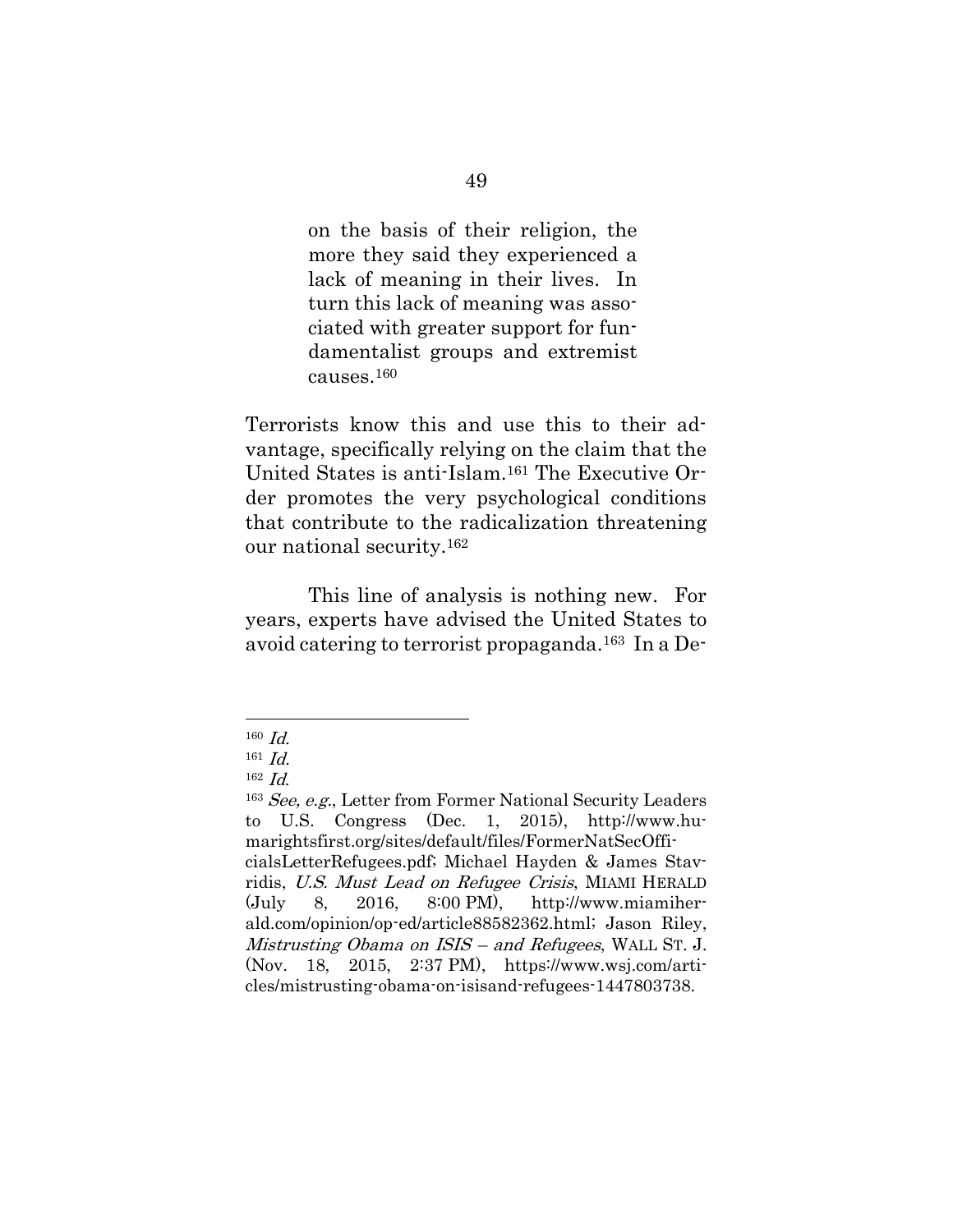on the basis of their religion, the more they said they experienced a lack of meaning in their lives. In turn this lack of meaning was associated with greater support for fundamentalist groups and extremist causes.<sup>160</sup>

Terrorists know this and use this to their advantage, specifically relying on the claim that the United States is anti-Islam.<sup>161</sup> The Executive Order promotes the very psychological conditions that contribute to the radicalization threatening our national security.<sup>162</sup>

This line of analysis is nothing new. For years, experts have advised the United States to avoid catering to terrorist propaganda. <sup>163</sup> In a De-

 $160$  *Id.* 

 $161$  *Id.* 

 $162$  *Id.* 

<sup>163</sup> See, e.g., Letter from Former National Security Leaders to U.S. Congress (Dec. 1, 2015), http://www.humarightsfirst.org/sites/default/files/FormerNatSecOfficialsLetterRefugees.pdf; Michael Hayden & James Stavridis, U.S. Must Lead on Refugee Crisis, MIAMI HERALD (July 8, 2016, 8:00 PM), http://www.miamiherald.com/opinion/op-ed/article88582362.html; Jason Riley, Mistrusting Obama on ISIS – and Refugees, WALL ST. J. (Nov. 18, 2015, 2:37 PM), https://www.wsj.com/articles/mistrusting-obama-on-isisand-refugees-1447803738.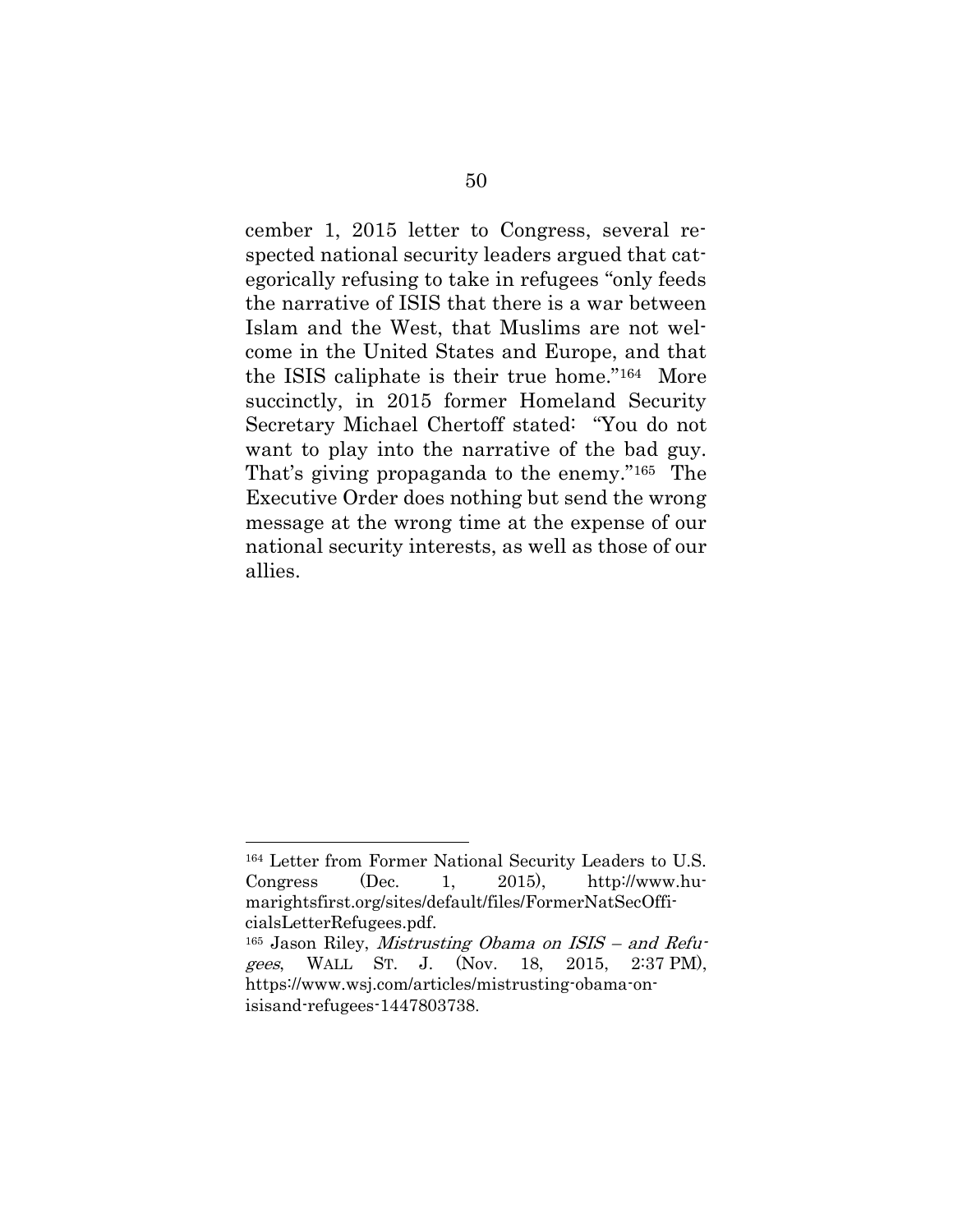cember 1, 2015 letter to Congress, several respected national security leaders argued that categorically refusing to take in refugees "only feeds the narrative of ISIS that there is a war between Islam and the West, that Muslims are not welcome in the United States and Europe, and that the ISIS caliphate is their true home."164 More succinctly, in 2015 former Homeland Security Secretary Michael Chertoff stated: "You do not want to play into the narrative of the bad guy. That's giving propaganda to the enemy."<sup>165</sup> The Executive Order does nothing but send the wrong message at the wrong time at the expense of our national security interests, as well as those of our allies.

<sup>164</sup> Letter from Former National Security Leaders to U.S. Congress (Dec. 1, 2015), http://www.humarightsfirst.org/sites/default/files/FormerNatSecOfficialsLetterRefugees.pdf.

<sup>&</sup>lt;sup>165</sup> Jason Riley, *Mistrusting Obama on ISIS – and Refu*gees, WALL ST. J. (Nov. 18, 2015, 2:37 PM), https://www.wsj.com/articles/mistrusting-obama-onisisand-refugees-1447803738.